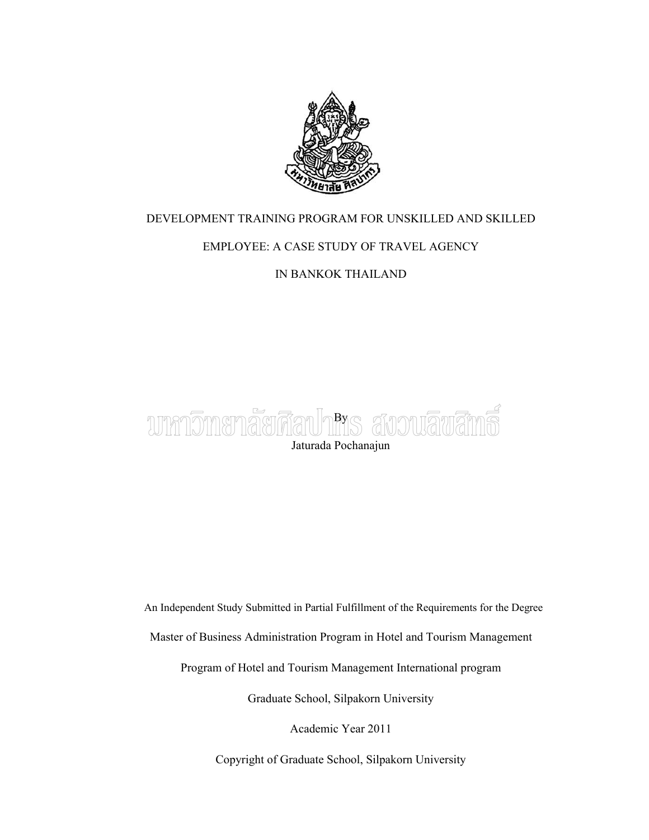

### DEVELOPMENT TRAINING PROGRAM FOR UNSKILLED AND SKILLED

### EMPLOYEE: A CASE STUDY OF TRAVEL AGENCY

IN BANKOK THAILAND



An Independent Study Submitted in Partial Fulfillment of the Requirements for the Degree

Master of Business Administration Program in Hotel and Tourism Management

Program of Hotel and Tourism Management International program

Graduate School, Silpakorn University

Academic Year 2011

Copyright of Graduate School, Silpakorn University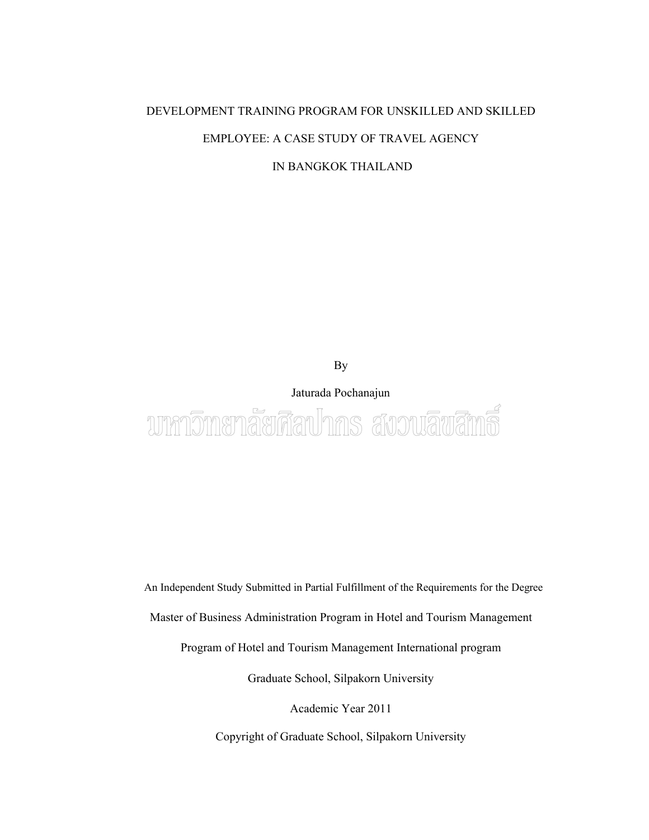### DEVELOPMENT TRAINING PROGRAM FOR UNSKILLED AND SKILLED EMPLOYEE: A CASE STUDY OF TRAVEL AGENCY

IN BANGKOK THAILAND

By

Jaturada Pochanajun นาหาวิทยาลัยศิลปากร สงวนลิขสิทธิ์

An Independent Study Submitted in Partial Fulfillment of the Requirements for the Degree

Master of Business Administration Program in Hotel and Tourism Management

Program of Hotel and Tourism Management International program

Graduate School, Silpakorn University

Academic Year 2011

Copyright of Graduate School, Silpakorn University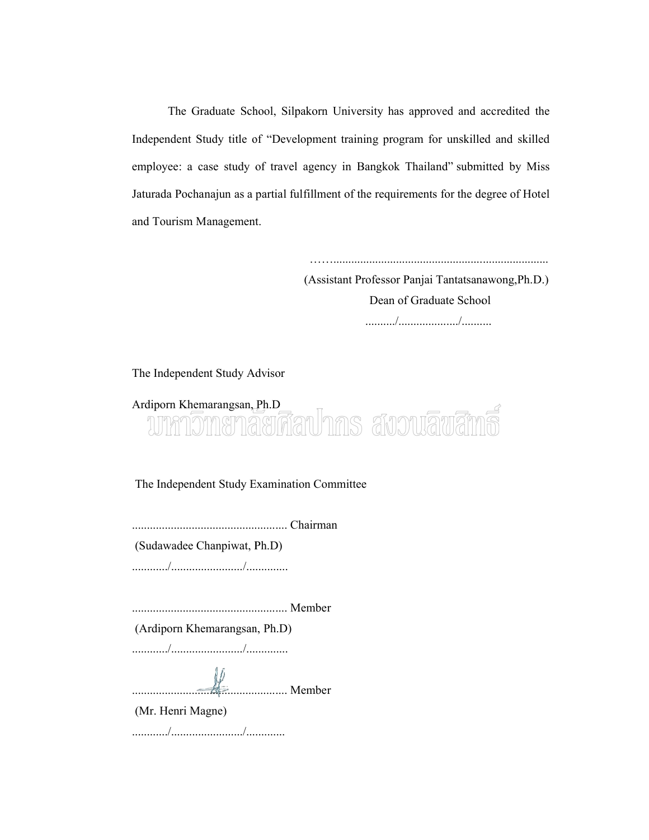The Graduate School, Silpakorn University has approved and accredited the Independent Study title of "Development training program for unskilled and skilled employee: a case study of travel agency in Bangkok Thailand" submitted by Miss Jaturada Pochanajun as a partial fulfillment of the requirements for the degree of Hotel<br>and Tourism Management. and Tourism Management. bl, Silpakorn University has approved and accredited the "Development training program for unskilled and skilled travel agency in Bangkok Thailand" submitted by Miss The Graduate School, Silpakorn University has approved and accredited the<br>dent Study title of "Development training program for unskilled and skilled<br>ee: a case study of travel agency in Bangkok Thailand" submitted by Miss

(Assistant Professor Panjai Tantatsanawong,Ph.D.) Dean of Graduate School ........../..................../..........

The Independent Study Advisor

# Ardiporn Khemarangsan, Ph.D

The Independent Study Examination Committee

.................................................... Chairman

(Sudawadee Chanpiwat, Ph.D)

............/......................../..............

.................................................... Member

(Ardiporn Khemarangsan, Ph.D)

............/......................../..............

.................................................... Member

(Mr. Henri Magne)

............/......................../.............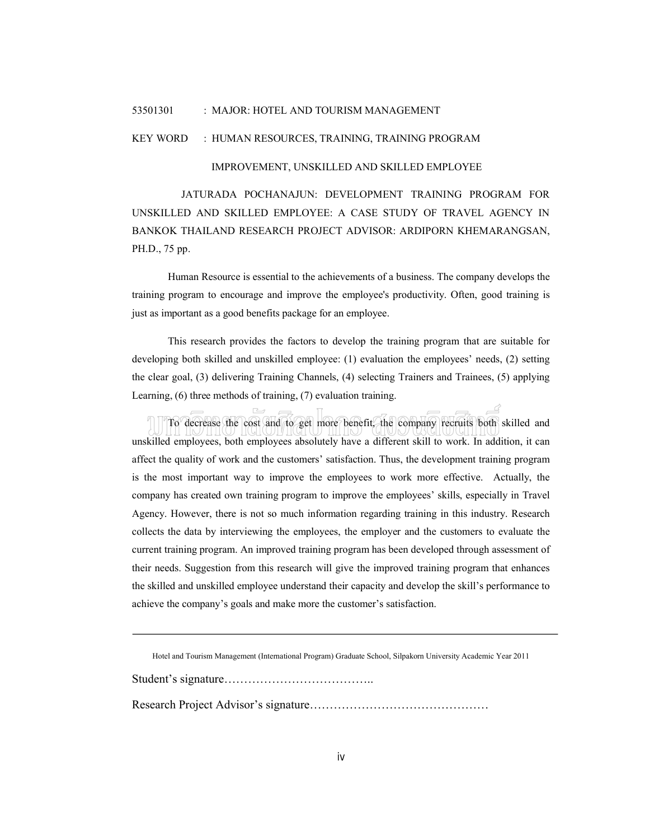#### 53501301 : MAJOR: HOTEL AND TOURISM MANAGEMENT

#### KEY WORD : HUMAN RESOURCES, TRAINING, TRAINING PROGRAM

#### IMPROVEMENT, UNSKILLED AND SKILLED EMPLOYEE

JATURADA POCHANAJUN: DEVELOPMENT TRAINING PROGRAM FOR UNSKILLED AND SKILLED EMPLOYEE: A CASE STUDY OF TRAVEL AGENCY IN BANKOK THAILAND RESEARCH PROJECT ADVISOR: ARDIPORN KHEMARANGSAN, PH.D., 75 pp.

Human Resource is essential to the achievements of a business. The company develops the training program to encourage and improve the employee's productivity. Often, good training is just as important as a good benefits package for an employee.

This research provides the factors to develop the training program that are suitable for developing both skilled and unskilled employee: (1) evaluation the employees' needs, (2) setting the clear goal, (3) delivering Training Channels, (4) selecting Trainers and Trainees, (5) applying Learning, (6) three methods of training, (7) evaluation training.

- 6

 $\overline{\phantom{a}}$ To decrease the cost and to get more benefit, the company recruits both skilled and unskilled employees, both employees absolutely have a different skill to work. In addition, it can affect the quality of work and the customers' satisfaction. Thus, the development training program is the most important way to improve the employees to work more effective. Actually, the company has created own training program to improve the employees' skills, especially in Travel Agency. However, there is not so much information regarding training in this industry. Research collects the data by interviewing the employees, the employer and the customers to evaluate the current training program. An improved training program has been developed through assessment of their needs. Suggestion from this research will give the improved training program that enhances the skilled and unskilled employee understand their capacity and develop the skill's performance to achieve the company's goals and make more the customer's satisfaction.

Hotel and Tourism Management (International Program) Graduate School, Silpakorn University Academic Year 2011

Student's signature………………………………..

Research Project Advisor's signature………………………………………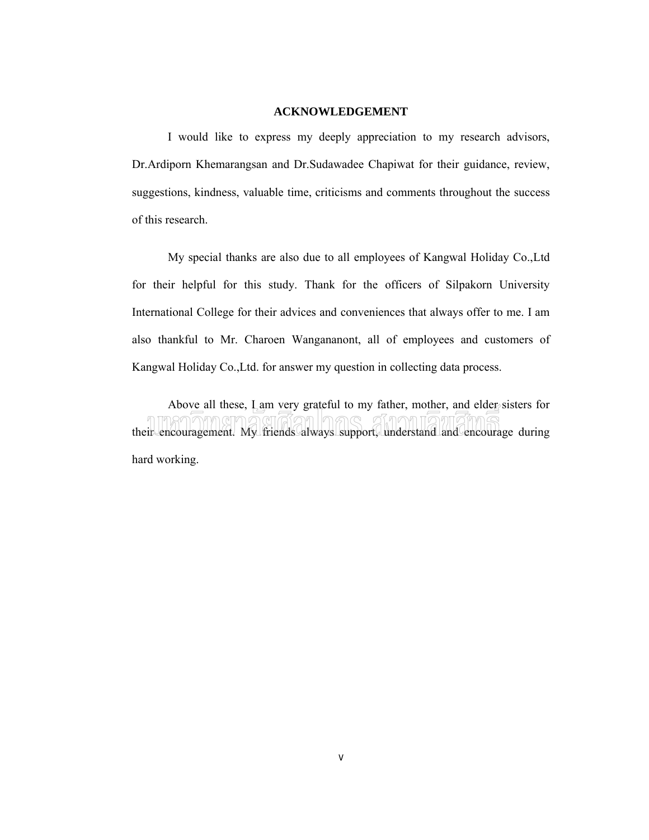### **ACKNOWLEDGEMENT**

I would like to express my deeply appreciation to my research advisors, Dr.Ardiporn Khemarangsan and Dr.Sudawadee Chapiwat for their guidance, review, suggestions, kindness, valuable time, criticisms and comments throughout the success of this research.

My special thanks are also due to all employees of Kangwal Holiday Co.,Ltd for their helpful for this study. Thank for the officers of Silpakorn University International College for their advices and conveniences that always offer to me. I am also thankful to Mr. Charoen Wangananont, all of employees and customers of Kangwal Holiday Co.,Ltd. for answer my question in collecting data process.

Above all these, Lam very grateful to my father, mother, and elder sisters for their encouragement. My friends always support, understand and encourage during hard working.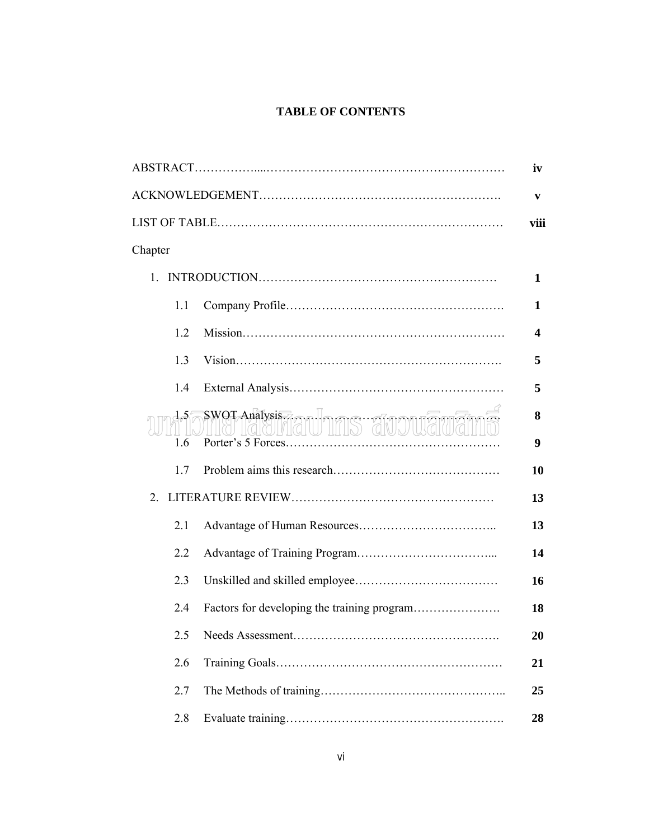### **TABLE OF CONTENTS**

|            |                                                        | iv     |
|------------|--------------------------------------------------------|--------|
|            |                                                        | V      |
|            |                                                        | viii   |
| Chapter    |                                                        |        |
| $1_{-}$    |                                                        | 1      |
| 1.1        |                                                        | 1      |
| 1.2        |                                                        | 4      |
| 1.3        |                                                        | 5      |
| 1.4        |                                                        | 5      |
| 1.5<br>1.6 | SWOT Anatysis Team Infilm Structure and Team Structure | 8<br>9 |
| 17         |                                                        | 10     |
| 2          |                                                        | 13     |
| 2.1        |                                                        | 13     |
| 2.2        |                                                        | 14     |
| 2.3        |                                                        | 16     |
| 2.4        |                                                        | 18     |
|            |                                                        | 20     |
| 2.6        |                                                        | 21     |
| 2.7        |                                                        | 25     |
| 2.8        |                                                        | 28     |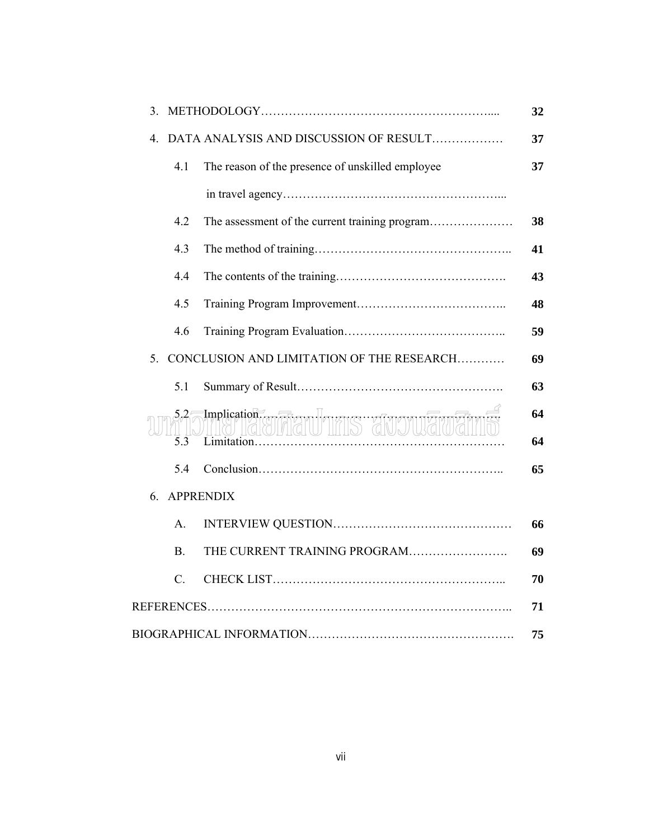| 3.        |                                                  |
|-----------|--------------------------------------------------|
| 4         | DATA ANALYSIS AND DISCUSSION OF RESULT           |
| 4.1       | The reason of the presence of unskilled employee |
|           |                                                  |
| 4.2       |                                                  |
| 4.3       |                                                  |
| 4.4       |                                                  |
| 4.5       |                                                  |
| 4.6       |                                                  |
| 5.        | CONCLUSION AND LIMITATION OF THE RESEARCH        |
| 5.1       |                                                  |
| 5.2<br>53 | Implication (STATU THIS GIVO/WAVEN               |
| 5.4       |                                                  |
| 6.        | <b>APPRENDIX</b>                                 |
| $A$ .     |                                                  |
| B.        | THE CURRENT TRAINING PROGRAM                     |
| $C$ .     |                                                  |
|           |                                                  |
|           |                                                  |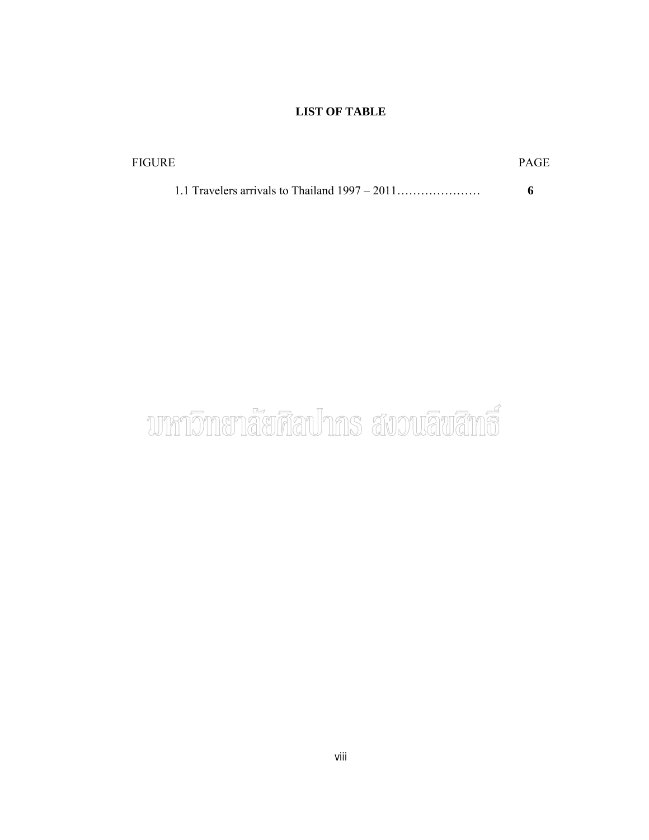### **LIST OF TABLE**

| FIGURE |  |
|--------|--|
|        |  |
|        |  |

## บาหาวิทยาลัยศิลปากร สงวนลิขสิทธิ์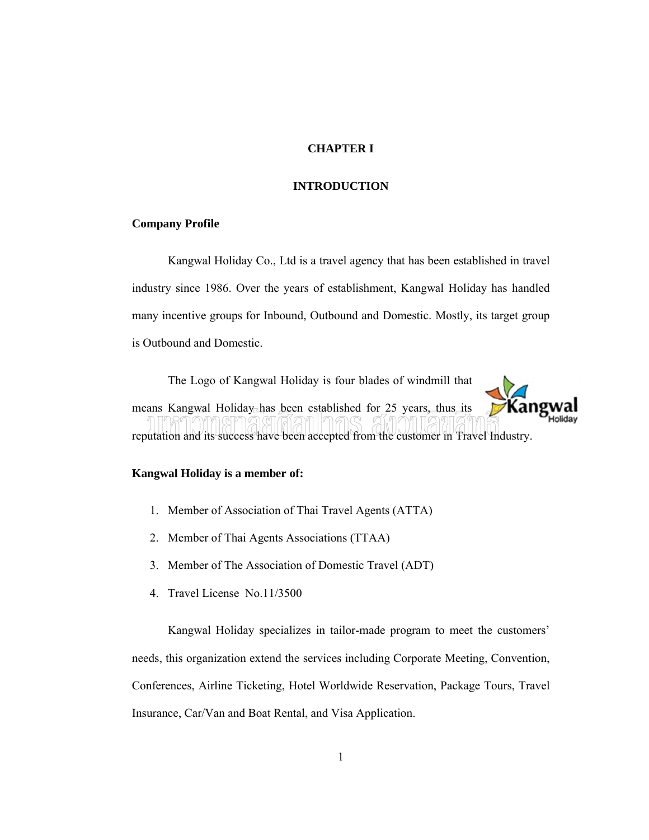### **CHAPTER I**

### **INTRODUCTION**

### **Company Profile**

Kangwal Holiday Co., Ltd is a travel agency that has been established in travel industry since 1986. Over the years of establishment, Kangwal Holiday has handled many incentive groups for Inbound, Outbound and Domestic. Mostly, its target group is Outbound and Domestic.

The Logo of Kangwal Holiday is four blades of windmill that means Kangwal Holiday has been established for 25 years, thus its reputation and its success have been accepted from the customer in Travel Industry.

### **Kangwal Holiday is a member of:**

- 1. Member of Association of Thai Travel Agents (ATTA)
- 2. Member of Thai Agents Associations (TTAA)
- 3. Member of The Association of Domestic Travel (ADT)
- 4. Travel License No.11/3500

Kangwal Holiday specializes in tailor-made program to meet the customers' needs, this organization extend the services including Corporate Meeting, Convention, Conferences, Airline Ticketing, Hotel Worldwide Reservation, Package Tours, Travel Insurance, Car/Van and Boat Rental, and Visa Application.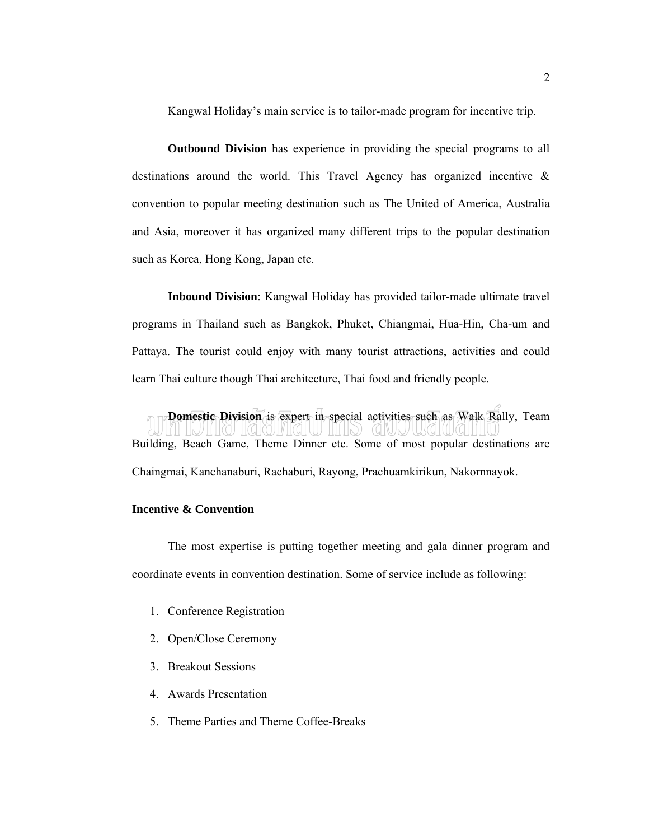Kangwal Holiday's main service is to tailor-made program for incentive trip.

**Outbound Division** has experience in providing the special programs to all destinations around the world. This Travel Agency has organized incentive & convention to popular meeting destination such as The United of America, Australia and Asia, moreover it has organized many different trips to the popular destination such as Korea, Hong Kong, Japan etc.

**Inbound Division**: Kangwal Holiday has provided tailor-made ultimate travel programs in Thailand such as Bangkok, Phuket, Chiangmai, Hua-Hin, Cha-um and Pattaya. The tourist could enjoy with many tourist attractions, activities and could learn Thai culture though Thai architecture, Thai food and friendly people.

**Domestic Division** is expert in special activities such as Walk Rally, Team Building, Beach Game, Theme Dinner etc. Some of most popular destinations are Chaingmai, Kanchanaburi, Rachaburi, Rayong, Prachuamkirikun, Nakornnayok.

### **Incentive & Convention**

The most expertise is putting together meeting and gala dinner program and coordinate events in convention destination. Some of service include as following:

- 1. Conference Registration
- 2. Open/Close Ceremony
- 3. Breakout Sessions
- 4. Awards Presentation
- 5. Theme Parties and Theme Coffee-Breaks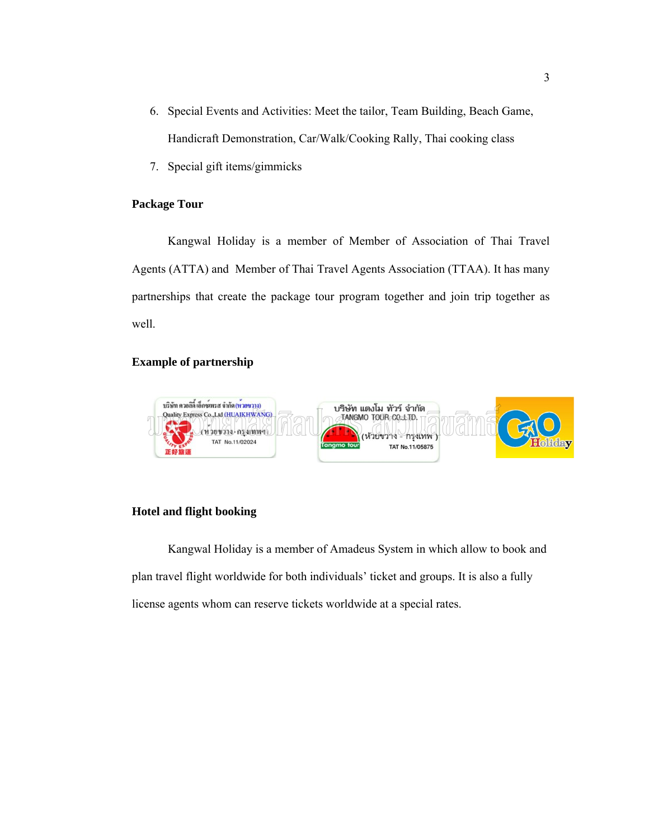- 6. Special Events and Activities: Meet the tailor, Team Building, Beach Game, Handicraft Demonstration, Car/Walk/Cooking Rally, Thai cooking class
- 7. Special gift items/gimmicks

### **Package Tour**

Kangwal Holiday is a member of Member of Association of Thai Travel Agents (ATTA) and Member of Thai Travel Agents Association (TTAA). It has many partnerships that create the package tour program together and join trip together as well.

### **Example of partnership**



### **Hotel and flight booking**

Kangwal Holiday is a member of Amadeus System in which allow to book and plan travel flight worldwide for both individuals' ticket and groups. It is also a fully license agents whom can reserve tickets worldwide at a special rates.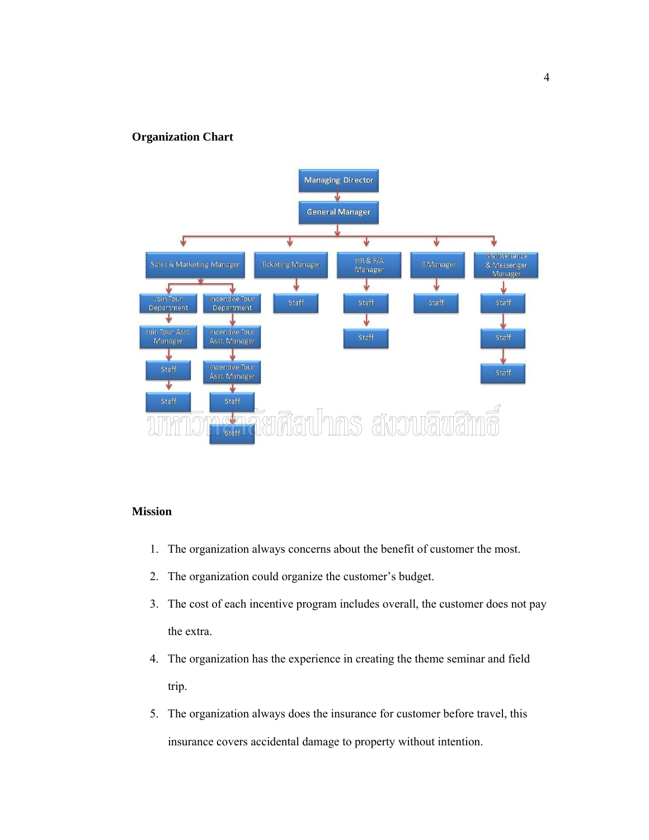### **Organization Chart**



### **Mission**

- 1. The organization always concerns about the benefit of customer the most.
- 2. The organization could organize the customer's budget.
- 3. The cost of each incentive program includes overall, the customer does not pay the extra.
- 4. The organization has the experience in creating the theme seminar and field trip.
- 5. The organization always does the insurance for customer before travel, this insurance covers accidental damage to property without intention.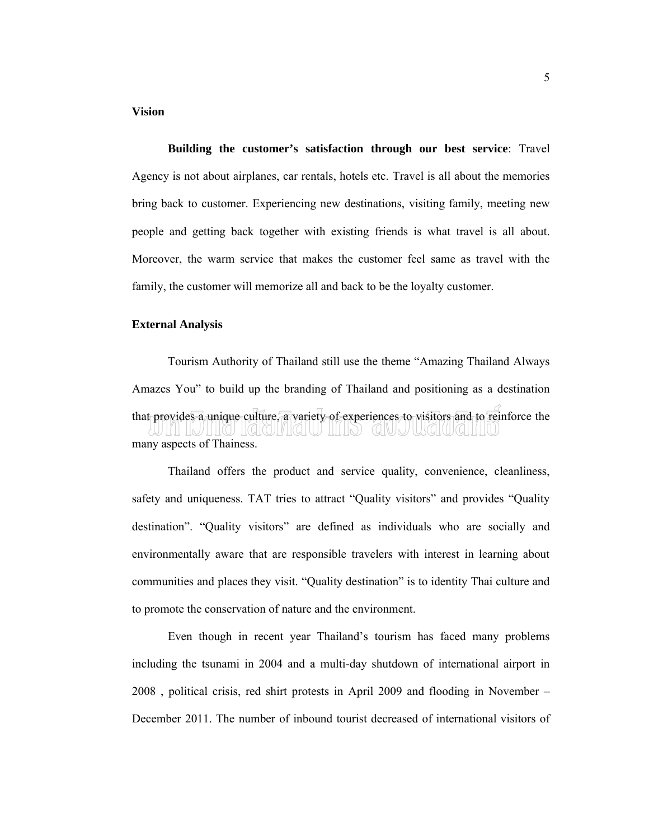### **Vision**

**Building the customer's satisfaction through our best service**: Travel Agency is not about airplanes, car rentals, hotels etc. Travel is all about the memories bring back to customer. Experiencing new destinations, visiting family, meeting new people and getting back together with existing friends is what travel is all about. Moreover, the warm service that makes the customer feel same as travel with the family, the customer will memorize all and back to be the loyalty customer.

### **External Analysis**

Tourism Authority of Thailand still use the theme "Amazing Thailand Always Amazes You" to build up the branding of Thailand and positioning as a destination that provides a unique culture, a variety of experiences to visitors and to reinforce the TKQINGIN IIIIP) GIMANYGINGININ many aspects of Thainess.

Thailand offers the product and service quality, convenience, cleanliness, safety and uniqueness. TAT tries to attract "Quality visitors" and provides "Quality destination". "Quality visitors" are defined as individuals who are socially and environmentally aware that are responsible travelers with interest in learning about communities and places they visit. "Quality destination" is to identity Thai culture and to promote the conservation of nature and the environment.

Even though in recent year Thailand's tourism has faced many problems including the tsunami in 2004 and a multi-day shutdown of international airport in 2008 , political crisis, red shirt protests in April 2009 and flooding in November – December 2011. The number of inbound tourist decreased of international visitors of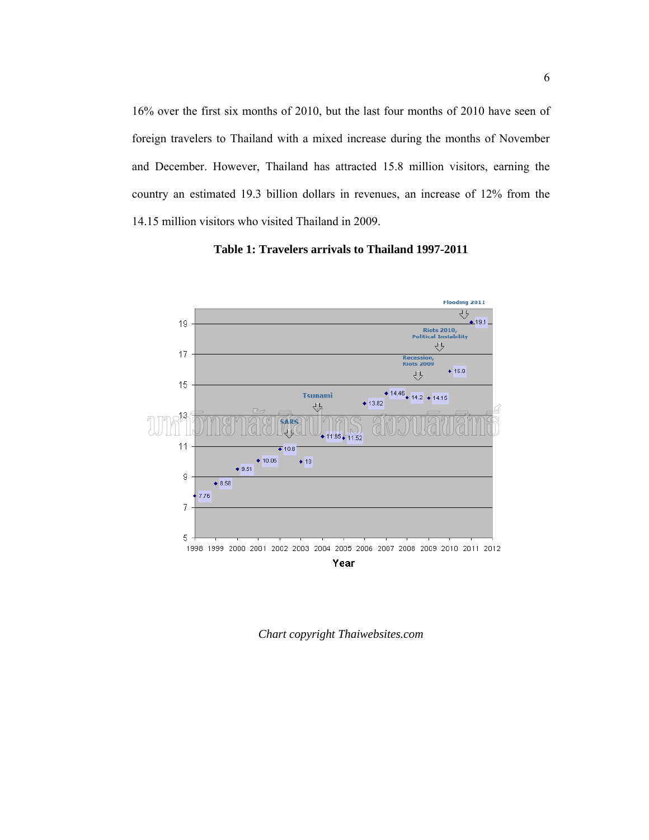16% over the first six months of 2010, but the last four months of 2010 have seen of foreign travelers to Thailand with a mixed increase during the months of November and December. However, Thailand has attracted 15.8 million visitors, earning the country an estimated 19.3 billion dollars in revenues, an increase of 12% from the 14.15 million visitors who visited Thailand in 2009.



**Table 1: Travelers arrivals to Thailand 1997-2011**

*Chart copyright Thaiwebsites.com*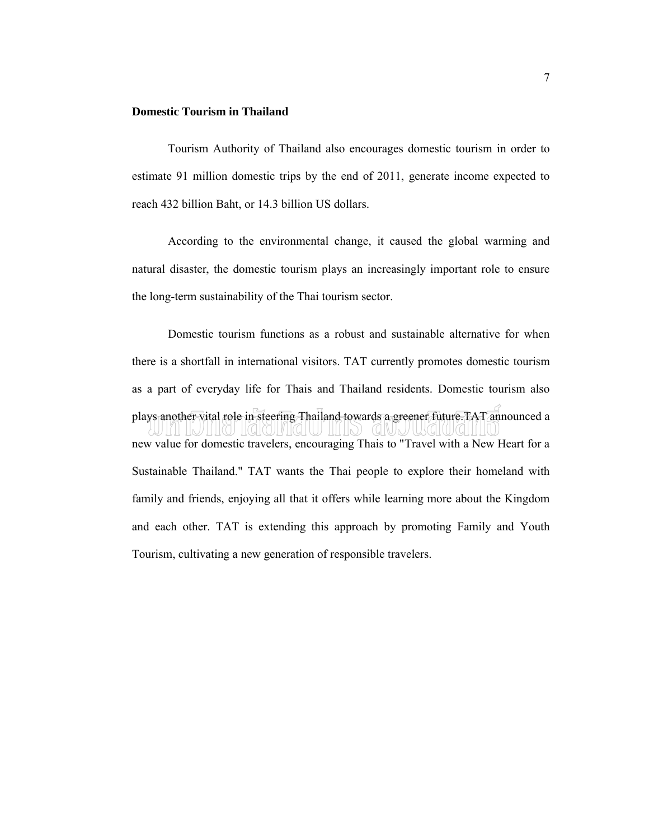### **Domestic Tourism in Thailand**

Tourism Authority of Thailand also encourages domestic tourism in order to estimate 91 million domestic trips by the end of 2011, generate income expected to reach 432 billion Baht, or 14.3 billion US dollars.

According to the environmental change, it caused the global warming and natural disaster, the domestic tourism plays an increasingly important role to ensure the long-term sustainability of the Thai tourism sector.

Domestic tourism functions as a robust and sustainable alternative for when there is a shortfall in international visitors. TAT currently promotes domestic tourism as a part of everyday life for Thais and Thailand residents. Domestic tourism also plays another vital role in steering Thailand towards a greener future.TAT announced a new value for domestic travelers, encouraging Thais to "Travel with a New Heart for a Sustainable Thailand." TAT wants the Thai people to explore their homeland with family and friends, enjoying all that it offers while learning more about the Kingdom and each other. TAT is extending this approach by promoting Family and Youth Tourism, cultivating a new generation of responsible travelers.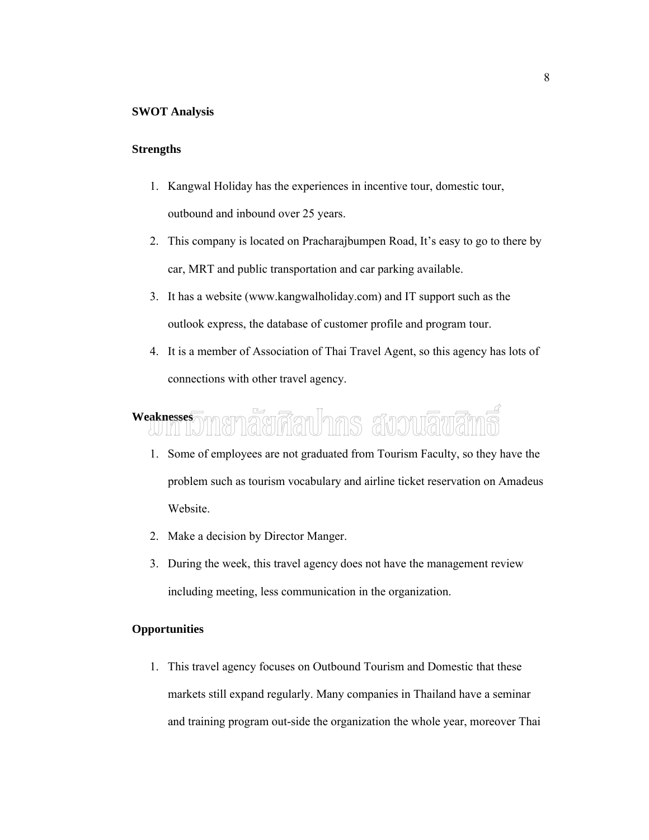### **SWOT Analysis**

### **Strengths**

- 1. Kangwal Holiday has the experiences in incentive tour, domestic tour, outbound and inbound over 25 years.
- 2. This company is located on Pracharajbumpen Road, It's easy to go to there by car, MRT and public transportation and car parking available.
- 3. It has a website (www.kangwalholiday.com) and IT support such as the outlook express, the database of customer profile and program tour.
- 4. It is a member of Association of Thai Travel Agent, so this agency has lots of connections with other travel agency.

## Weaknesses and Manager and Manager and War and The Manager and War and The Manager and War

- 1. Some of employees are not graduated from Tourism Faculty, so they have the problem such as tourism vocabulary and airline ticket reservation on Amadeus Website.
- 2. Make a decision by Director Manger.
- 3. During the week, this travel agency does not have the management review including meeting, less communication in the organization.

### **Opportunities**

1. This travel agency focuses on Outbound Tourism and Domestic that these markets still expand regularly. Many companies in Thailand have a seminar and training program out-side the organization the whole year, moreover Thai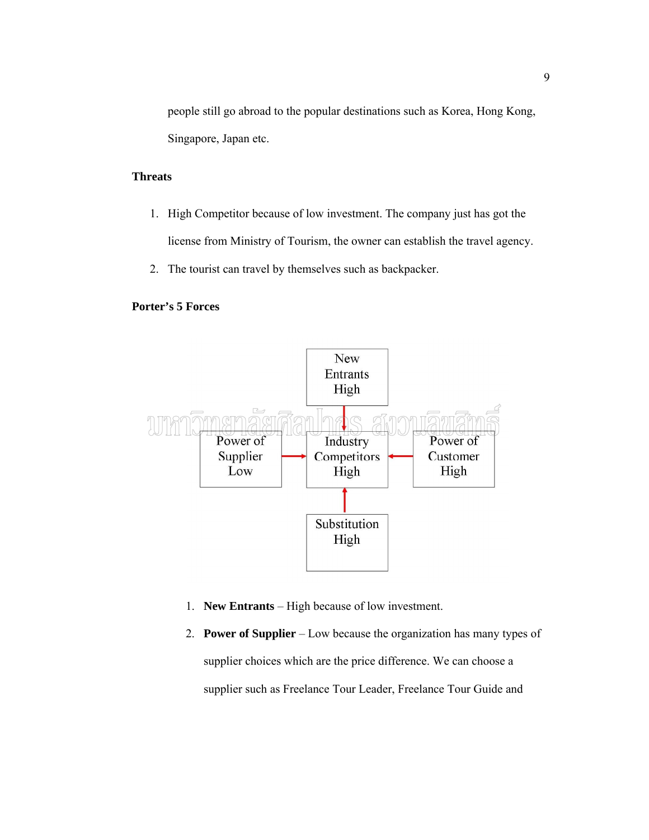people still go abroad to the popular destinations such as Korea, Hong Kong, Singapore, Japan etc.

### **Threats**

- 1. High Competitor because of low investment. The company just has got the license from Ministry of Tourism, the owner can establish the travel agency.
- 2. The tourist can travel by themselves such as backpacker.

### **Porter's 5 Forces**



- 1. **New Entrants** High because of low investment.
- 2. **Power of Supplier** Low because the organization has many types of supplier choices which are the price difference. We can choose a supplier such as Freelance Tour Leader, Freelance Tour Guide and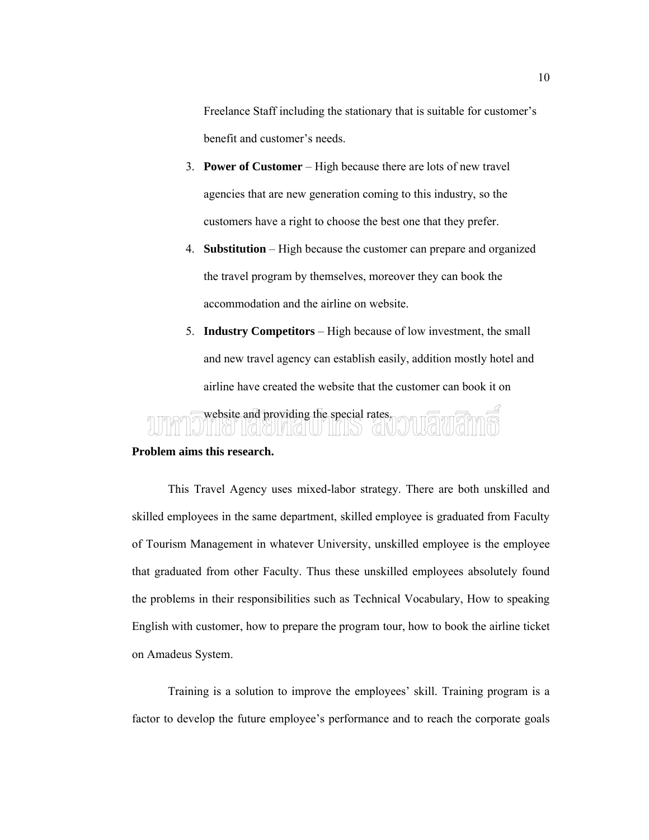Freelance Staff including the stationary that is suitable for customer's benefit and customer's needs.

- 3. **Power of Customer** High because there are lots of new travel agencies that are new generation coming to this industry, so the customers have a right to choose the best one that they prefer.
- 4. **Substitution** High because the customer can prepare and organized the travel program by themselves, moreover they can book the accommodation and the airline on website.
- 5. **Industry Competitors** High because of low investment, the small and new travel agency can establish easily, addition mostly hotel and airline have created the website that the customer can book it on

### website and providing the special rates.

### **Problem aims this research.**

This Travel Agency uses mixed-labor strategy. There are both unskilled and skilled employees in the same department, skilled employee is graduated from Faculty of Tourism Management in whatever University, unskilled employee is the employee that graduated from other Faculty. Thus these unskilled employees absolutely found the problems in their responsibilities such as Technical Vocabulary, How to speaking English with customer, how to prepare the program tour, how to book the airline ticket on Amadeus System.

Training is a solution to improve the employees' skill. Training program is a factor to develop the future employee's performance and to reach the corporate goals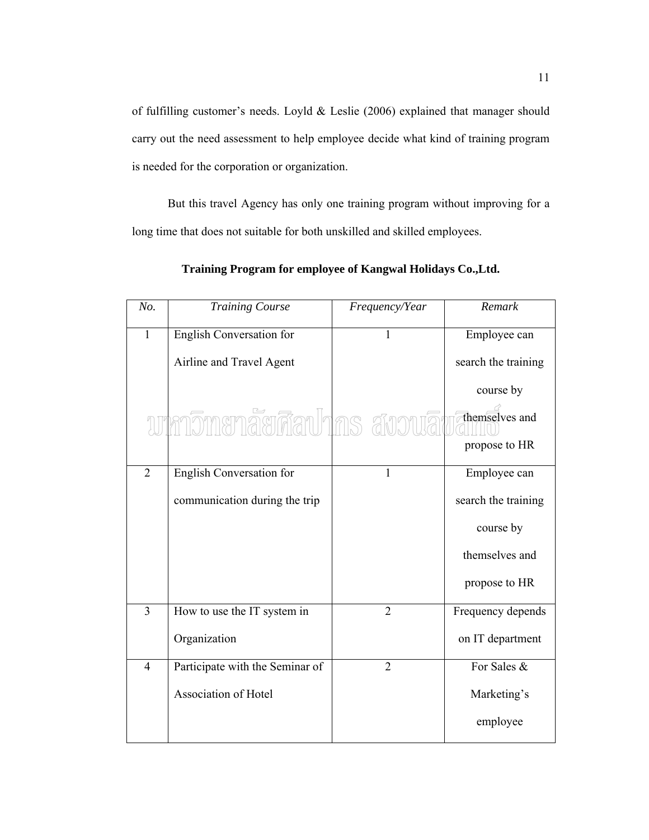of fulfilling customer's needs. Loyld & Leslie (2006) explained that manager should carry out the need assessment to help employee decide what kind of training program is needed for the corporation or organization.

But this travel Agency has only one training program without improving for a long time that does not suitable for both unskilled and skilled employees.

| No.            | <b>Training Course</b>          | Frequency/Year | Remark              |
|----------------|---------------------------------|----------------|---------------------|
| $\mathbf{1}$   | English Conversation for        | 1              | Employee can        |
|                | Airline and Travel Agent        |                | search the training |
|                |                                 |                | course by           |
|                | ทกาวิทยาลัยศิลปากร สงวนลิเ      |                | themselves and      |
|                |                                 |                | propose to HR       |
| $\overline{2}$ | English Conversation for        | 1              | Employee can        |
|                | communication during the trip   |                | search the training |
|                |                                 |                | course by           |
|                |                                 |                | themselves and      |
|                |                                 |                | propose to HR       |
| 3              | How to use the IT system in     | $\overline{2}$ | Frequency depends   |
|                | Organization                    |                | on IT department    |
| $\overline{4}$ | Participate with the Seminar of | $\overline{2}$ | For Sales &         |
|                | Association of Hotel            |                | Marketing's         |
|                |                                 |                | employee            |

**Training Program for employee of Kangwal Holidays Co.,Ltd.**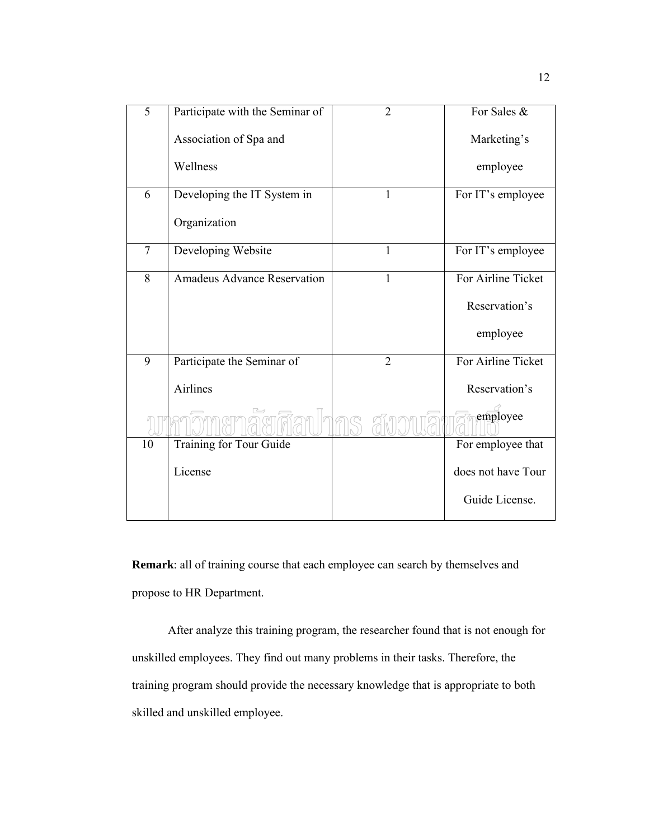| 5      | Participate with the Seminar of    | $\overline{2}$ | For Sales &        |
|--------|------------------------------------|----------------|--------------------|
|        | Association of Spa and             |                | Marketing's        |
|        | Wellness                           |                | employee           |
| 6      | Developing the IT System in        | $\mathbf{1}$   | For IT's employee  |
|        | Organization                       |                |                    |
| $\tau$ | Developing Website                 | 1              | For IT's employee  |
| 8      | <b>Amadeus Advance Reservation</b> | 1              | For Airline Ticket |
|        |                                    |                | Reservation's      |
|        |                                    |                | employee           |
| 9      | Participate the Seminar of         | $\overline{2}$ | For Airline Ticket |
|        | Airlines                           |                | Reservation's      |
|        |                                    |                | employee           |
| 10     | Training for Tour Guide            |                | For employee that  |
|        | License                            |                | does not have Tour |
|        |                                    |                | Guide License.     |

**Remark**: all of training course that each employee can search by themselves and propose to HR Department.

After analyze this training program, the researcher found that is not enough for unskilled employees. They find out many problems in their tasks. Therefore, the training program should provide the necessary knowledge that is appropriate to both skilled and unskilled employee.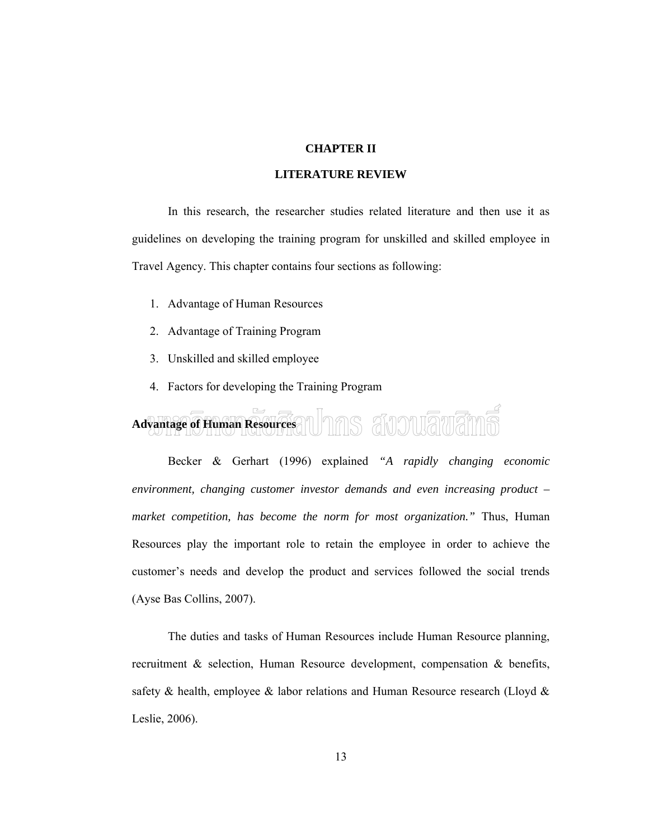### **CHAPTER II**

### **LITERATURE REVIEW**

In this research, the researcher studies related literature and then use it as guidelines on developing the training program for unskilled and skilled employee in Travel Agency. This chapter contains four sections as following:

- 1. Advantage of Human Resources
- 2. Advantage of Training Program
- 3. Unskilled and skilled employee
- 4. Factors for developing the Training Program

### Advantage of Human Resources and Tabo and Dualua

Becker & Gerhart (1996) explained *"A rapidly changing economic environment, changing customer investor demands and even increasing product – market competition, has become the norm for most organization."* Thus, Human Resources play the important role to retain the employee in order to achieve the customer's needs and develop the product and services followed the social trends (Ayse Bas Collins, 2007).

The duties and tasks of Human Resources include Human Resource planning, recruitment & selection, Human Resource development, compensation & benefits, safety & health, employee & labor relations and Human Resource research (Lloyd & Leslie, 2006).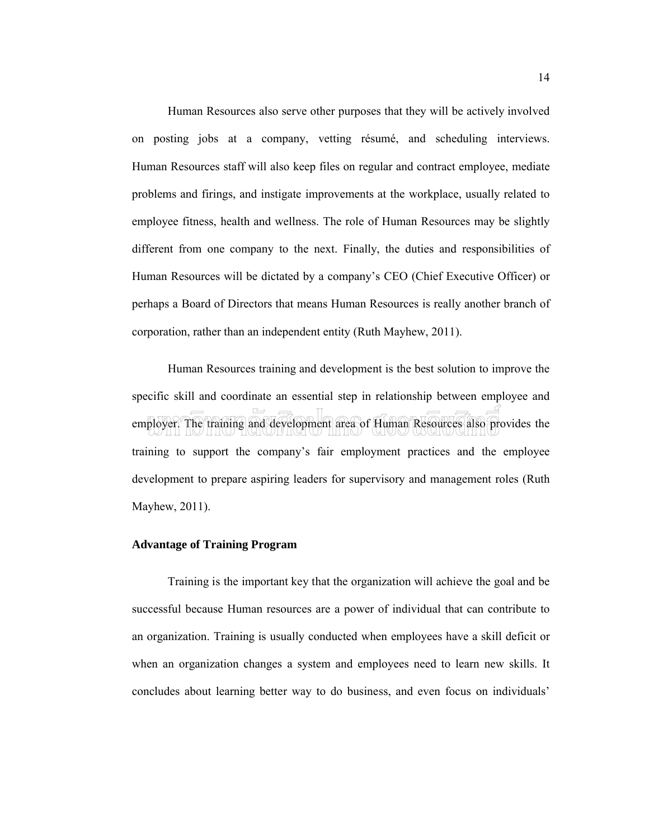Human Resources also serve other purposes that they will be actively involved on posting jobs at a company, vetting résumé, and scheduling interviews. Human Resources staff will also keep files on regular and contract employee, mediate problems and firings, and instigate improvements at the workplace, usually related to employee fitness, health and wellness. The role of Human Resources may be slightly different from one company to the next. Finally, the duties and responsibilities of Human Resources will be dictated by a company's CEO (Chief Executive Officer) or perhaps a Board of Directors that means Human Resources is really another branch of corporation, rather than an independent entity (Ruth Mayhew, 2011).

Human Resources training and development is the best solution to improve the specific skill and coordinate an essential step in relationship between employee and employer. The training and development area of Human Resources also provides the training to support the company's fair employment practices and the employee development to prepare aspiring leaders for supervisory and management roles (Ruth Mayhew, 2011).

### **Advantage of Training Program**

Training is the important key that the organization will achieve the goal and be successful because Human resources are a power of individual that can contribute to an organization. Training is usually conducted when employees have a skill deficit or when an organization changes a system and employees need to learn new skills. It concludes about learning better way to do business, and even focus on individuals'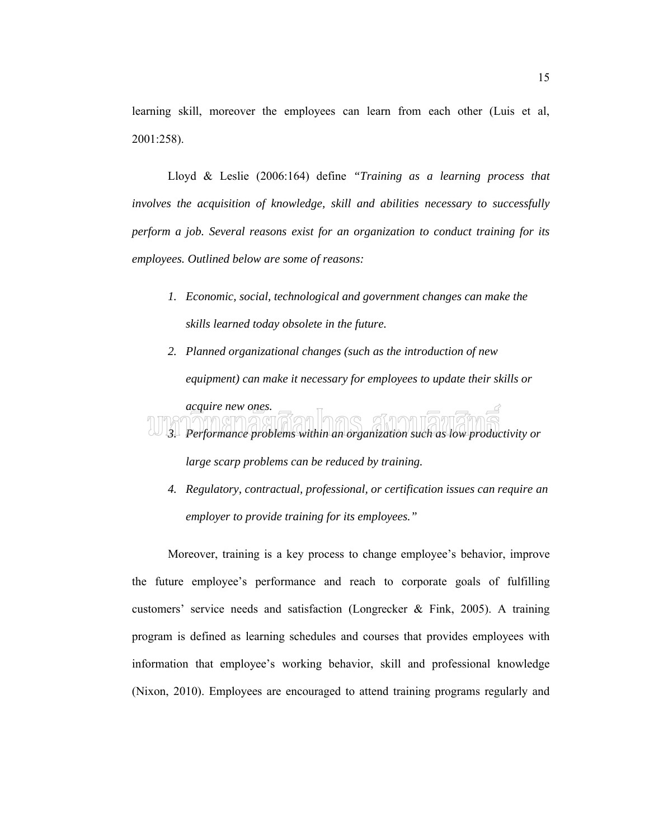learning skill, moreover the employees can learn from each other (Luis et al, 2001:258).

Lloyd & Leslie (2006:164) define *"Training as a learning process that involves the acquisition of knowledge, skill and abilities necessary to successfully perform a job. Several reasons exist for an organization to conduct training for its employees. Outlined below are some of reasons:*

- *1. Economic, social, technological and government changes can make the skills learned today obsolete in the future.*
- *2. Planned organizational changes (such as the introduction of new equipment) can make it necessary for employees to update their skills or*



*large scarp problems can be reduced by training.*

*4. Regulatory, contractual, professional, or certification issues can require an employer to provide training for its employees."*

Moreover, training is a key process to change employee's behavior, improve the future employee's performance and reach to corporate goals of fulfilling customers' service needs and satisfaction (Longrecker & Fink, 2005). A training program is defined as learning schedules and courses that provides employees with information that employee's working behavior, skill and professional knowledge (Nixon, 2010). Employees are encouraged to attend training programs regularly and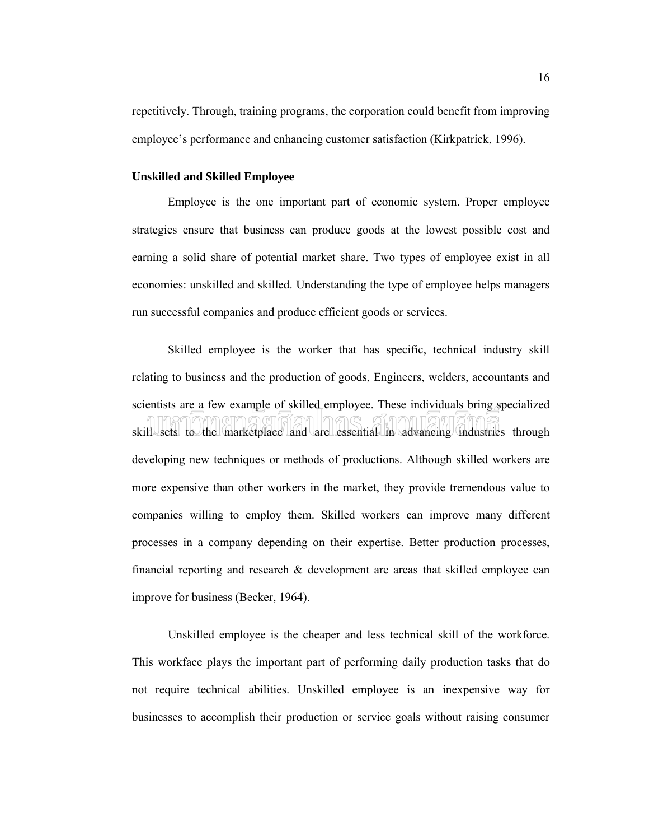repetitively. Through, training programs, the corporation could benefit from improving employee's performance and enhancing customer satisfaction (Kirkpatrick, 1996).

### **Unskilled and Skilled Employee**

Employee is the one important part of economic system. Proper employee strategies ensure that business can produce goods at the lowest possible cost and earning a solid share of potential market share. Two types of employee exist in all economies: unskilled and skilled. Understanding the type of employee helps managers run successful companies and produce efficient goods or services.

Skilled employee is the worker that has specific, technical industry skill relating to business and the production of goods, Engineers, welders, accountants and scientists are a few example of skilled employee. These individuals bring specialized skill sets to the marketplace and are essential in advancing industries through developing new techniques or methods of productions. Although skilled workers are more expensive than other workers in the market, they provide tremendous value to companies willing to employ them. Skilled workers can improve many different processes in a company depending on their expertise. Better production processes, financial reporting and research & development are areas that skilled employee can improve for business (Becker, 1964).

Unskilled employee is the cheaper and less technical skill of the workforce. This workface plays the important part of performing daily production tasks that do not require technical abilities. Unskilled employee is an inexpensive way for businesses to accomplish their production or service goals without raising consumer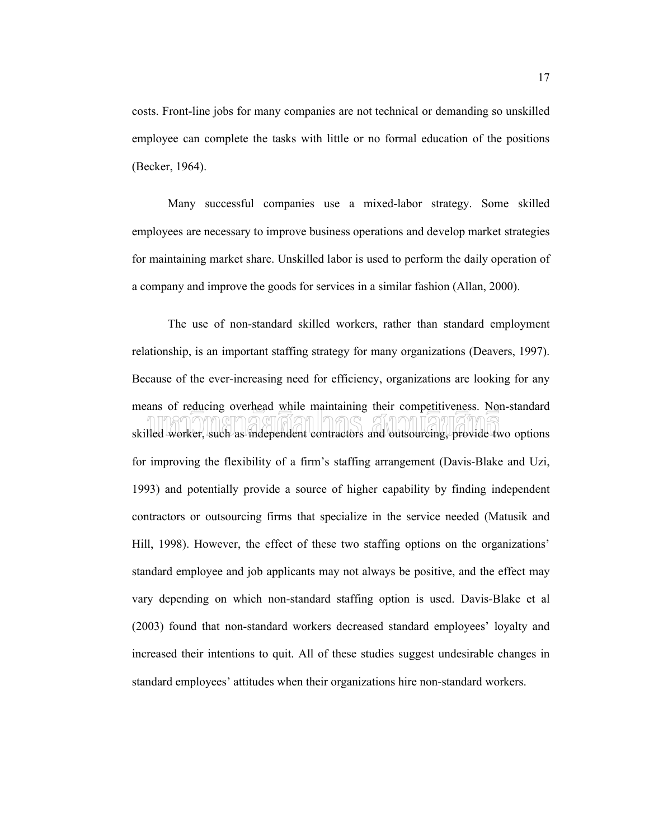costs. Front-line jobs for many companies are not technical or demanding so unskilled employee can complete the tasks with little or no formal education of the positions (Becker, 1964).

Many successful companies use a mixed-labor strategy. Some skilled employees are necessary to improve business operations and develop market strategies for maintaining market share. Unskilled labor is used to perform the daily operation of a company and improve the goods for services in a similar fashion (Allan, 2000).

The use of non-standard skilled workers, rather than standard employment relationship, is an important staffing strategy for many organizations (Deavers, 1997). Because of the ever-increasing need for efficiency, organizations are looking for any means of reducing overhead while maintaining their competitiveness. Non-standard skilled worker, such as independent contractors and outsourcing, provide two options for improving the flexibility of a firm's staffing arrangement (Davis-Blake and Uzi, 1993) and potentially provide a source of higher capability by finding independent contractors or outsourcing firms that specialize in the service needed (Matusik and Hill, 1998). However, the effect of these two staffing options on the organizations' standard employee and job applicants may not always be positive, and the effect may vary depending on which non-standard staffing option is used. Davis-Blake et al (2003) found that non-standard workers decreased standard employees' loyalty and increased their intentions to quit. All of these studies suggest undesirable changes in standard employees' attitudes when their organizations hire non-standard workers.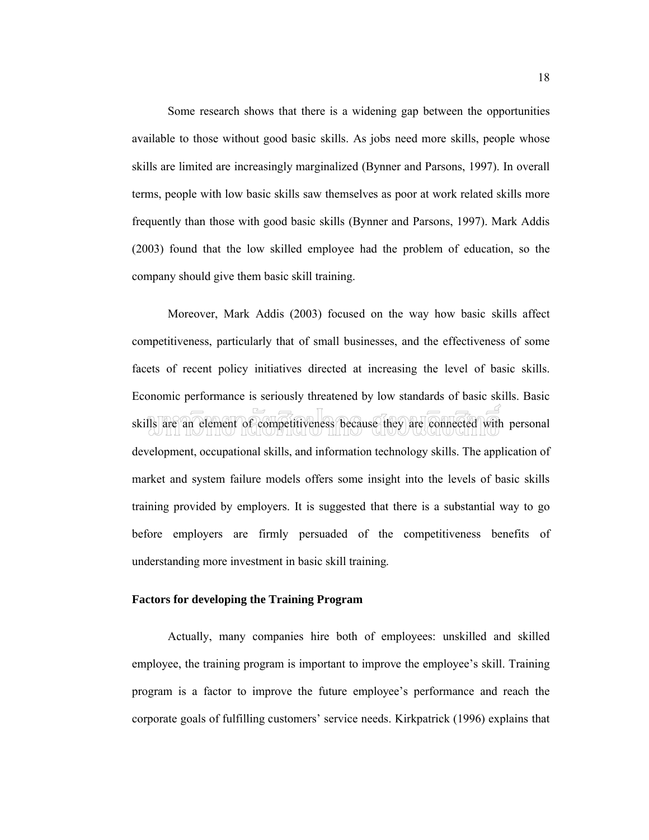Some research shows that there is a widening gap between the opportunities available to those without good basic skills. As jobs need more skills, people whose skills are limited are increasingly marginalized (Bynner and Parsons, 1997). In overall terms, people with low basic skills saw themselves as poor at work related skills more frequently than those with good basic skills (Bynner and Parsons, 1997). Mark Addis (2003) found that the low skilled employee had the problem of education, so the company should give them basic skill training.

Moreover, Mark Addis (2003) focused on the way how basic skills affect competitiveness, particularly that of small businesses, and the effectiveness of some facets of recent policy initiatives directed at increasing the level of basic skills. Economic performance is seriously threatened by low standards of basic skills. Basic skills are an element of competitiveness because they are connected with personal development, occupational skills, and information technology skills. The application of market and system failure models offers some insight into the levels of basic skills training provided by employers. It is suggested that there is a substantial way to go before employers are firmly persuaded of the competitiveness benefits of understanding more investment in basic skill training.

### **Factors for developing the Training Program**

Actually, many companies hire both of employees: unskilled and skilled employee, the training program is important to improve the employee's skill. Training program is a factor to improve the future employee's performance and reach the corporate goals of fulfilling customers' service needs. Kirkpatrick (1996) explains that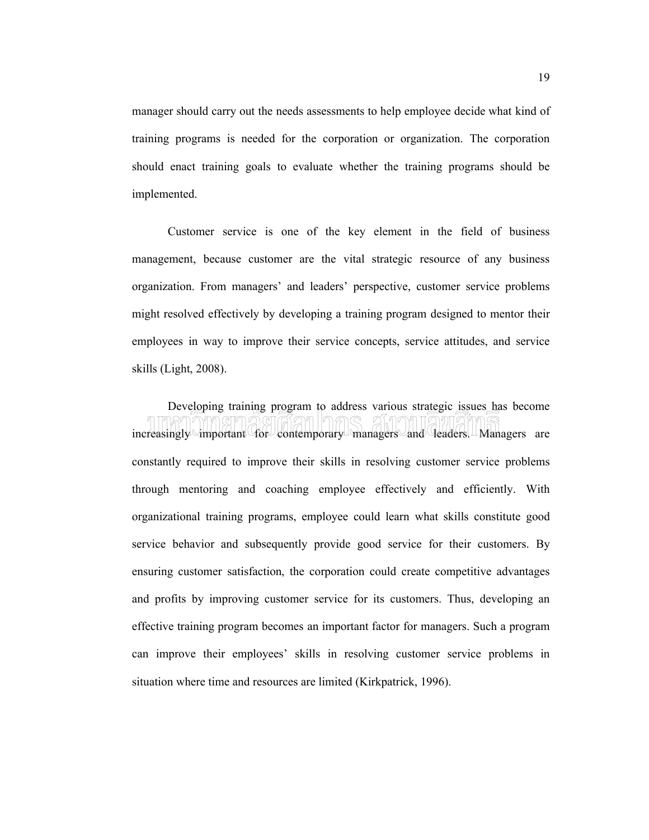manager should carry out the needs assessments to help employee decide what kind of training programs is needed for the corporation or organization. The corporation should enact training goals to evaluate whether the training programs should be implemented.

Customer service is one of the key element in the field of business management, because customer are the vital strategic resource of any business organization. From managers' and leaders' perspective, customer service problems might resolved effectively by developing a training program designed to mentor their employees in way to improve their service concepts, service attitudes, and service skills (Light, 2008).

Developing training program to address various strategic issues has become increasingly important for contemporary managers and leaders. Managers are constantly required to improve their skills in resolving customer service problems through mentoring and coaching employee effectively and efficiently. With organizational training programs, employee could learn what skills constitute good service behavior and subsequently provide good service for their customers. By ensuring customer satisfaction, the corporation could create competitive advantages and profits by improving customer service for its customers. Thus, developing an effective training program becomes an important factor for managers. Such a program can improve their employees' skills in resolving customer service problems in situation where time and resources are limited (Kirkpatrick, 1996).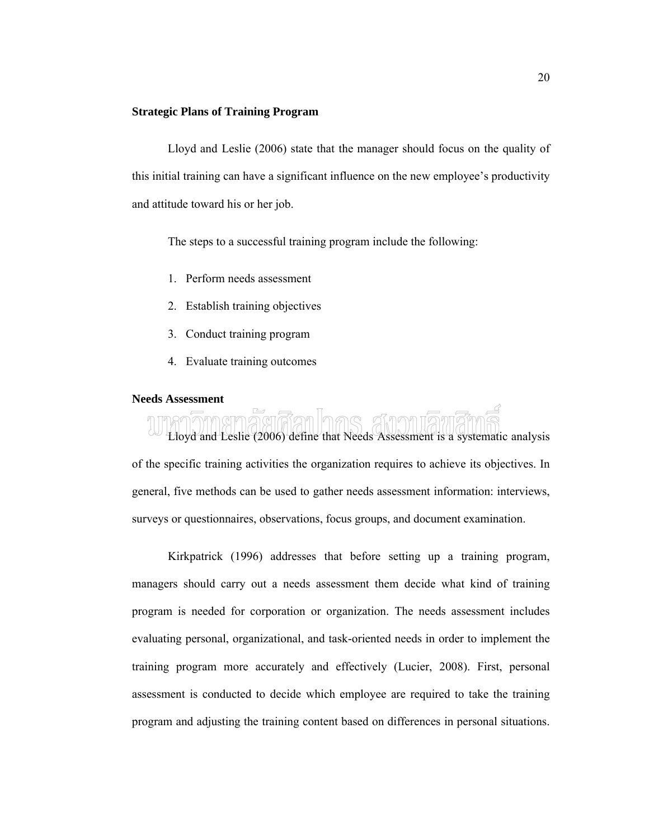### **Strategic Plans of Training Program**

Lloyd and Leslie (2006) state that the manager should focus on the quality of this initial training can have a significant influence on the new employee's productivity and attitude toward his or her job.

The steps to a successful training program include the following:

- 1. Perform needs assessment
- 2. Establish training objectives
- 3. Conduct training program
- 4. Evaluate training outcomes

### **Needs Assessment**

Lloyd and Leslie (2006) define that Needs Assessment is a systematic analysis of the specific training activities the organization requires to achieve its objectives. In general, five methods can be used to gather needs assessment information: interviews, surveys or questionnaires, observations, focus groups, and document examination.

Kirkpatrick (1996) addresses that before setting up a training program, managers should carry out a needs assessment them decide what kind of training program is needed for corporation or organization. The needs assessment includes evaluating personal, organizational, and task-oriented needs in order to implement the training program more accurately and effectively (Lucier, 2008). First, personal assessment is conducted to decide which employee are required to take the training program and adjusting the training content based on differences in personal situations.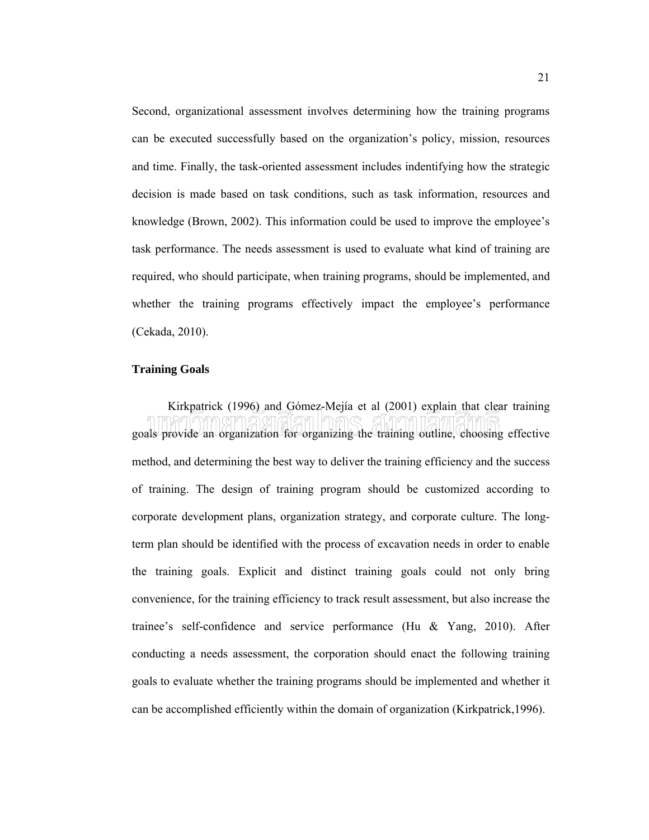Second, organizational assessment involves determining how the training programs can be executed successfully based on the organization's policy, mission, resources and time. Finally, the task-oriented assessment includes indentifying how the strategic decision is made based on task conditions, such as task information, resources and knowledge (Brown, 2002). This information could be used to improve the employee's task performance. The needs assessment is used to evaluate what kind of training are required, who should participate, when training programs, should be implemented, and whether the training programs effectively impact the employee's performance (Cekada, 2010).

### **Training Goals**

Kirkpatrick (1996) and Gómez-Mejía et al (2001) explain that clear training goals provide an organization for organizing the training outline, choosing effective method, and determining the best way to deliver the training efficiency and the success of training. The design of training program should be customized according to corporate development plans, organization strategy, and corporate culture. The longterm plan should be identified with the process of excavation needs in order to enable the training goals. Explicit and distinct training goals could not only bring convenience, for the training efficiency to track result assessment, but also increase the trainee's self-confidence and service performance (Hu & Yang, 2010). After conducting a needs assessment, the corporation should enact the following training goals to evaluate whether the training programs should be implemented and whether it can be accomplished efficiently within the domain of organization (Kirkpatrick,1996).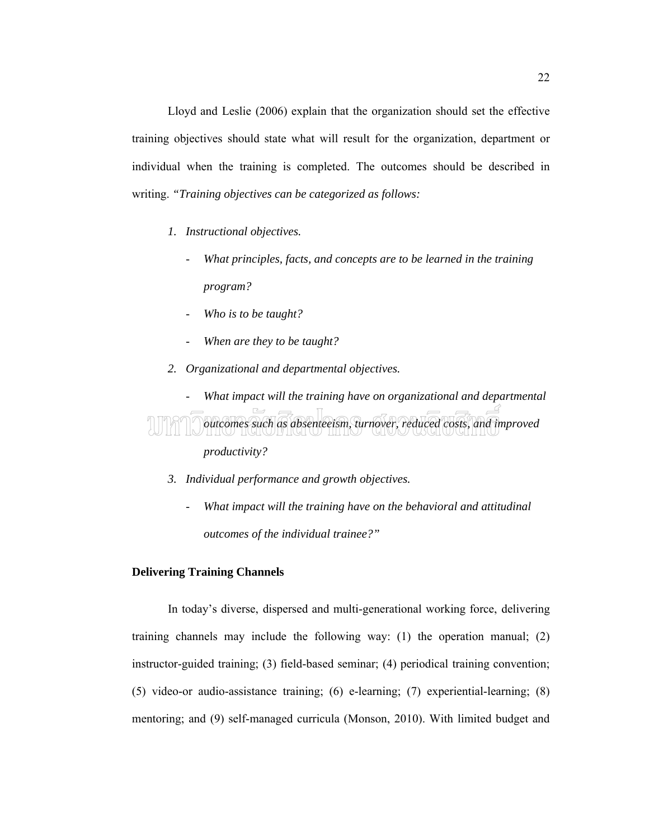Lloyd and Leslie (2006) explain that the organization should set the effective training objectives should state what will result for the organization, department or individual when the training is completed. The outcomes should be described in writing. *"Training objectives can be categorized as follows:*

- *1. Instructional objectives.*
	- *What principles, facts, and concepts are to be learned in the training program?*
	- *Who is to be taught?*
	- *When are they to be taught?*
- *2. Organizational and departmental objectives.*

- *What impact will the training have on organizational and departmental outcomes such as absenteeism, turnover, reduced costs, and improved productivity?*

- *3. Individual performance and growth objectives.*
	- *What impact will the training have on the behavioral and attitudinal outcomes of the individual trainee?"*

### **Delivering Training Channels**

In today's diverse, dispersed and multi-generational working force, delivering training channels may include the following way: (1) the operation manual; (2) instructor-guided training; (3) field-based seminar; (4) periodical training convention; (5) video-or audio-assistance training; (6) e-learning; (7) experiential-learning; (8) mentoring; and (9) self-managed curricula (Monson, 2010). With limited budget and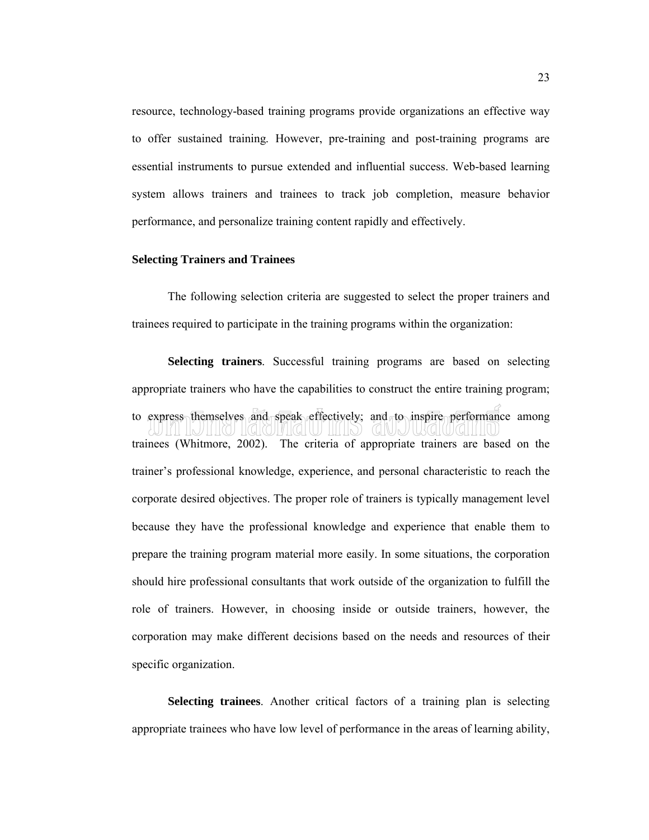resource, technology-based training programs provide organizations an effective way to offer sustained training. However, pre-training and post-training programs are essential instruments to pursue extended and influential success. Web-based learning system allows trainers and trainees to track job completion, measure behavior performance, and personalize training content rapidly and effectively.

### **Selecting Trainers and Trainees**

The following selection criteria are suggested to select the proper trainers and trainees required to participate in the training programs within the organization:

**Selecting trainers**. Successful training programs are based on selecting appropriate trainers who have the capabilities to construct the entire training program; to express themselves and speak effectively; and to inspire performance among trainees (Whitmore, 2002). The criteria of appropriate trainers are based on the trainer's professional knowledge, experience, and personal characteristic to reach the corporate desired objectives. The proper role of trainers is typically management level because they have the professional knowledge and experience that enable them to prepare the training program material more easily. In some situations, the corporation should hire professional consultants that work outside of the organization to fulfill the role of trainers. However, in choosing inside or outside trainers, however, the corporation may make different decisions based on the needs and resources of their specific organization.

**Selecting trainees**. Another critical factors of a training plan is selecting appropriate trainees who have low level of performance in the areas of learning ability,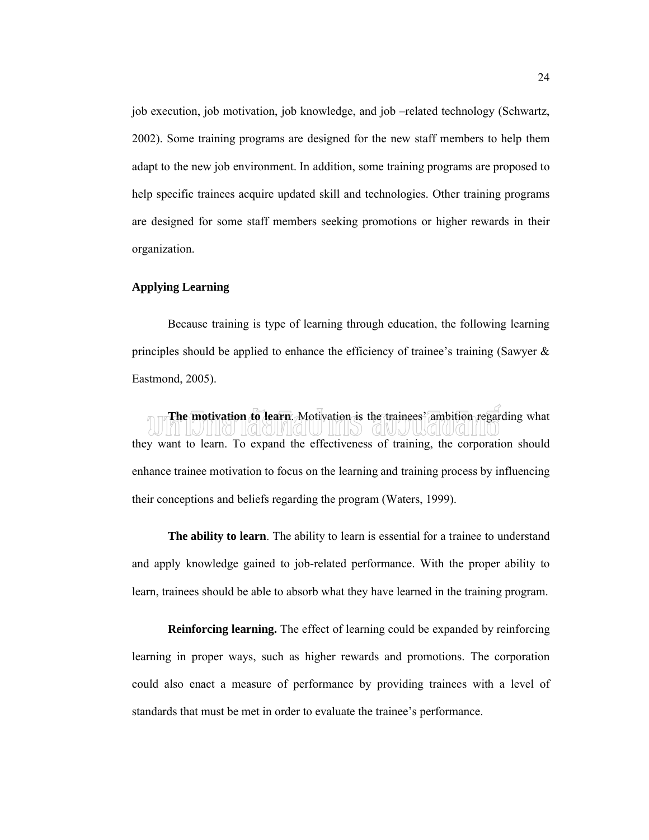job execution, job motivation, job knowledge, and job –related technology (Schwartz, 2002). Some training programs are designed for the new staff members to help them adapt to the new job environment. In addition, some training programs are proposed to help specific trainees acquire updated skill and technologies. Other training programs are designed for some staff members seeking promotions or higher rewards in their organization.

### **Applying Learning**

Because training is type of learning through education, the following learning principles should be applied to enhance the efficiency of trainee's training (Sawyer  $\&$ Eastmond, 2005).

**The motivation to learn.** Motivation is the trainees' ambition regarding what they want to learn. To expand the effectiveness of training, the corporation should enhance trainee motivation to focus on the learning and training process by influencing their conceptions and beliefs regarding the program (Waters, 1999).

**The ability to learn**. The ability to learn is essential for a trainee to understand and apply knowledge gained to job-related performance. With the proper ability to learn, trainees should be able to absorb what they have learned in the training program.

**Reinforcing learning.** The effect of learning could be expanded by reinforcing learning in proper ways, such as higher rewards and promotions. The corporation could also enact a measure of performance by providing trainees with a level of standards that must be met in order to evaluate the trainee's performance.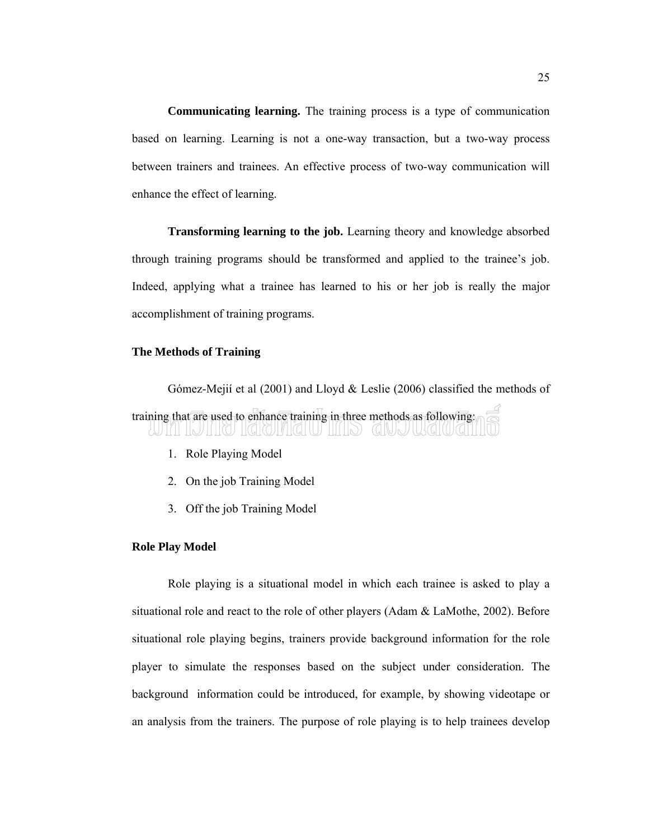**Communicating learning.** The training process is a type of communication based on learning. Learning is not a one-way transaction, but a two-way process between trainers and trainees. An effective process of two-way communication will enhance the effect of learning.

**Transforming learning to the job.** Learning theory and knowledge absorbed through training programs should be transformed and applied to the trainee's job. Indeed, applying what a trainee has learned to his or her job is really the major accomplishment of training programs.

### **The Methods of Training**

Gómez-Mejií et al (2001) and Lloyd & Leslie (2006) classified the methods of training that are used to enhance training in three methods as following: <u>III INIHQIMQIU IIIIID)</u>  $(G|U|_N)$ 

- 1. Role Playing Model
- 2. On the job Training Model
- 3. Off the job Training Model

### **Role Play Model**

Role playing is a situational model in which each trainee is asked to play a situational role and react to the role of other players (Adam & LaMothe, 2002). Before situational role playing begins, trainers provide background information for the role player to simulate the responses based on the subject under consideration. The background information could be introduced, for example, by showing videotape or an analysis from the trainers. The purpose of role playing is to help trainees develop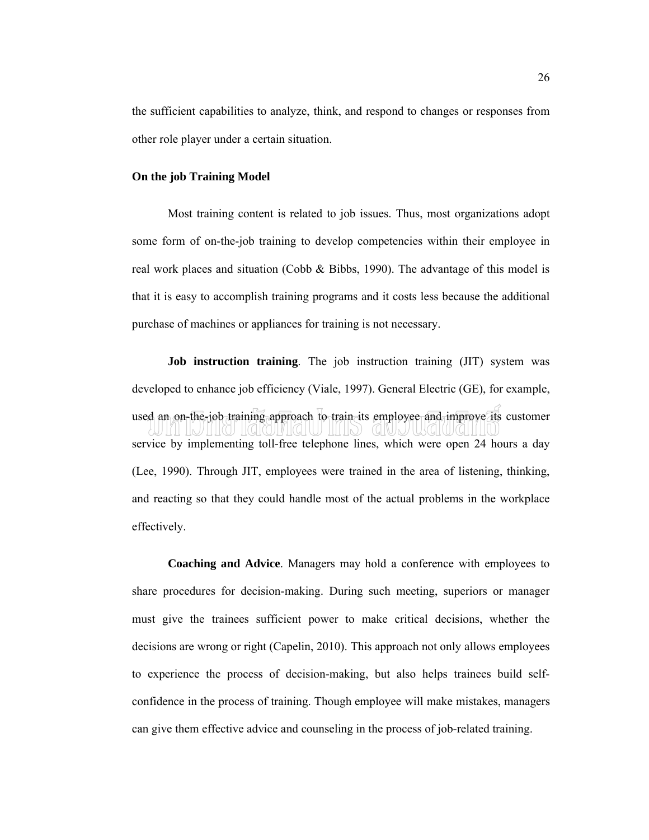the sufficient capabilities to analyze, think, and respond to changes or responses from other role player under a certain situation.

### **On the job Training Model**

Most training content is related to job issues. Thus, most organizations adopt some form of on-the-job training to develop competencies within their employee in real work places and situation (Cobb & Bibbs, 1990). The advantage of this model is that it is easy to accomplish training programs and it costs less because the additional purchase of machines or appliances for training is not necessary.

**Job instruction training**. The job instruction training (JIT) system was developed to enhance job efficiency (Viale, 1997). General Electric (GE), for example, used an on-the-job training approach to train its employee and improve its customer service by implementing toll-free telephone lines, which were open 24 hours a day (Lee, 1990). Through JIT, employees were trained in the area of listening, thinking, and reacting so that they could handle most of the actual problems in the workplace effectively.

**Coaching and Advice**. Managers may hold a conference with employees to share procedures for decision-making. During such meeting, superiors or manager must give the trainees sufficient power to make critical decisions, whether the decisions are wrong or right (Capelin, 2010). This approach not only allows employees to experience the process of decision-making, but also helps trainees build selfconfidence in the process of training. Though employee will make mistakes, managers can give them effective advice and counseling in the process of job-related training.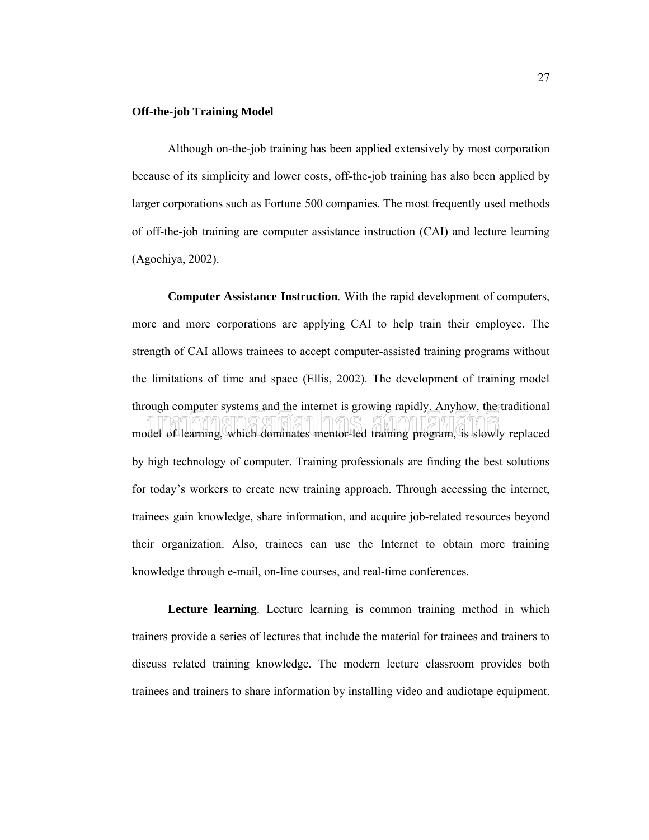### **Off-the-job Training Model**

Although on-the-job training has been applied extensively by most corporation because of its simplicity and lower costs, off-the-job training has also been applied by larger corporations such as Fortune 500 companies. The most frequently used methods of off-the-job training are computer assistance instruction (CAI) and lecture learning (Agochiya, 2002).

**Computer Assistance Instruction**. With the rapid development of computers, more and more corporations are applying CAI to help train their employee. The strength of CAI allows trainees to accept computer-assisted training programs without the limitations of time and space (Ellis, 2002). The development of training model through computer systems and the internet is growing rapidly. Anyhow, the traditional model of learning, which dominates mentor-led training program, is slowly replaced by high technology of computer. Training professionals are finding the best solutions for today's workers to create new training approach. Through accessing the internet, trainees gain knowledge, share information, and acquire job-related resources beyond their organization. Also, trainees can use the Internet to obtain more training knowledge through e-mail, on-line courses, and real-time conferences.

**Lecture learning**. Lecture learning is common training method in which trainers provide a series of lectures that include the material for trainees and trainers to discuss related training knowledge. The modern lecture classroom provides both trainees and trainers to share information by installing video and audiotape equipment.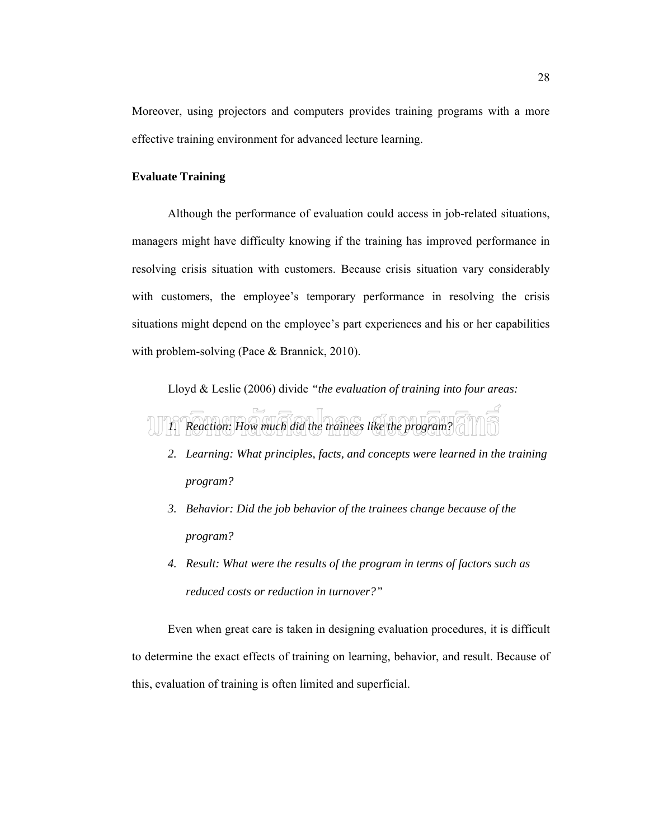Moreover, using projectors and computers provides training programs with a more effective training environment for advanced lecture learning.

### **Evaluate Training**

Although the performance of evaluation could access in job-related situations, managers might have difficulty knowing if the training has improved performance in resolving crisis situation with customers. Because crisis situation vary considerably with customers, the employee's temporary performance in resolving the crisis situations might depend on the employee's part experiences and his or her capabilities with problem-solving (Pace & Brannick, 2010).

Lloyd & Leslie (2006) divide *"the evaluation of training into four areas:*



- *2. Learning: What principles, facts, and concepts were learned in the training program?*
- *3. Behavior: Did the job behavior of the trainees change because of the program?*
- *4. Result: What were the results of the program in terms of factors such as reduced costs or reduction in turnover?"*

Even when great care is taken in designing evaluation procedures, it is difficult to determine the exact effects of training on learning, behavior, and result. Because of this, evaluation of training is often limited and superficial.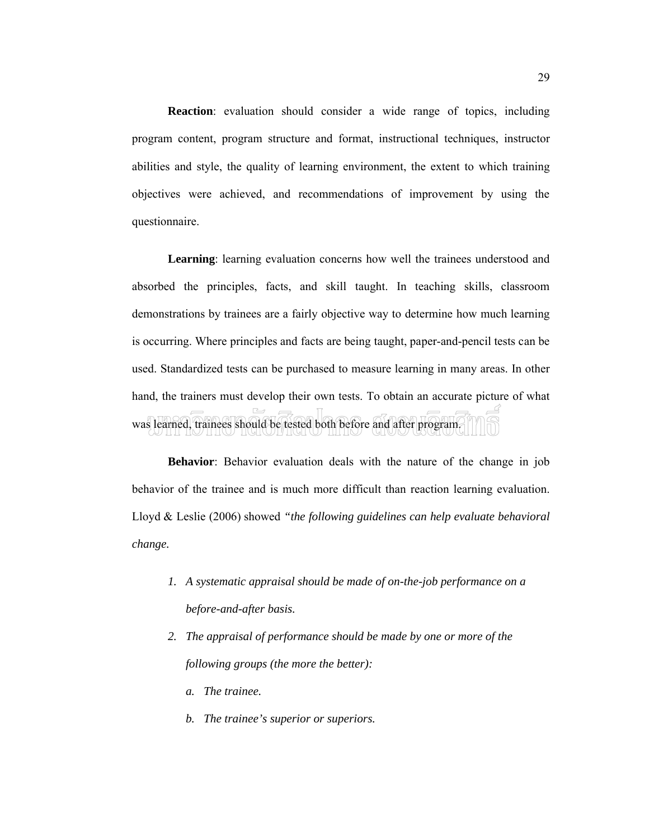**Reaction**: evaluation should consider a wide range of topics, including program content, program structure and format, instructional techniques, instructor abilities and style, the quality of learning environment, the extent to which training objectives were achieved, and recommendations of improvement by using the questionnaire.

**Learning**: learning evaluation concerns how well the trainees understood and absorbed the principles, facts, and skill taught. In teaching skills, classroom demonstrations by trainees are a fairly objective way to determine how much learning is occurring. Where principles and facts are being taught, paper-and-pencil tests can be used. Standardized tests can be purchased to measure learning in many areas. In other hand, the trainers must develop their own tests. To obtain an accurate picture of what was learned, trainees should be tested both before and after program.

**Behavior**: Behavior evaluation deals with the nature of the change in job behavior of the trainee and is much more difficult than reaction learning evaluation. Lloyd & Leslie (2006) showed *"the following guidelines can help evaluate behavioral change.*

- *1. A systematic appraisal should be made of on-the-job performance on a before-and-after basis.*
- *2. The appraisal of performance should be made by one or more of the following groups (the more the better):*
	- *a. The trainee.*
	- *b. The trainee's superior or superiors.*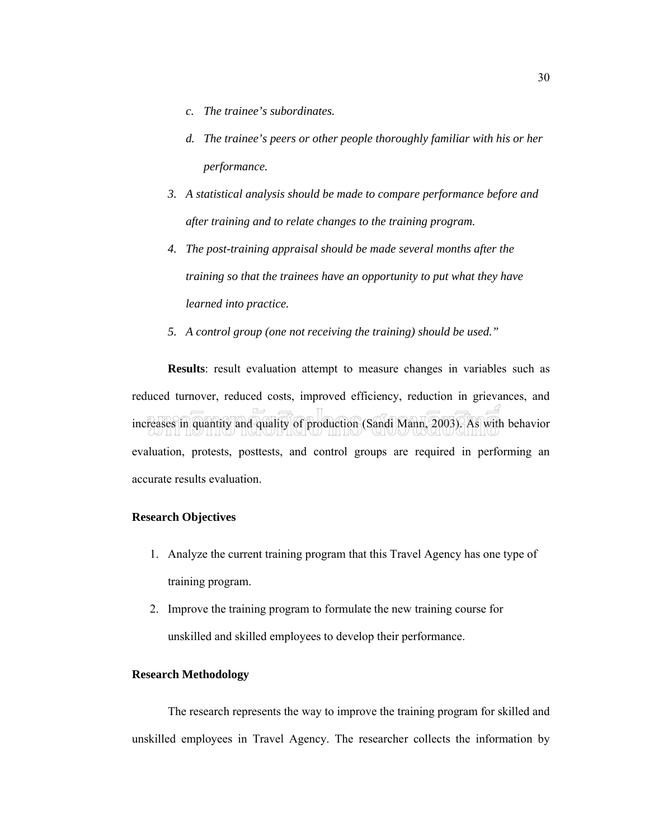- *c. The trainee's subordinates.*
- *d. The trainee's peers or other people thoroughly familiar with his or her performance.*
- *3. A statistical analysis should be made to compare performance before and after training and to relate changes to the training program.*
- *4. The post-training appraisal should be made several months after the training so that the trainees have an opportunity to put what they have learned into practice.*
- *5. A control group (one not receiving the training) should be used."*

**Results**: result evaluation attempt to measure changes in variables such as reduced turnover, reduced costs, improved efficiency, reduction in grievances, and increases in quantity and quality of production (Sandi Mann, 2003). As with behavior evaluation, protests, posttests, and control groups are required in performing an accurate results evaluation.

#### **Research Objectives**

- 1. Analyze the current training program that this Travel Agency has one type of training program.
- 2. Improve the training program to formulate the new training course for unskilled and skilled employees to develop their performance.

#### **Research Methodology**

The research represents the way to improve the training program for skilled and unskilled employees in Travel Agency. The researcher collects the information by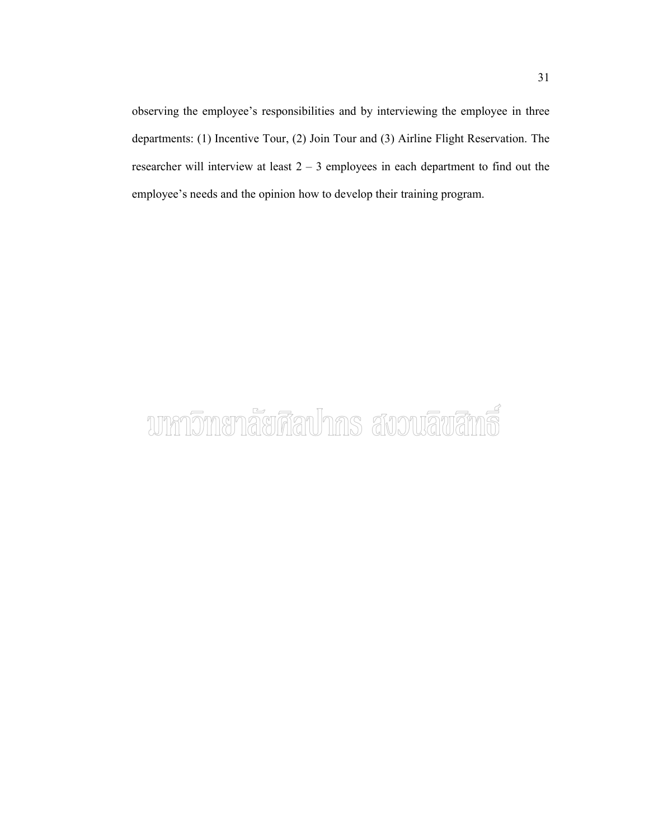observing the employee's responsibilities and by interviewing the employee in three departments: (1) Incentive Tour, (2) Join Tour and (3) Airline Flight Reservation. The researcher will interview at least 2 – 3 employees in each department to find out the employee's needs and the opinion how to develop their training program.

# บาหาวิทยาลัยศิลปากร สงวนลิขสิทธิ์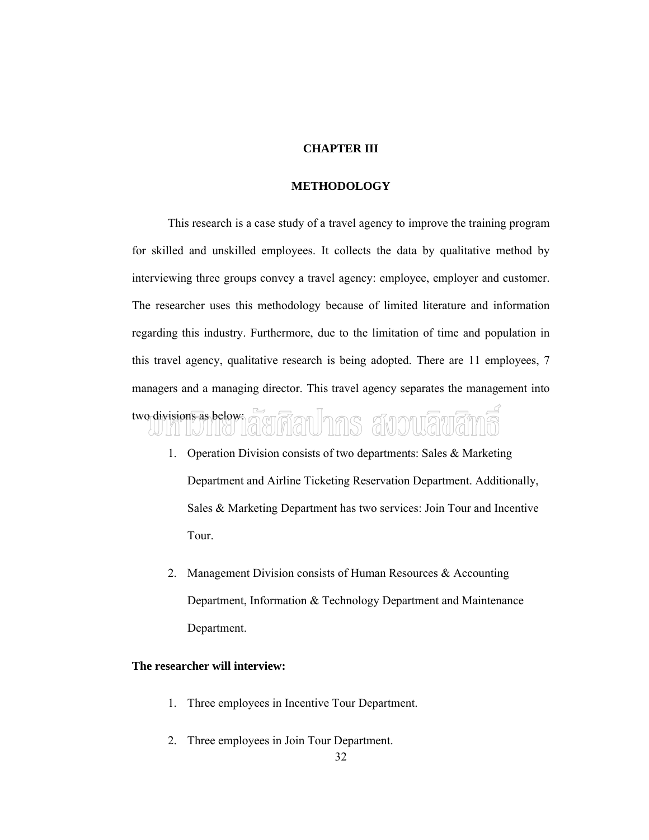#### **CHAPTER III**

#### **METHODOLOGY**

This research is a case study of a travel agency to improve the training program for skilled and unskilled employees. It collects the data by qualitative method by interviewing three groups convey a travel agency: employee, employer and customer. The researcher uses this methodology because of limited literature and information regarding this industry. Furthermore, due to the limitation of time and population in this travel agency, qualitative research is being adopted. There are 11 employees, 7 managers and a managing director. This travel agency separates the management into

# two divisions as below: ARIMANINAS AUDI

- 1. Operation Division consists of two departments: Sales & Marketing Department and Airline Ticketing Reservation Department. Additionally, Sales & Marketing Department has two services: Join Tour and Incentive Tour.
- 2. Management Division consists of Human Resources & Accounting Department, Information & Technology Department and Maintenance Department.

#### **The researcher will interview:**

- 1. Three employees in Incentive Tour Department.
- 2. Three employees in Join Tour Department.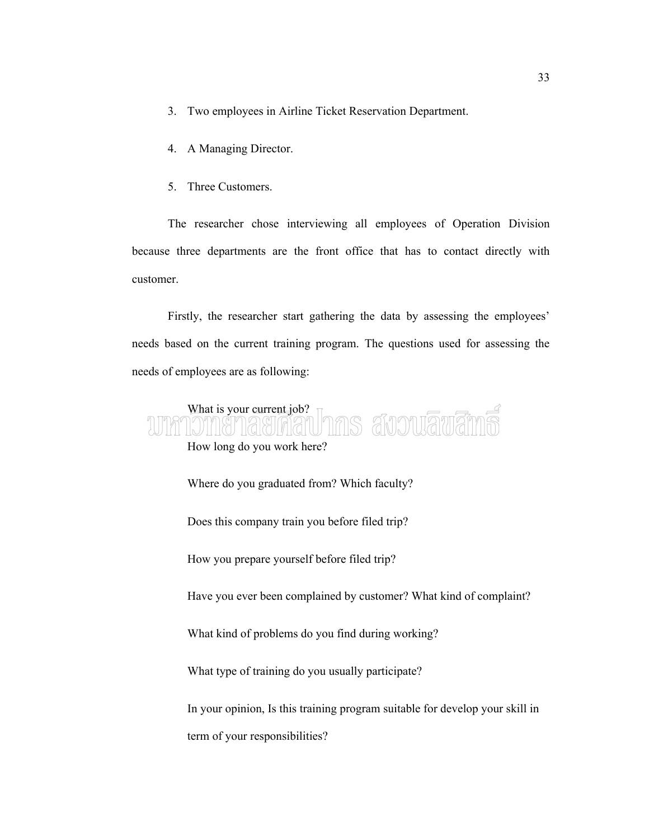- 3. Two employees in Airline Ticket Reservation Department.
- 4. A Managing Director.
- 5. Three Customers.

The researcher chose interviewing all employees of Operation Division because three departments are the front office that has to contact directly with customer.

Firstly, the researcher start gathering the data by assessing the employees' needs based on the current training program. The questions used for assessing the needs of employees are as following:

## What is your current job? ns avouāvār How long do you work here? Where do you graduated from? Which faculty? Does this company train you before filed trip? How you prepare yourself before filed trip? Have you ever been complained by customer? What kind of complaint?

What kind of problems do you find during working?

What type of training do you usually participate?

In your opinion, Is this training program suitable for develop your skill in term of your responsibilities?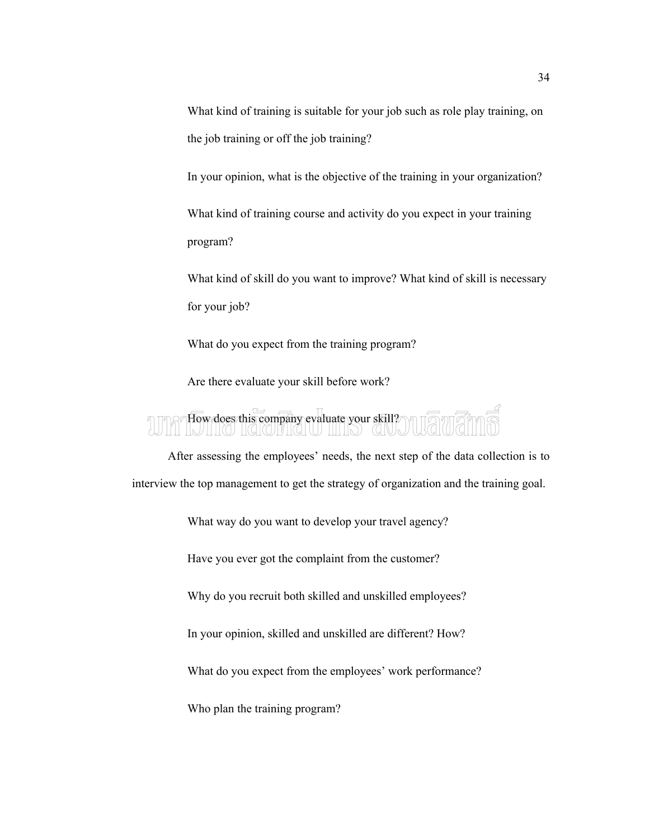What kind of training is suitable for your job such as role play training, on the job training or off the job training?

In your opinion, what is the objective of the training in your organization?

What kind of training course and activity do you expect in your training program?

What kind of skill do you want to improve? What kind of skill is necessary for your job?

What do you expect from the training program?

Are there evaluate your skill before work?

# How does this company evaluate your skill?

After assessing the employees' needs, the next step of the data collection is to interview the top management to get the strategy of organization and the training goal.

What way do you want to develop your travel agency?

Have you ever got the complaint from the customer?

Why do you recruit both skilled and unskilled employees?

In your opinion, skilled and unskilled are different? How?

What do you expect from the employees' work performance?

Who plan the training program?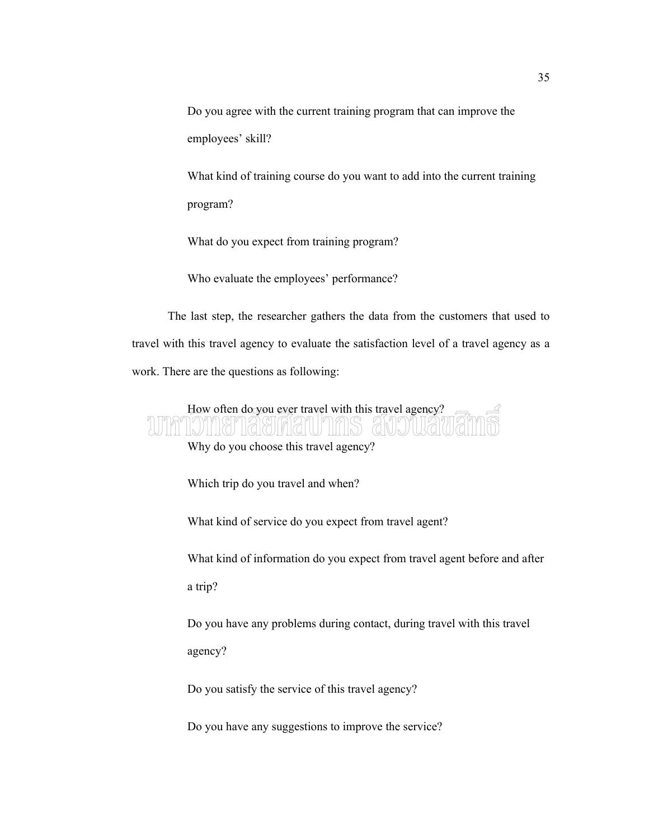Do you agree with the current training program that can improve the employees' skill?

What kind of training course do you want to add into the current training program?

What do you expect from training program?

Who evaluate the employees' performance?

The last step, the researcher gathers the data from the customers that used to travel with this travel agency to evaluate the satisfaction level of a travel agency as a work. There are the questions as following:

### How often do you ever travel with this travel agency? CONI,

Why do you choose this travel agency?

Which trip do you travel and when?

What kind of service do you expect from travel agent?

What kind of information do you expect from travel agent before and after a trip?

Do you have any problems during contact, during travel with this travel agency?

Do you satisfy the service of this travel agency?

Do you have any suggestions to improve the service?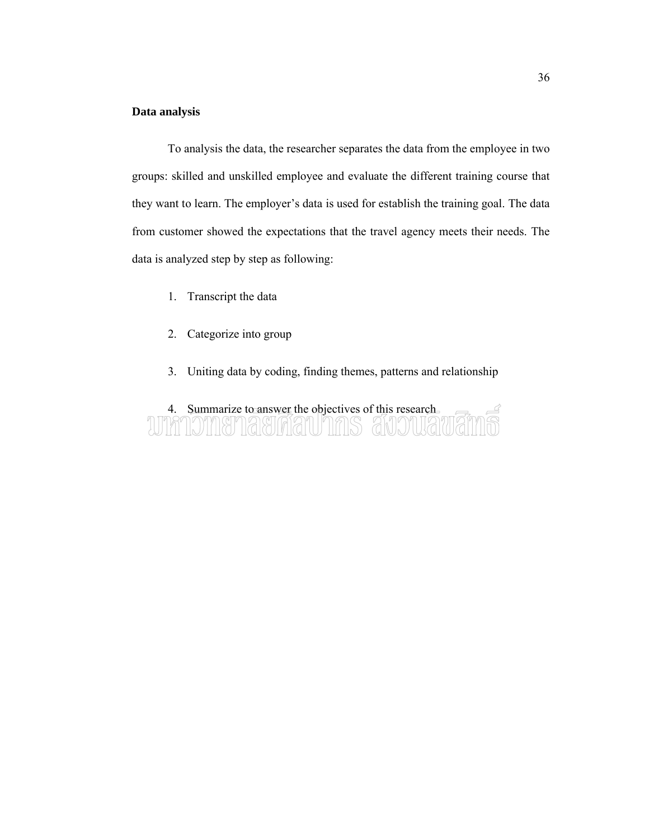#### **Data analysis**

To analysis the data, the researcher separates the data from the employee in two groups: skilled and unskilled employee and evaluate the different training course that they want to learn. The employer's data is used for establish the training goal. The data from customer showed the expectations that the travel agency meets their needs. The data is analyzed step by step as following:

- 1. Transcript the data
- 2. Categorize into group
- 3. Uniting data by coding, finding themes, patterns and relationship

### 4. Summarize to answer the objectives of this research WINDING TAGINATUTINS ANDUR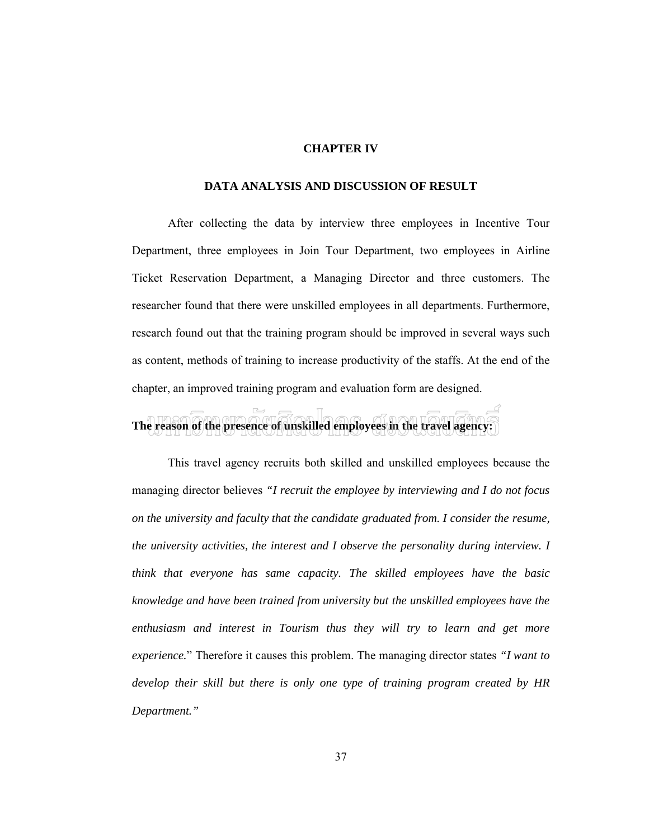#### **CHAPTER IV**

#### **DATA ANALYSIS AND DISCUSSION OF RESULT**

After collecting the data by interview three employees in Incentive Tour Department, three employees in Join Tour Department, two employees in Airline Ticket Reservation Department, a Managing Director and three customers. The researcher found that there were unskilled employees in all departments. Furthermore, research found out that the training program should be improved in several ways such as content, methods of training to increase productivity of the staffs. At the end of the chapter, an improved training program and evaluation form are designed.

### **The reason of the presence of unskilled employees in the travel agency:**

This travel agency recruits both skilled and unskilled employees because the managing director believes *"I recruit the employee by interviewing and I do not focus on the university and faculty that the candidate graduated from. I consider the resume, the university activities, the interest and I observe the personality during interview. I think that everyone has same capacity. The skilled employees have the basic knowledge and have been trained from university but the unskilled employees have the enthusiasm and interest in Tourism thus they will try to learn and get more experience.*" Therefore it causes this problem. The managing director states *"I want to develop their skill but there is only one type of training program created by HR Department."*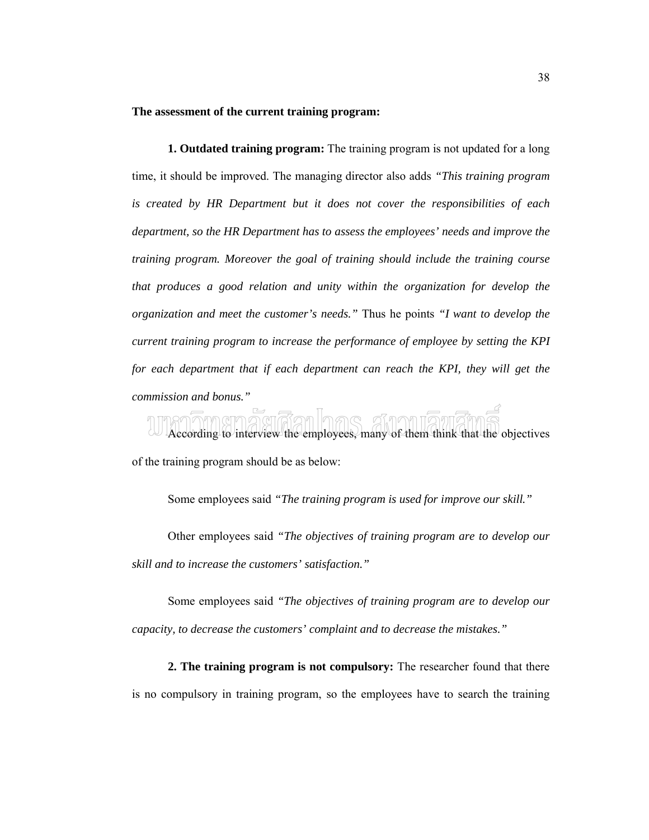#### **The assessment of the current training program:**

**1. Outdated training program:** The training program is not updated for a long time, it should be improved. The managing director also adds *"This training program is created by HR Department but it does not cover the responsibilities of each department, so the HR Department has to assess the employees' needs and improve the training program. Moreover the goal of training should include the training course that produces a good relation and unity within the organization for develop the organization and meet the customer's needs."* Thus he points *"I want to develop the current training program to increase the performance of employee by setting the KPI for each department that if each department can reach the KPI, they will get the commission and bonus."*

 $\frac{1}{2}$ an In $\pi$ e According to interview the employees, many of them think that the objectives of the training program should be as below:

Some employees said *"The training program is used for improve our skill."*

Other employees said *"The objectives of training program are to develop our skill and to increase the customers' satisfaction."*

Some employees said *"The objectives of training program are to develop our capacity, to decrease the customers' complaint and to decrease the mistakes."* 

**2. The training program is not compulsory:** The researcher found that there is no compulsory in training program, so the employees have to search the training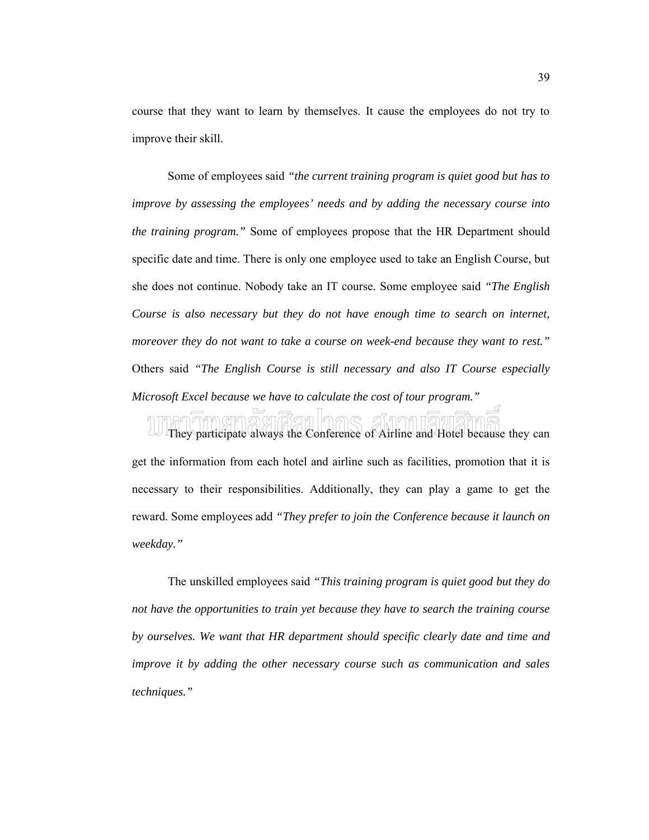course that they want to learn by themselves. It cause the employees do not try to improve their skill.

Some of employees said *"the current training program is quiet good but has to improve by assessing the employees' needs and by adding the necessary course into the training program."* Some of employees propose that the HR Department should specific date and time. There is only one employee used to take an English Course, but she does not continue. Nobody take an IT course. Some employee said *"The English Course is also necessary but they do not have enough time to search on internet, moreover they do not want to take a course on week-end because they want to rest."* Others said *"The English Course is still necessary and also IT Course especially Microsoft Excel because we have to calculate the cost of tour program."* 

They participate always the Conference of Airline and Hotel because they can get the information from each hotel and airline such as facilities, promotion that it is necessary to their responsibilities. Additionally, they can play a game to get the reward. Some employees add *"They prefer to join the Conference because it launch on weekday."*

The unskilled employees said *"This training program is quiet good but they do not have the opportunities to train yet because they have to search the training course by ourselves. We want that HR department should specific clearly date and time and improve it by adding the other necessary course such as communication and sales techniques."*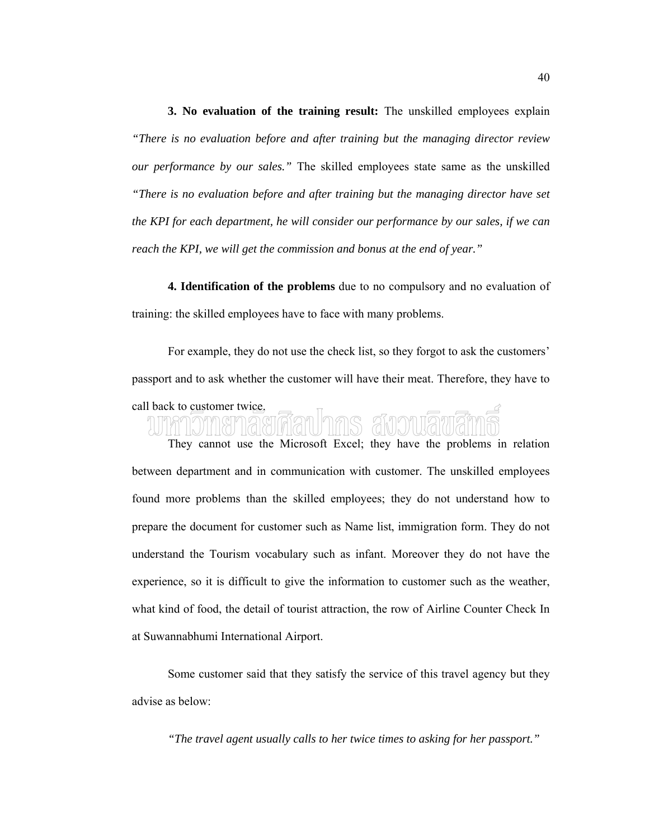**3. No evaluation of the training result:** The unskilled employees explain *"There is no evaluation before and after training but the managing director review our performance by our sales."* The skilled employees state same as the unskilled *"There is no evaluation before and after training but the managing director have set the KPI for each department, he will consider our performance by our sales, if we can reach the KPI, we will get the commission and bonus at the end of year."*

**4. Identification of the problems** due to no compulsory and no evaluation of training: the skilled employees have to face with many problems.

For example, they do not use the check list, so they forgot to ask the customers' passport and to ask whether the customer will have their meat. Therefore, they have to

# call back to customer twice.

They cannot use the Microsoft Excel; they have the problems in relation between department and in communication with customer. The unskilled employees found more problems than the skilled employees; they do not understand how to prepare the document for customer such as Name list, immigration form. They do not understand the Tourism vocabulary such as infant. Moreover they do not have the experience, so it is difficult to give the information to customer such as the weather, what kind of food, the detail of tourist attraction, the row of Airline Counter Check In at Suwannabhumi International Airport.

Some customer said that they satisfy the service of this travel agency but they advise as below:

*"The travel agent usually calls to her twice times to asking for her passport."*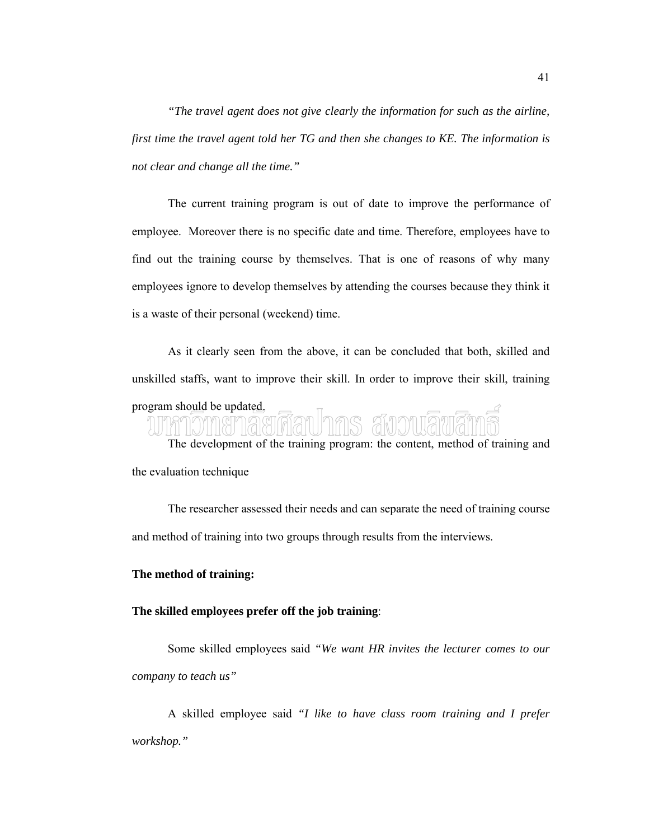*"The travel agent does not give clearly the information for such as the airline, first time the travel agent told her TG and then she changes to KE. The information is not clear and change all the time."*

The current training program is out of date to improve the performance of employee. Moreover there is no specific date and time. Therefore, employees have to find out the training course by themselves. That is one of reasons of why many employees ignore to develop themselves by attending the courses because they think it is a waste of their personal (weekend) time.

As it clearly seen from the above, it can be concluded that both, skilled and unskilled staffs, want to improve their skill. In order to improve their skill, training

## program should be updated.

The development of the training program: the content, method of training and the evaluation technique

The researcher assessed their needs and can separate the need of training course and method of training into two groups through results from the interviews.

#### **The method of training:**

#### **The skilled employees prefer off the job training**:

Some skilled employees said *"We want HR invites the lecturer comes to our company to teach us"*

A skilled employee said *"I like to have class room training and I prefer workshop."*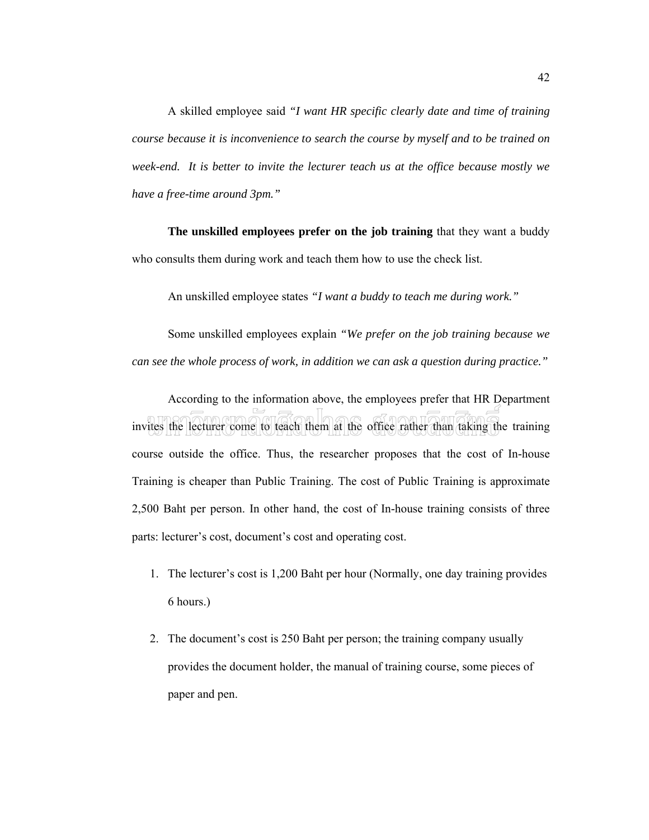A skilled employee said *"I want HR specific clearly date and time of training course because it is inconvenience to search the course by myself and to be trained on week-end. It is better to invite the lecturer teach us at the office because mostly we have a free-time around 3pm."*

**The unskilled employees prefer on the job training** that they want a buddy who consults them during work and teach them how to use the check list.

An unskilled employee states *"I want a buddy to teach me during work."*

Some unskilled employees explain *"We prefer on the job training because we can see the whole process of work, in addition we can ask a question during practice."*

According to the information above, the employees prefer that HR Department invites the lecturer come to teach them at the office rather than taking the training course outside the office. Thus, the researcher proposes that the cost of In-house Training is cheaper than Public Training. The cost of Public Training is approximate 2,500 Baht per person. In other hand, the cost of In-house training consists of three parts: lecturer's cost, document's cost and operating cost.

- 1. The lecturer's cost is 1,200 Baht per hour (Normally, one day training provides 6 hours.)
- 2. The document's cost is 250 Baht per person; the training company usually provides the document holder, the manual of training course, some pieces of paper and pen.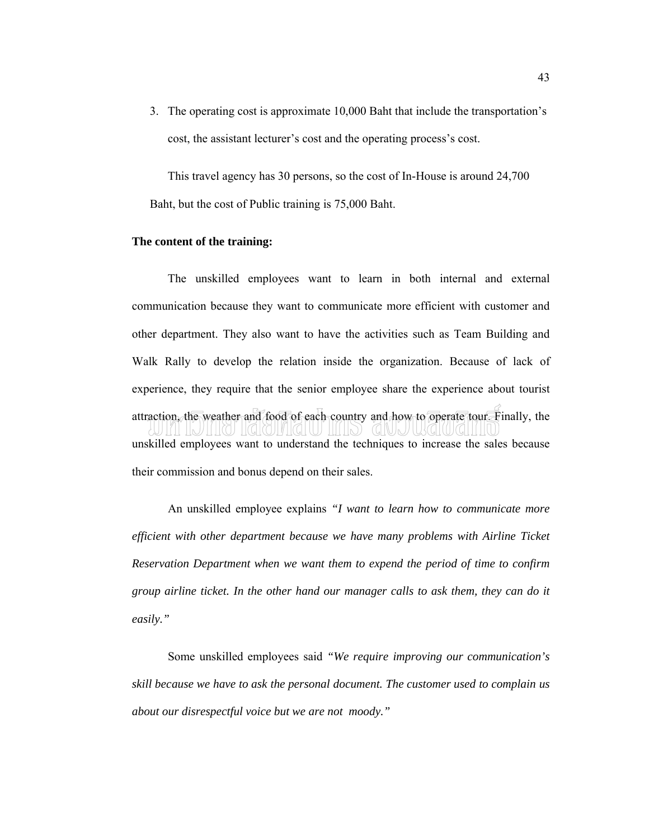3. The operating cost is approximate 10,000 Baht that include the transportation's cost, the assistant lecturer's cost and the operating process's cost.

This travel agency has 30 persons, so the cost of In-House is around 24,700 Baht, but the cost of Public training is 75,000 Baht.

#### **The content of the training:**

The unskilled employees want to learn in both internal and external communication because they want to communicate more efficient with customer and other department. They also want to have the activities such as Team Building and Walk Rally to develop the relation inside the organization. Because of lack of experience, they require that the senior employee share the experience about tourist attraction, the weather and food of each country and how to operate tour. Finally, the unskilled employees want to understand the techniques to increase the sales because their commission and bonus depend on their sales.

An unskilled employee explains *"I want to learn how to communicate more efficient with other department because we have many problems with Airline Ticket Reservation Department when we want them to expend the period of time to confirm group airline ticket. In the other hand our manager calls to ask them, they can do it easily."*

Some unskilled employees said *"We require improving our communication's skill because we have to ask the personal document. The customer used to complain us about our disrespectful voice but we are not moody."*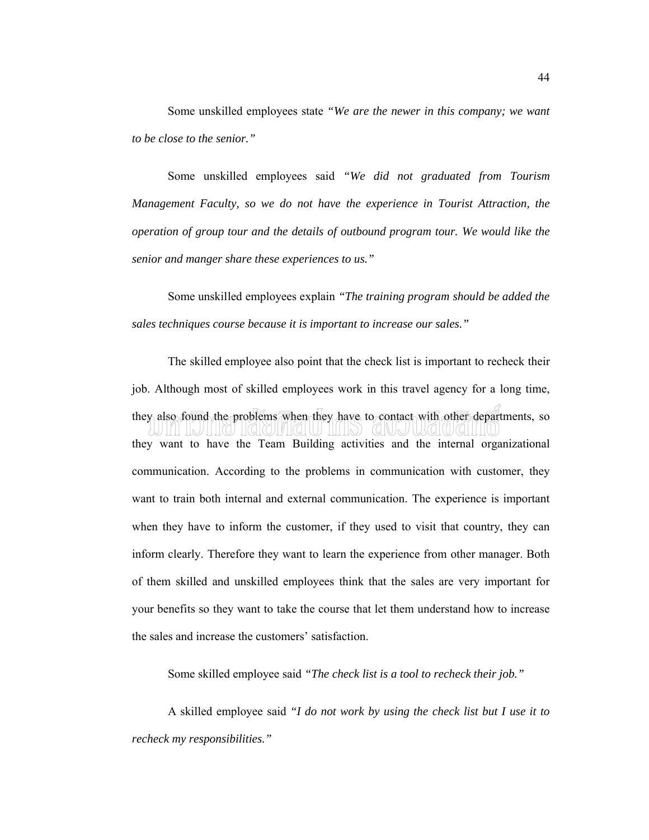Some unskilled employees state *"We are the newer in this company; we want to be close to the senior."*

Some unskilled employees said *"We did not graduated from Tourism Management Faculty, so we do not have the experience in Tourist Attraction, the operation of group tour and the details of outbound program tour. We would like the senior and manger share these experiences to us."*

Some unskilled employees explain *"The training program should be added the sales techniques course because it is important to increase our sales."*

The skilled employee also point that the check list is important to recheck their job. Although most of skilled employees work in this travel agency for a long time, they also found the problems when they have to contact with other departments, so they want to have the Team Building activities and the internal organizational communication. According to the problems in communication with customer, they want to train both internal and external communication. The experience is important when they have to inform the customer, if they used to visit that country, they can inform clearly. Therefore they want to learn the experience from other manager. Both of them skilled and unskilled employees think that the sales are very important for your benefits so they want to take the course that let them understand how to increase the sales and increase the customers' satisfaction.

Some skilled employee said *"The check list is a tool to recheck their job."*

A skilled employee said *"I do not work by using the check list but I use it to recheck my responsibilities."*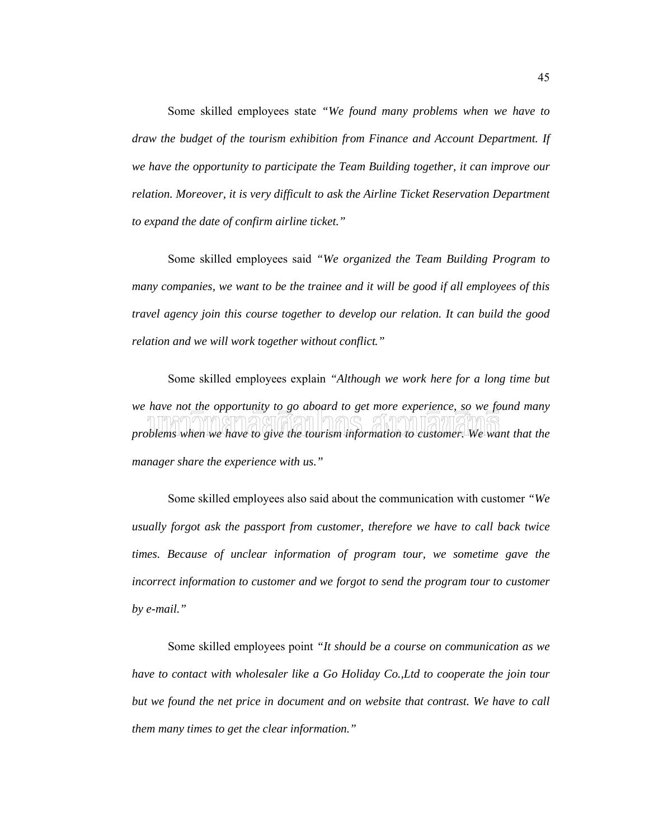Some skilled employees state *"We found many problems when we have to draw the budget of the tourism exhibition from Finance and Account Department. If we have the opportunity to participate the Team Building together, it can improve our relation. Moreover, it is very difficult to ask the Airline Ticket Reservation Department to expand the date of confirm airline ticket."*

Some skilled employees said *"We organized the Team Building Program to many companies, we want to be the trainee and it will be good if all employees of this travel agency join this course together to develop our relation. It can build the good relation and we will work together without conflict."* 

Some skilled employees explain *"Although we work here for a long time but we have not the opportunity to go aboard to get more experience, so we found many problems when we have to give the tourism information to customer. We want that the manager share the experience with us."*

Some skilled employees also said about the communication with customer *"We usually forgot ask the passport from customer, therefore we have to call back twice times. Because of unclear information of program tour, we sometime gave the incorrect information to customer and we forgot to send the program tour to customer by e-mail."*

Some skilled employees point *"It should be a course on communication as we have to contact with wholesaler like a Go Holiday Co.,Ltd to cooperate the join tour but we found the net price in document and on website that contrast. We have to call them many times to get the clear information."*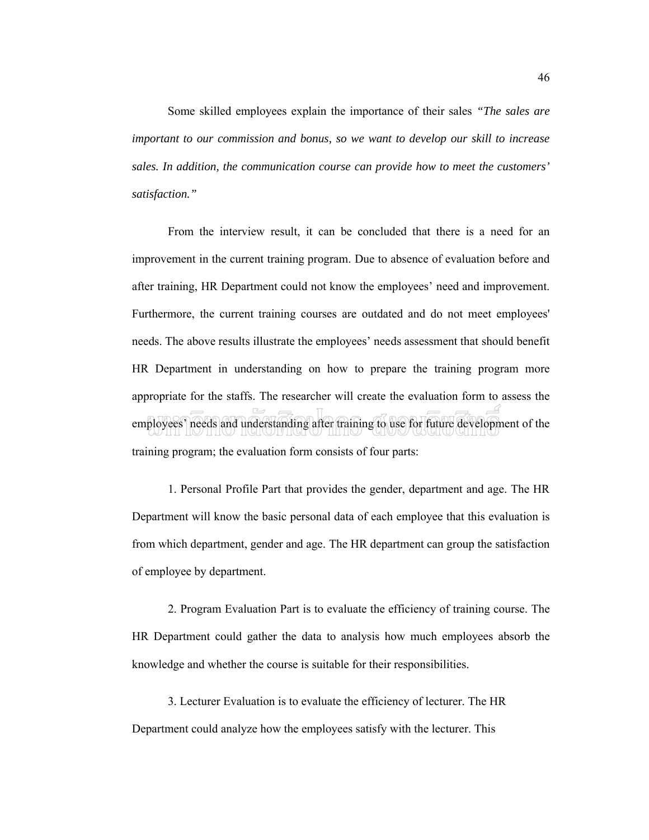Some skilled employees explain the importance of their sales *"The sales are important to our commission and bonus, so we want to develop our skill to increase sales. In addition, the communication course can provide how to meet the customers' satisfaction."*

From the interview result, it can be concluded that there is a need for an improvement in the current training program. Due to absence of evaluation before and after training, HR Department could not know the employees' need and improvement. Furthermore, the current training courses are outdated and do not meet employees' needs. The above results illustrate the employees' needs assessment that should benefit HR Department in understanding on how to prepare the training program more appropriate for the staffs. The researcher will create the evaluation form to assess the employees' needs and understanding after training to use for future development of the training program; the evaluation form consists of four parts:

1. Personal Profile Part that provides the gender, department and age. The HR Department will know the basic personal data of each employee that this evaluation is from which department, gender and age. The HR department can group the satisfaction of employee by department.

2. Program Evaluation Part is to evaluate the efficiency of training course. The HR Department could gather the data to analysis how much employees absorb the knowledge and whether the course is suitable for their responsibilities.

3. Lecturer Evaluation is to evaluate the efficiency of lecturer. The HR Department could analyze how the employees satisfy with the lecturer. This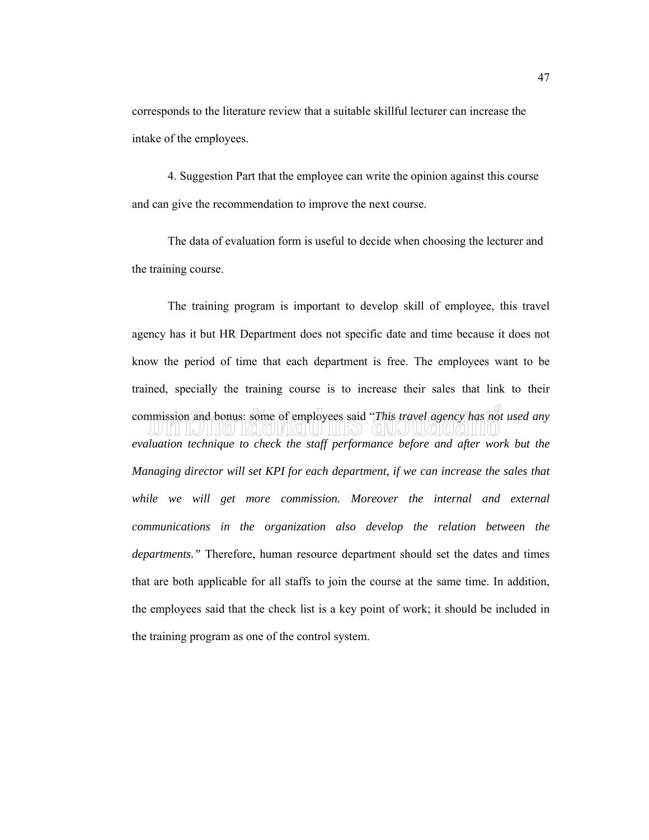corresponds to the literature review that a suitable skillful lecturer can increase the intake of the employees.

4. Suggestion Part that the employee can write the opinion against this course and can give the recommendation to improve the next course.

The data of evaluation form is useful to decide when choosing the lecturer and the training course.

The training program is important to develop skill of employee, this travel agency has it but HR Department does not specific date and time because it does not know the period of time that each department is free. The employees want to be trained, specially the training course is to increase their sales that link to their commission and bonus: some of employees said "*This travel agency has not used any evaluation technique to check the staff performance before and after work but the Managing director will set KPI for each department, if we can increase the sales that while we will get more commission. Moreover the internal and external communications in the organization also develop the relation between the departments."* Therefore, human resource department should set the dates and times that are both applicable for all staffs to join the course at the same time. In addition, the employees said that the check list is a key point of work; it should be included in the training program as one of the control system.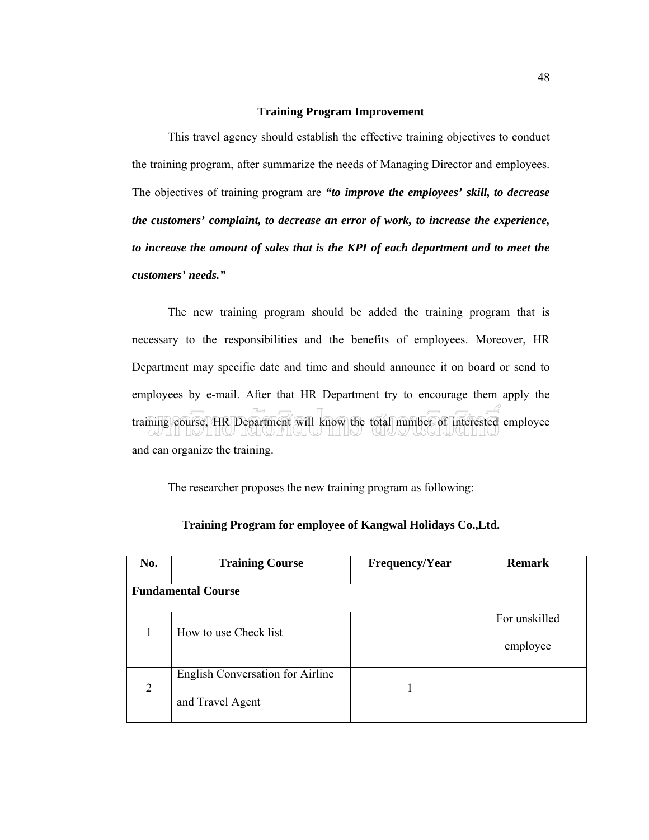#### **Training Program Improvement**

This travel agency should establish the effective training objectives to conduct the training program, after summarize the needs of Managing Director and employees. The objectives of training program are *"to improve the employees' skill, to decrease the customers' complaint, to decrease an error of work, to increase the experience, to increase the amount of sales that is the KPI of each department and to meet the customers' needs."*

The new training program should be added the training program that is necessary to the responsibilities and the benefits of employees. Moreover, HR Department may specific date and time and should announce it on board or send to employees by e-mail. After that HR Department try to encourage them apply the training course, HR Department will know the total number of interested employee and can organize the training.

The researcher proposes the new training program as following:

| No.                       | <b>Training Course</b>           | <b>Frequency/Year</b> | <b>Remark</b> |  |  |  |
|---------------------------|----------------------------------|-----------------------|---------------|--|--|--|
|                           |                                  |                       |               |  |  |  |
| <b>Fundamental Course</b> |                                  |                       |               |  |  |  |
|                           |                                  |                       |               |  |  |  |
|                           |                                  |                       | For unskilled |  |  |  |
|                           | How to use Check list            |                       |               |  |  |  |
|                           |                                  |                       | employee      |  |  |  |
|                           |                                  |                       |               |  |  |  |
|                           | English Conversation for Airline |                       |               |  |  |  |
| $\overline{2}$            |                                  |                       |               |  |  |  |
|                           | and Travel Agent                 |                       |               |  |  |  |
|                           |                                  |                       |               |  |  |  |

#### **Training Program for employee of Kangwal Holidays Co.,Ltd.**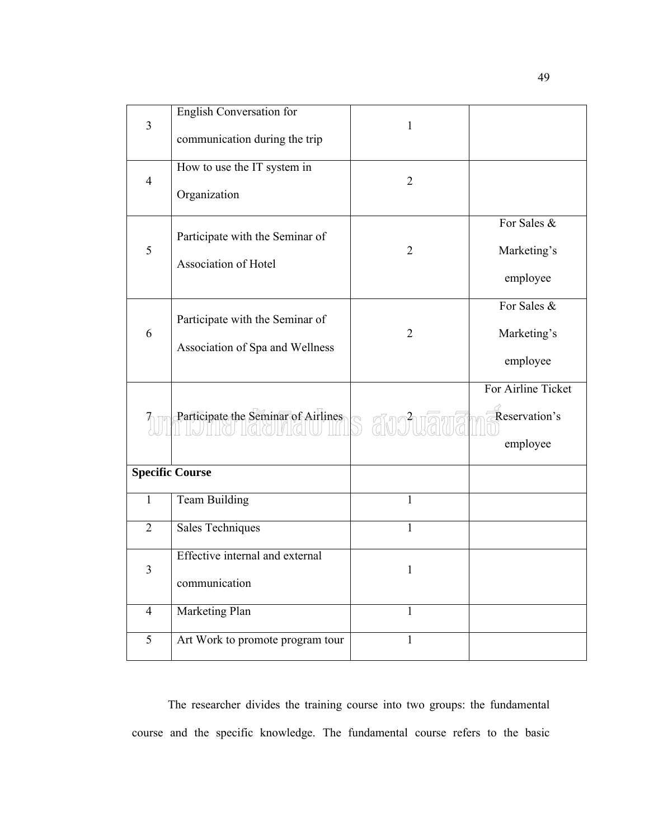| 3              | English Conversation for            | 1              |                    |
|----------------|-------------------------------------|----------------|--------------------|
|                | communication during the trip       |                |                    |
| $\overline{4}$ | How to use the IT system in         | $\overline{2}$ |                    |
|                | Organization                        |                |                    |
|                | Participate with the Seminar of     |                | For Sales &        |
| 5              | Association of Hotel                | 2              | Marketing's        |
|                |                                     |                | employee           |
|                | Participate with the Seminar of     |                | For Sales &        |
| 6              | Association of Spa and Wellness     | 2              | Marketing's        |
|                |                                     |                | employee           |
|                |                                     |                | For Airline Ticket |
|                | Participate the Seminar of Airlines | S anchrama     | Reservation's      |
|                |                                     |                | employee           |
|                | <b>Specific Course</b>              |                |                    |
| $\mathbf{1}$   | <b>Team Building</b>                | 1              |                    |
| $\overline{2}$ | Sales Techniques                    | 1              |                    |
| 3              | Effective internal and external     | 1              |                    |
|                | communication                       |                |                    |
| $\overline{4}$ | Marketing Plan                      | 1              |                    |
| 5              | Art Work to promote program tour    | 1              |                    |

The researcher divides the training course into two groups: the fundamental course and the specific knowledge. The fundamental course refers to the basic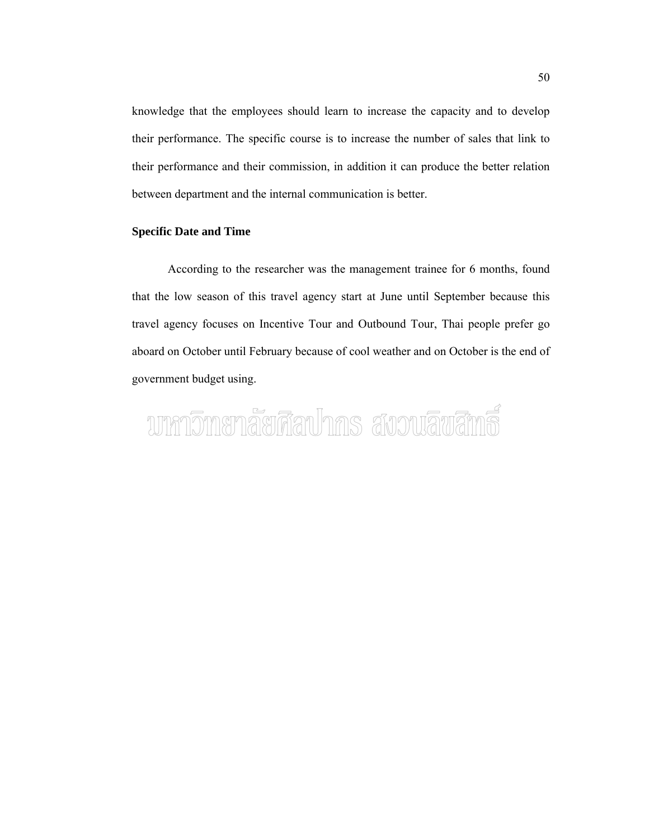knowledge that the employees should learn to increase the capacity and to develop their performance. The specific course is to increase the number of sales that link to their performance and their commission, in addition it can produce the better relation between department and the internal communication is better.

#### **Specific Date and Time**

According to the researcher was the management trainee for 6 months, found that the low season of this travel agency start at June until September because this travel agency focuses on Incentive Tour and Outbound Tour, Thai people prefer go aboard on October until February because of cool weather and on October is the end of government budget using.

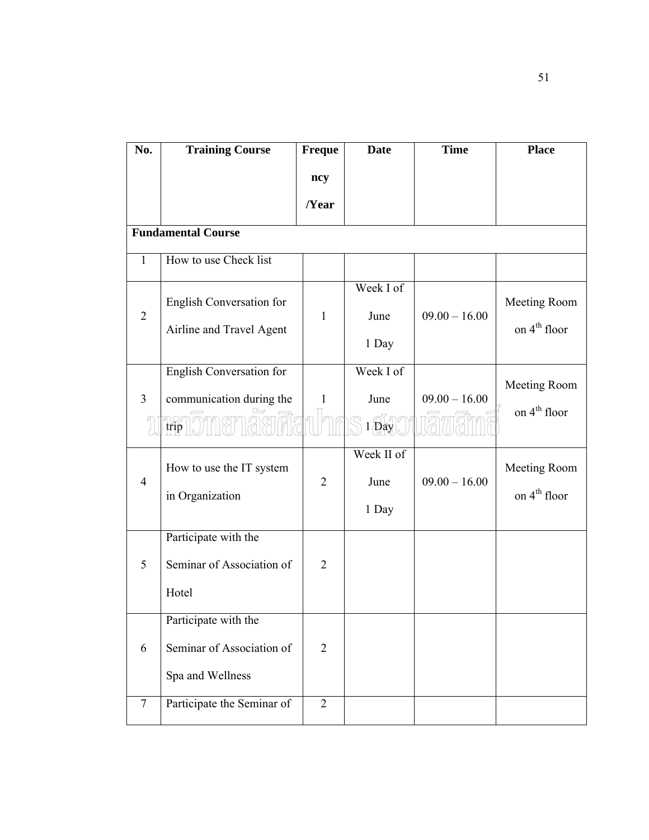| No.            | <b>Training Course</b>                                                | <b>Freque</b>  | <b>Date</b>                                                            | <b>Time</b>     | <b>Place</b>                             |
|----------------|-----------------------------------------------------------------------|----------------|------------------------------------------------------------------------|-----------------|------------------------------------------|
|                |                                                                       | ncy            |                                                                        |                 |                                          |
|                |                                                                       | /Year          |                                                                        |                 |                                          |
|                | <b>Fundamental Course</b>                                             |                |                                                                        |                 |                                          |
| $\mathbf{1}$   | How to use Check list                                                 |                |                                                                        |                 |                                          |
| $\overline{2}$ | English Conversation for<br>Airline and Travel Agent                  | $\mathbf{1}$   | Week I of<br>June<br>1 Day                                             | $09.00 - 16.00$ | Meeting Room<br>on 4 <sup>th</sup> floor |
| $\overline{3}$ | <b>English Conversation for</b><br>communication during the<br>trip   | $\mathbf{1}$   | Week I of<br>June<br>$1\widetilde{\bigoplus\limits_1} \widetilde{a y}$ | $09.00 - 16.00$ | Meeting Room<br>on 4 <sup>th</sup> floor |
| $\overline{4}$ | How to use the IT system<br>in Organization                           | $\overline{2}$ | Week II of<br>June<br>1 Day                                            | $09.00 - 16.00$ | Meeting Room<br>on 4 <sup>th</sup> floor |
| 5              | Participate with the<br>Seminar of Association of<br>Hotel            | $\overline{2}$ |                                                                        |                 |                                          |
| 6              | Participate with the<br>Seminar of Association of<br>Spa and Wellness | $\mathbf{2}$   |                                                                        |                 |                                          |
| $\overline{7}$ | Participate the Seminar of                                            | $\overline{2}$ |                                                                        |                 |                                          |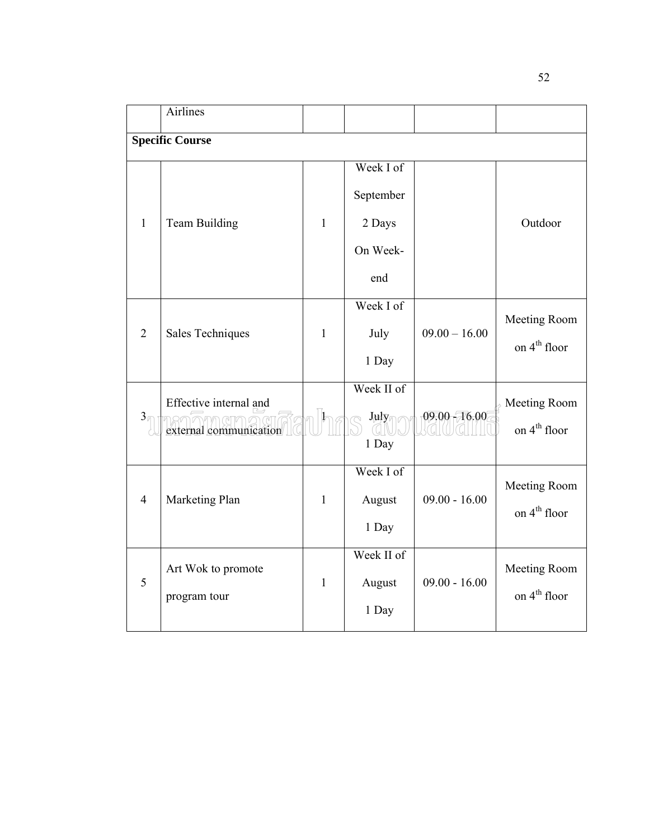|                | <b>Airlines</b>                                  |              |                                                     |                 |                                          |
|----------------|--------------------------------------------------|--------------|-----------------------------------------------------|-----------------|------------------------------------------|
|                | <b>Specific Course</b>                           |              |                                                     |                 |                                          |
| $\mathbf{1}$   | Team Building                                    | $\mathbf{1}$ | Week I of<br>September<br>2 Days<br>On Week-<br>end |                 | Outdoor                                  |
| $\overline{2}$ | Sales Techniques                                 | $\mathbf{1}$ | Week I of<br>July<br>1 Day                          | $09.00 - 16.00$ | Meeting Room<br>on 4 <sup>th</sup> floor |
| $3\sqrt{2}$    | Effective internal and<br>external communication |              | Week II of<br>$J\mu J\overline{\nu}$<br>1 Day       | $09.00 - 16.00$ | Meeting Room<br>on 4 <sup>th</sup> floor |
| $\overline{4}$ | Marketing Plan                                   | $\mathbf{1}$ | Week I of<br>August<br>1 Day                        | $09.00 - 16.00$ | Meeting Room<br>on 4 <sup>th</sup> floor |
| 5              | Art Wok to promote<br>program tour               | $\mathbf{1}$ | Week II of<br>August<br>1 Day                       | $09.00 - 16.00$ | Meeting Room<br>on $4th$ floor           |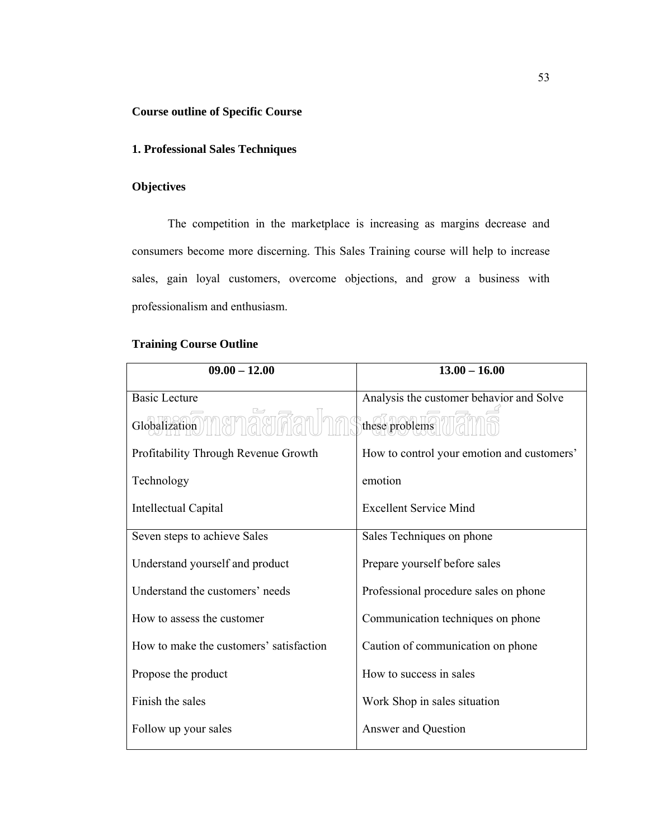#### **Course outline of Specific Course**

#### **1. Professional Sales Techniques**

#### **Objectives**

The competition in the marketplace is increasing as margins decrease and consumers become more discerning. This Sales Training course will help to increase sales, gain loyal customers, overcome objections, and grow a business with professionalism and enthusiasm.

#### **Training Course Outline**

| $09.00 - 12.00$                         | $13.00 - 16.00$                            |
|-----------------------------------------|--------------------------------------------|
| <b>Basic Lecture</b>                    | Analysis the customer behavior and Solve   |
| Globalization 11 911                    | these problems                             |
| Profitability Through Revenue Growth    | How to control your emotion and customers' |
| Technology                              | emotion                                    |
| Intellectual Capital                    | <b>Excellent Service Mind</b>              |
| Seven steps to achieve Sales            | Sales Techniques on phone                  |
| Understand yourself and product         | Prepare yourself before sales              |
| Understand the customers' needs         | Professional procedure sales on phone      |
| How to assess the customer              | Communication techniques on phone          |
| How to make the customers' satisfaction | Caution of communication on phone          |
| Propose the product                     | How to success in sales                    |
| Finish the sales                        | Work Shop in sales situation               |
| Follow up your sales                    | Answer and Question                        |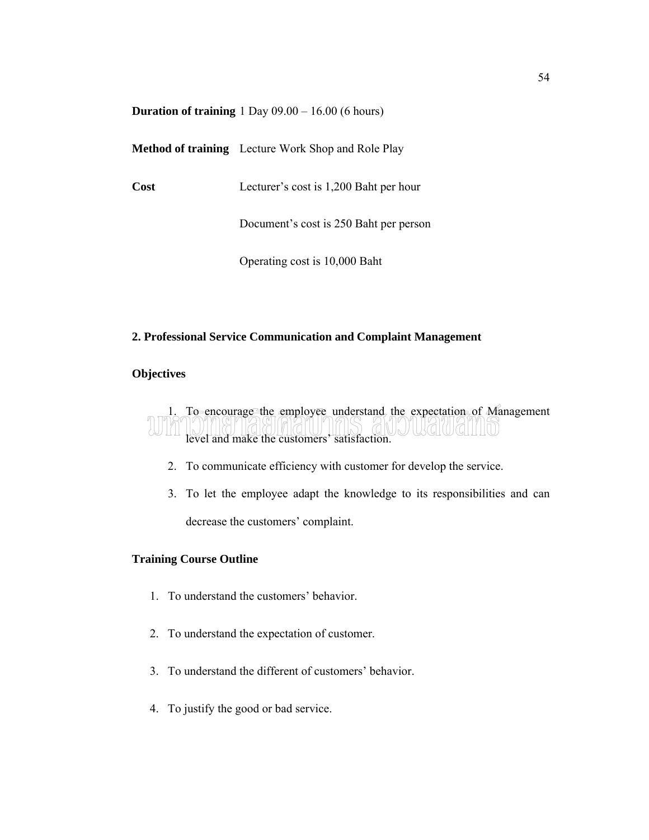|  | <b>Duration of training</b> $1$ Day $09.00 - 16.00$ (6 hours) |  |
|--|---------------------------------------------------------------|--|
|--|---------------------------------------------------------------|--|

**Method of training** Lecture Work Shop and Role Play

**Cost** Lecturer's cost is 1,200 Baht per hour

Document's cost is 250 Baht per person

Operating cost is 10,000 Baht

#### **2. Professional Service Communication and Complaint Management**

#### **Objectives**

1. To encourage the employee understand the expectation of Management JUKILWAHINJ level and make the customers' satisfaction.

- 2. To communicate efficiency with customer for develop the service.
- 3. To let the employee adapt the knowledge to its responsibilities and can decrease the customers' complaint.

#### **Training Course Outline**

- 1. To understand the customers' behavior.
- 2. To understand the expectation of customer.
- 3. To understand the different of customers' behavior.
- 4. To justify the good or bad service.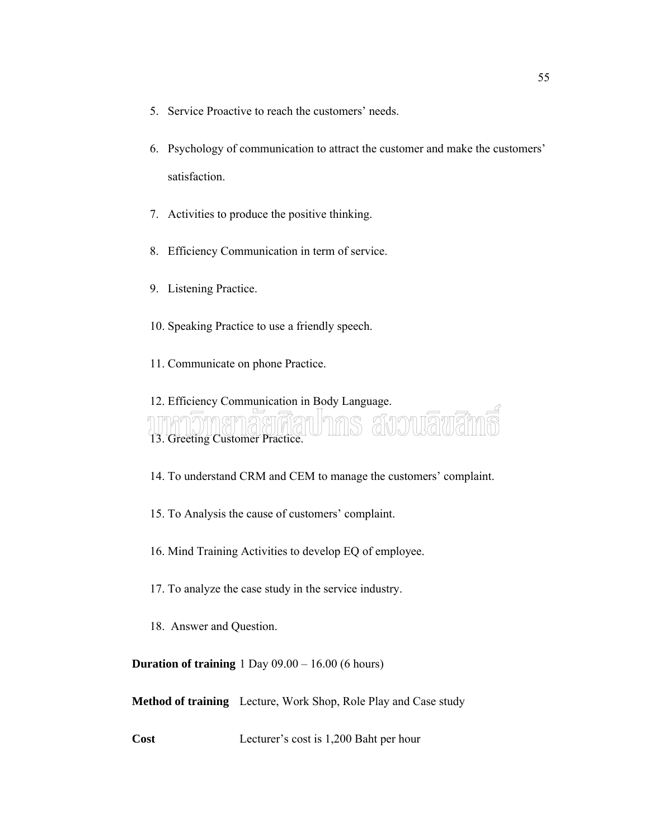- 5. Service Proactive to reach the customers' needs.
- 6. Psychology of communication to attract the customer and make the customers' satisfaction.
- 7. Activities to produce the positive thinking.
- 8. Efficiency Communication in term of service.
- 9. Listening Practice.
- 10. Speaking Practice to use a friendly speech.
- 11. Communicate on phone Practice.

12. Efficiency Communication in Body Language. สังวานลิข 13. Greeting Customer Practice.

14. To understand CRM and CEM to manage the customers' complaint.

- 15. To Analysis the cause of customers' complaint.
- 16. Mind Training Activities to develop EQ of employee.
- 17. To analyze the case study in the service industry.
- 18. Answer and Question.

**Duration of training** 1 Day 09.00 – 16.00 (6 hours)

**Method of training** Lecture, Work Shop, Role Play and Case study

**Cost** Lecturer's cost is 1,200 Baht per hour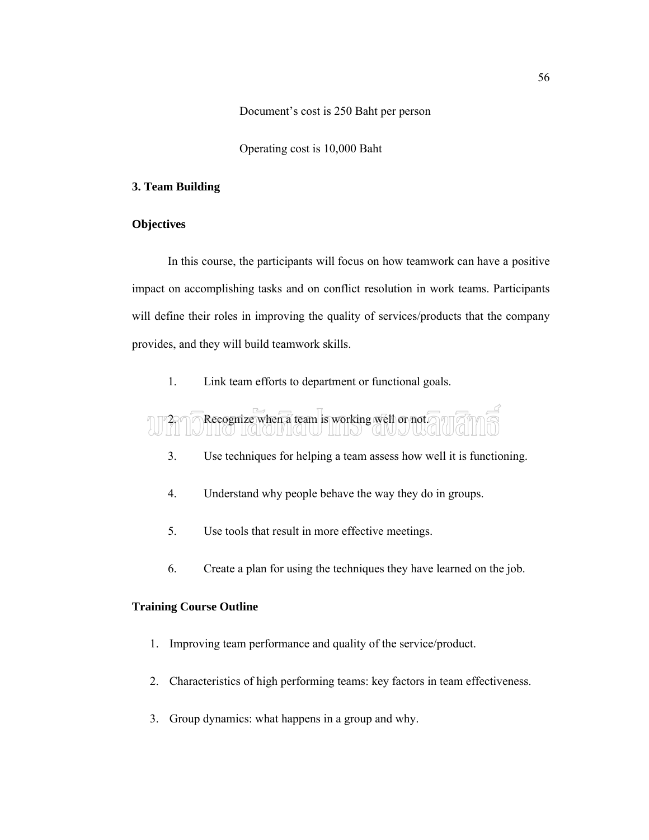Document's cost is 250 Baht per person

Operating cost is 10,000 Baht

#### **3. Team Building**

#### **Objectives**

In this course, the participants will focus on how teamwork can have a positive impact on accomplishing tasks and on conflict resolution in work teams. Participants will define their roles in improving the quality of services/products that the company provides, and they will build teamwork skills.

1. Link team efforts to department or functional goals.

## Recognize when a team is working well or not.

- 3. Use techniques for helping a team assess how well it is functioning.
- 4. Understand why people behave the way they do in groups.
- 5. Use tools that result in more effective meetings.
- 6. Create a plan for using the techniques they have learned on the job.

#### **Training Course Outline**

- 1. Improving team performance and quality of the service/product.
- 2. Characteristics of high performing teams: key factors in team effectiveness.
- 3. Group dynamics: what happens in a group and why.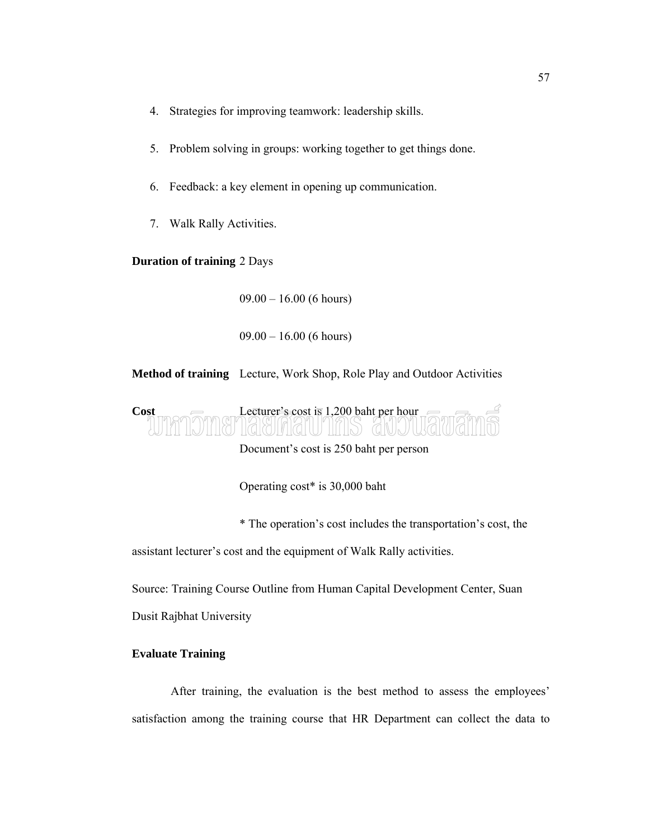- 4. Strategies for improving teamwork: leadership skills.
- 5. Problem solving in groups: working together to get things done.
- 6. Feedback: a key element in opening up communication.
- 7. Walk Rally Activities.

#### **Duration of training** 2 Days

 $09.00 - 16.00$  (6 hours)

 $09.00 - 16.00$  (6 hours)

**Method of training** Lecture, Work Shop, Role Play and Outdoor Activities



Document's cost is 250 baht per person

Operating cost\* is 30,000 baht

\* The operation's cost includes the transportation's cost, the

assistant lecturer's cost and the equipment of Walk Rally activities.

Source: Training Course Outline from Human Capital Development Center, Suan Dusit Rajbhat University

#### **Evaluate Training**

After training, the evaluation is the best method to assess the employees' satisfaction among the training course that HR Department can collect the data to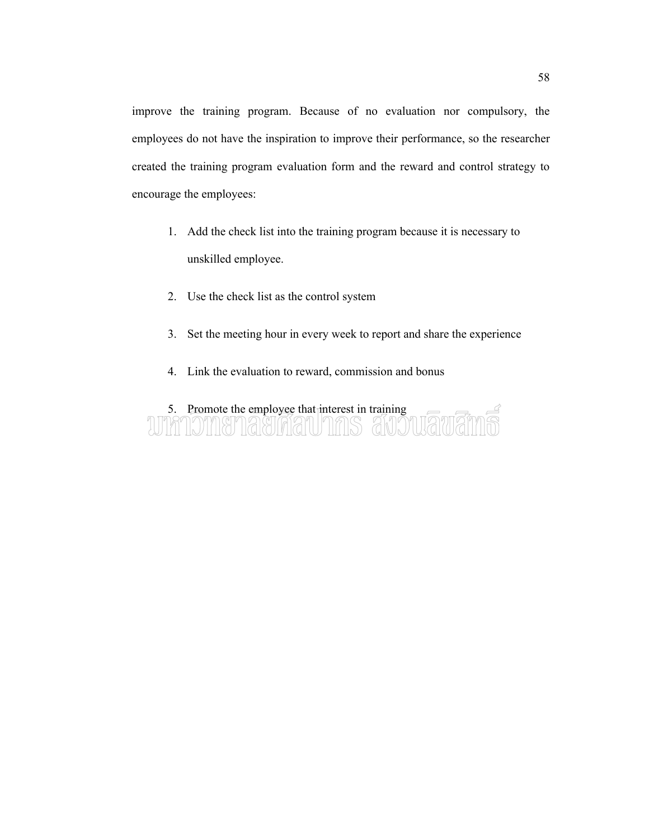improve the training program. Because of no evaluation nor compulsory, the employees do not have the inspiration to improve their performance, so the researcher created the training program evaluation form and the reward and control strategy to encourage the employees:

- 1. Add the check list into the training program because it is necessary to unskilled employee.
- 2. Use the check list as the control system
- 3. Set the meeting hour in every week to report and share the experience
- 4. Link the evaluation to reward, commission and bonus

# 5. Promote the employee that interest in training<br>2009 - The Manuel All Contract in training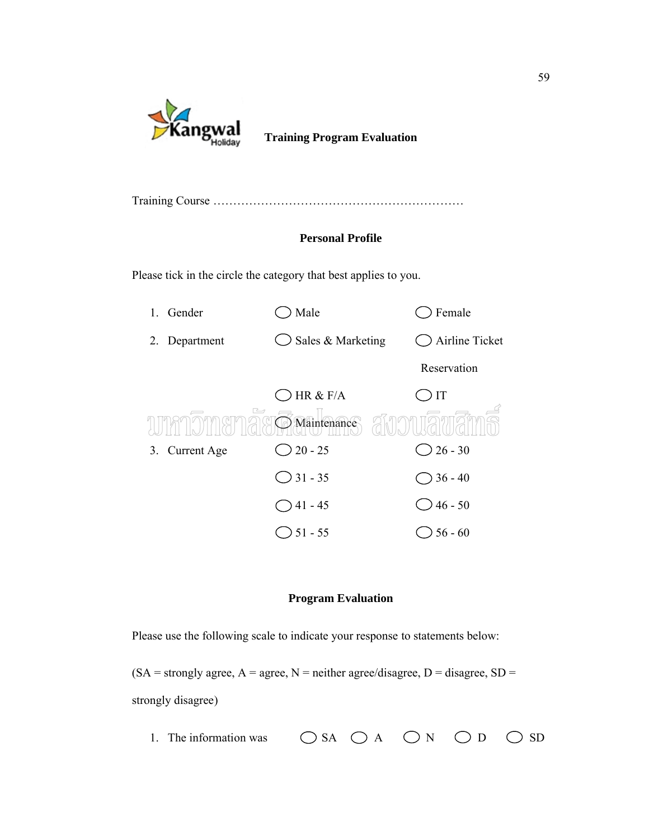

**Training Program Evaluation**

|--|--|--|

#### **Personal Profile**

Please tick in the circle the category that best applies to you.



#### **Program Evaluation**

Please use the following scale to indicate your response to statements below:

 $(SA =$ strongly agree,  $A =$  agree,  $N =$  neither agree/disagree,  $D =$  disagree,  $SD =$ strongly disagree)

1. The information was  $\bigcirc$  SA  $\bigcirc$  A  $\bigcirc$  N  $\bigcirc$  D  $\bigcirc$  SD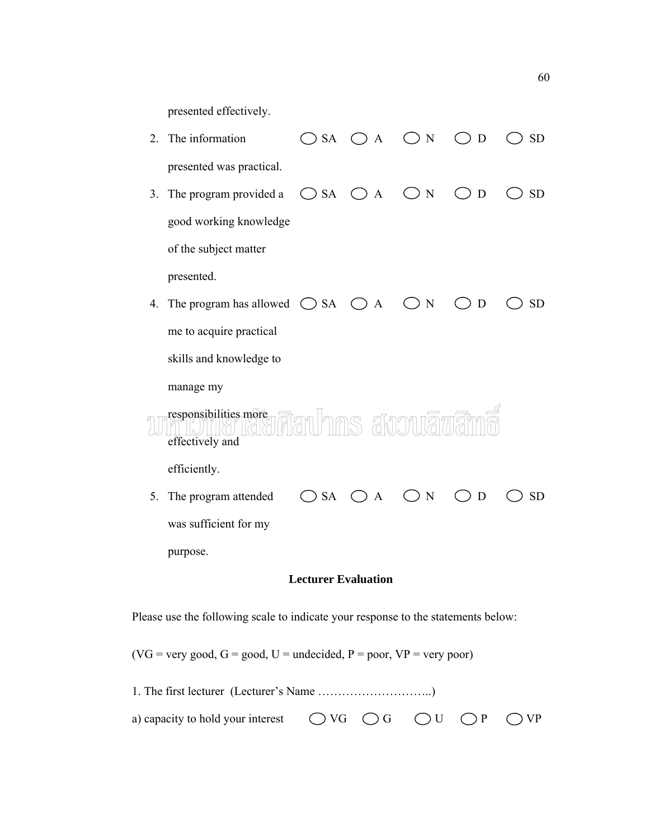presented effectively.

 $\bigcirc$  SA  $\bigcirc$  A  $\bigcirc$  N  $\bigcirc$  D  $\bigcirc$  SD 2. The information presented was practical.  $\bigcirc$  SA  $\bigcirc$  A  $\bigcirc$  N  $\bigcirc$  D  $\bigcirc$  SD 3. The program provided a good working knowledge of the subject matter presented. 4. The program has allowed  $\bigcirc$  SA  $\bigcirc$  A  $\bigcirc$  N  $\bigcirc$  D  $\bigcirc$  SD me to acquire practical skills and knowledge to manage my responsibilities more Jnns avouāv effectively and efficiently.  $\bigcirc$  SA  $\bigcirc$  A  $\bigcirc$  N  $\bigcirc$  D  $\bigcirc$  SD 5. The program attended was sufficient for my purpose.

#### **Lecturer Evaluation**

Please use the following scale to indicate your response to the statements below:

 $(VG = \text{very good}, G = \text{good}, U = \text{undecided}, P = \text{poor}, VP = \text{very poor})$ 

| a) capacity to hold your interest $\bigcirc$ VG $\bigcirc$ G $\bigcirc$ U $\bigcirc$ P $\bigcirc$ VP |  |  |  |
|------------------------------------------------------------------------------------------------------|--|--|--|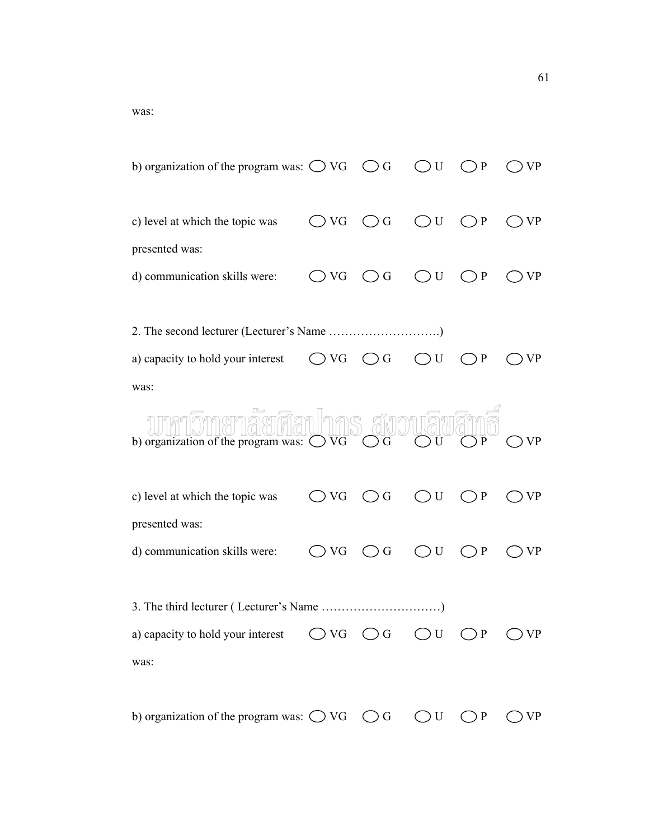was:

| b) organization of the program was: $\bigcirc$ VG $\bigcirc$ G                                       |               |                                                    | U            | P            |           |
|------------------------------------------------------------------------------------------------------|---------------|----------------------------------------------------|--------------|--------------|-----------|
| c) level at which the topic was                                                                      | $\bigcirc$ VG | $\bigcirc$ G                                       | ○U           | $\mathbf{P}$ | VP        |
| presented was:                                                                                       |               |                                                    |              |              |           |
| d) communication skills were:                                                                        | () VG         | $\left(\begin{array}{c} 0 \\ 0 \end{array}\right)$ | ()U          | $\bigcirc$ P | VP        |
|                                                                                                      |               |                                                    |              |              |           |
|                                                                                                      |               |                                                    |              |              |           |
| a) capacity to hold your interest                                                                    | ) VG          | $\left(\begin{array}{c} \end{array}\right)$        | $\bigcirc$ U | P            |           |
| was:                                                                                                 |               |                                                    |              |              |           |
| b) organization of the program was: $\bigcirc$ VG                                                    |               | s สังวนเลิพสิท<br>$($ )<br>G                       |              |              |           |
| c) level at which the topic was                                                                      | () VG         | G                                                  | U            | ) P          | VP        |
| presented was:<br>d) communication skills were:                                                      | ) VG          | $\left(\begin{array}{c} 0 \\ 0 \end{array}\right)$ | U            | ) P          | VP        |
|                                                                                                      |               |                                                    |              |              |           |
| a) capacity to hold your interest $\bigcirc$ VG $\bigcirc$ G $\bigcirc$ U $\bigcirc$ P $\bigcirc$ VP |               |                                                    |              |              |           |
| was:                                                                                                 |               |                                                    |              |              |           |
|                                                                                                      |               |                                                    |              |              |           |
| b) organization of the program was: $\bigcirc$ VG $\bigcirc$ G $\bigcirc$ U $\bigcirc$ P             |               |                                                    |              |              | <b>VP</b> |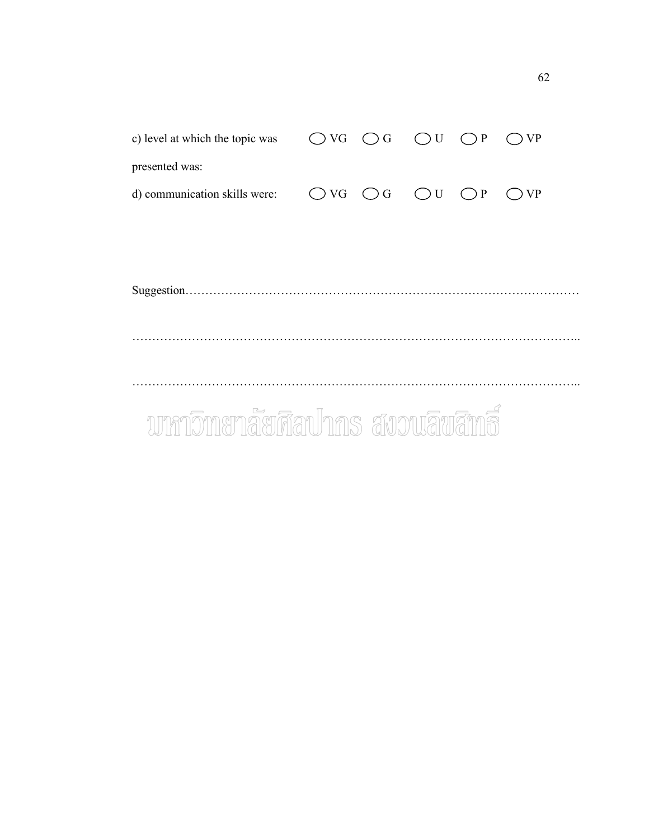| c) level at which the topic was  |               |              | $\bigcirc$ VG $\bigcirc$ G $\bigcirc$ U $\bigcirc$ P |             | $\bigcirc$ VP |  |
|----------------------------------|---------------|--------------|------------------------------------------------------|-------------|---------------|--|
| presented was:                   |               |              |                                                      |             |               |  |
| d) communication skills were:    | $\bigcirc$ VG | $\bigcirc$ G | $\bigcirc$ U                                         | $\bigcap P$ | $\bigcirc$ VP |  |
|                                  |               |              |                                                      |             |               |  |
|                                  |               |              |                                                      |             |               |  |
|                                  |               |              |                                                      |             |               |  |
|                                  |               |              |                                                      |             |               |  |
|                                  |               |              |                                                      |             |               |  |
|                                  |               |              |                                                      |             |               |  |
|                                  |               |              |                                                      |             |               |  |
|                                  |               |              |                                                      |             |               |  |
| บทกวิทยาลัยศึลปากร สงวนลิขสิทธิ์ |               |              |                                                      |             |               |  |
|                                  |               |              |                                                      |             |               |  |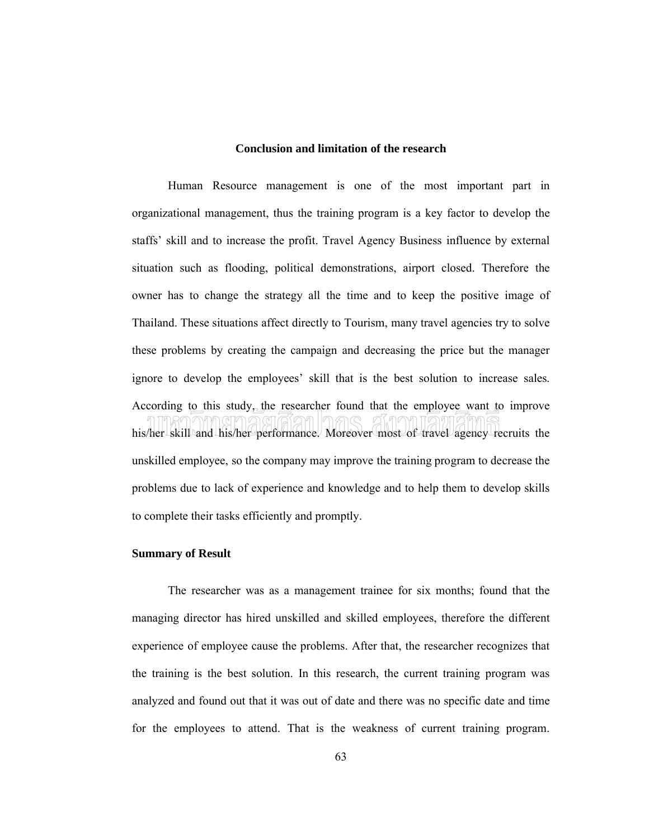#### **Conclusion and limitation of the research**

Human Resource management is one of the most important part in organizational management, thus the training program is a key factor to develop the staffs' skill and to increase the profit. Travel Agency Business influence by external situation such as flooding, political demonstrations, airport closed. Therefore the owner has to change the strategy all the time and to keep the positive image of Thailand. These situations affect directly to Tourism, many travel agencies try to solve these problems by creating the campaign and decreasing the price but the manager ignore to develop the employees' skill that is the best solution to increase sales. According to this study, the researcher found that the employee want to improve his/her skill and his/her performance. Moreover most of travel agency recruits the unskilled employee, so the company may improve the training program to decrease the problems due to lack of experience and knowledge and to help them to develop skills to complete their tasks efficiently and promptly.

#### **Summary of Result**

The researcher was as a management trainee for six months; found that the managing director has hired unskilled and skilled employees, therefore the different experience of employee cause the problems. After that, the researcher recognizes that the training is the best solution. In this research, the current training program was analyzed and found out that it was out of date and there was no specific date and time for the employees to attend. That is the weakness of current training program.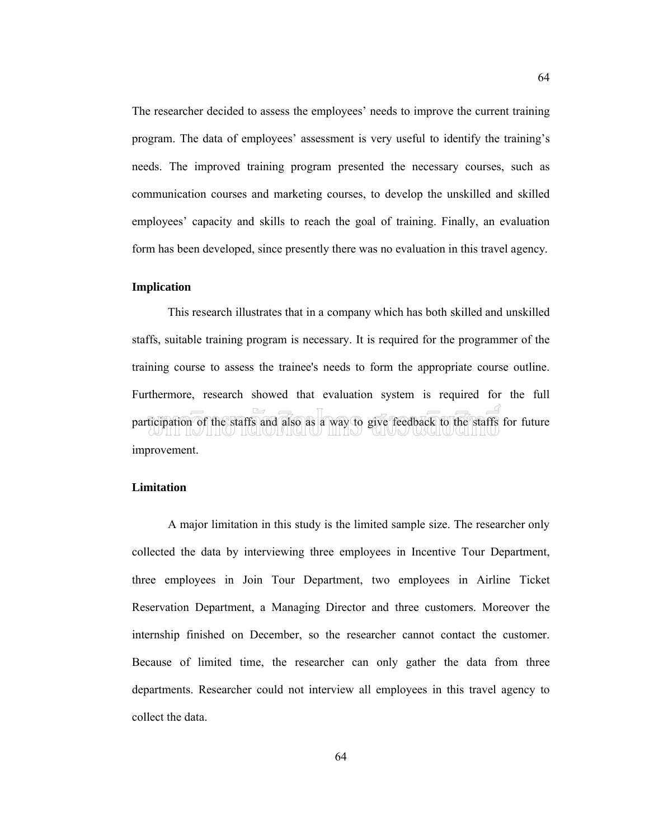The researcher decided to assess the employees' needs to improve the current training program. The data of employees' assessment is very useful to identify the training's needs. The improved training program presented the necessary courses, such as communication courses and marketing courses, to develop the unskilled and skilled employees' capacity and skills to reach the goal of training. Finally, an evaluation form has been developed, since presently there was no evaluation in this travel agency.

#### **Implication**

This research illustrates that in a company which has both skilled and unskilled staffs, suitable training program is necessary. It is required for the programmer of the training course to assess the trainee's needs to form the appropriate course outline. Furthermore, research showed that evaluation system is required for the full participation of the staffs and also as a way to give feedback to the staffs for future improvement.

#### **Limitation**

A major limitation in this study is the limited sample size. The researcher only collected the data by interviewing three employees in Incentive Tour Department, three employees in Join Tour Department, two employees in Airline Ticket Reservation Department, a Managing Director and three customers. Moreover the internship finished on December, so the researcher cannot contact the customer. Because of limited time, the researcher can only gather the data from three departments. Researcher could not interview all employees in this travel agency to collect the data.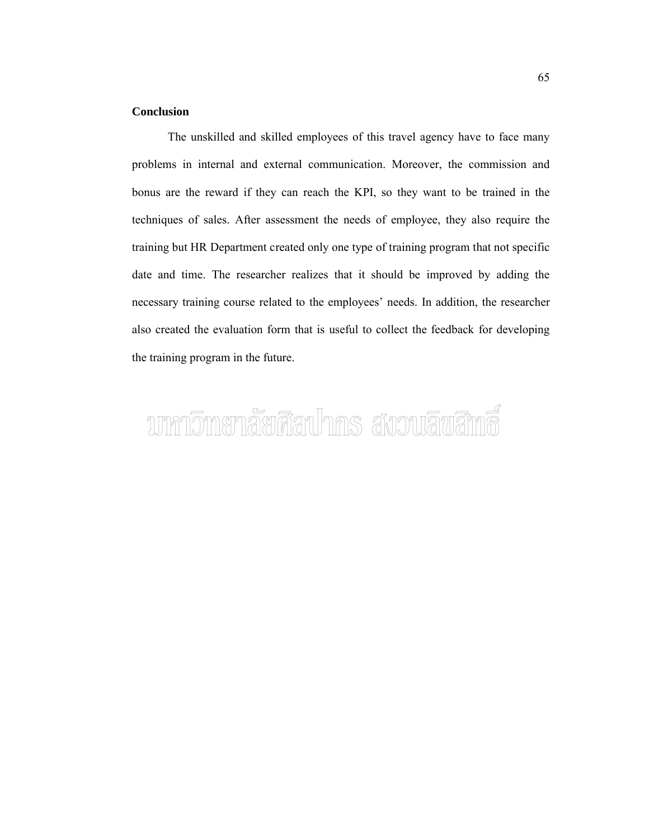#### **Conclusion**

The unskilled and skilled employees of this travel agency have to face many problems in internal and external communication. Moreover, the commission and bonus are the reward if they can reach the KPI, so they want to be trained in the techniques of sales. After assessment the needs of employee, they also require the training but HR Department created only one type of training program that not specific date and time. The researcher realizes that it should be improved by adding the necessary training course related to the employees' needs. In addition, the researcher also created the evaluation form that is useful to collect the feedback for developing the training program in the future.

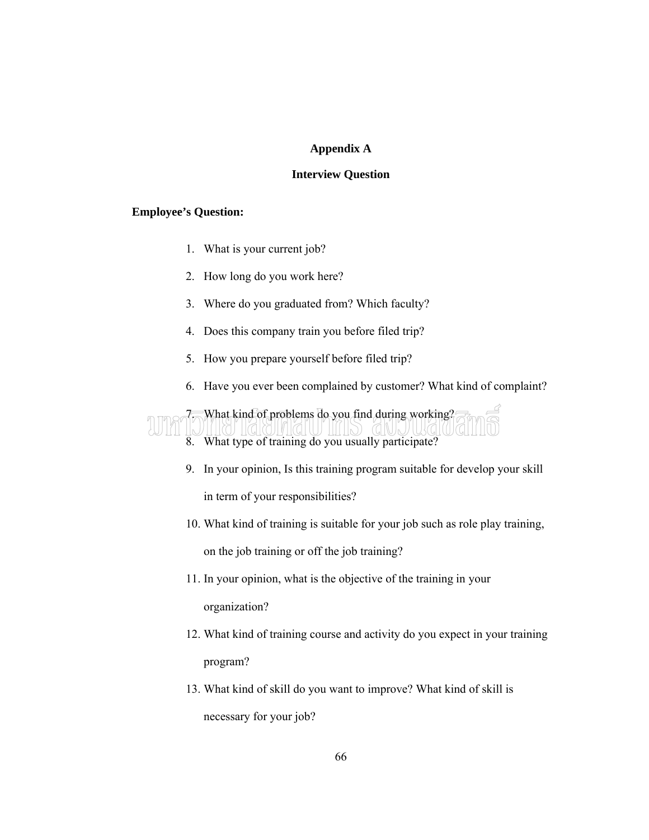#### **Appendix A**

#### **Interview Question**

#### **Employee's Question:**

- 1. What is your current job?
- 2. How long do you work here?
- 3. Where do you graduated from? Which faculty?
- 4. Does this company train you before filed trip?
- 5. How you prepare yourself before filed trip?
- 6. Have you ever been complained by customer? What kind of complaint?



9. In your opinion, Is this training program suitable for develop your skill

in term of your responsibilities?

- 10. What kind of training is suitable for your job such as role play training, on the job training or off the job training?
- 11. In your opinion, what is the objective of the training in your organization?
- 12. What kind of training course and activity do you expect in your training program?
- 13. What kind of skill do you want to improve? What kind of skill is necessary for your job?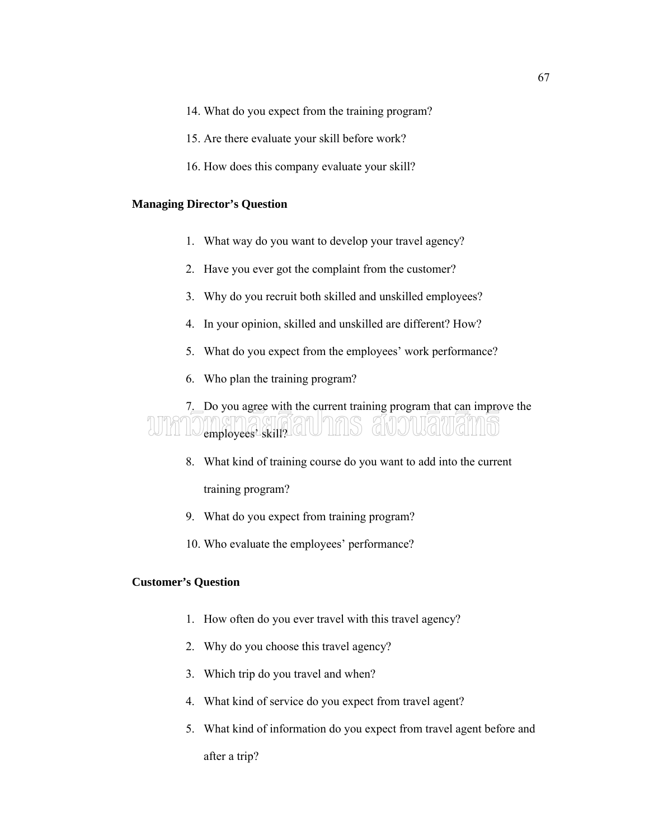- 14. What do you expect from the training program?
- 15. Are there evaluate your skill before work?
- 16. How does this company evaluate your skill?

#### **Managing Director's Question**

- 1. What way do you want to develop your travel agency?
- 2. Have you ever got the complaint from the customer?
- 3. Why do you recruit both skilled and unskilled employees?
- 4. In your opinion, skilled and unskilled are different? How?
- 5. What do you expect from the employees' work performance?
- 6. Who plan the training program?

## 7. Do you agree with the current training program that can improve the WIN'ILVYYKEYIK, GIULIIINS GNUULLIUGIIIID

- 8. What kind of training course do you want to add into the current training program?
- 9. What do you expect from training program?
- 10. Who evaluate the employees' performance?

#### **Customer's Question**

- 1. How often do you ever travel with this travel agency?
- 2. Why do you choose this travel agency?
- 3. Which trip do you travel and when?
- 4. What kind of service do you expect from travel agent?
- 5. What kind of information do you expect from travel agent before and after a trip?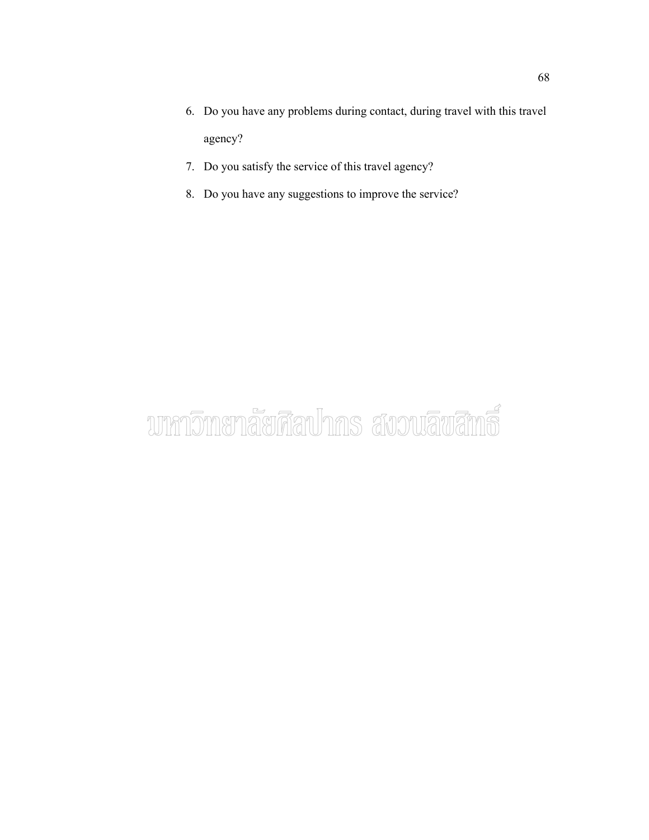- 6. Do you have any problems during contact, during travel with this travel agency?
- 7. Do you satisfy the service of this travel agency?
- 8. Do you have any suggestions to improve the service?

# บากาวิทยาลัยศึลปากร สังวนลิขสิทธิ์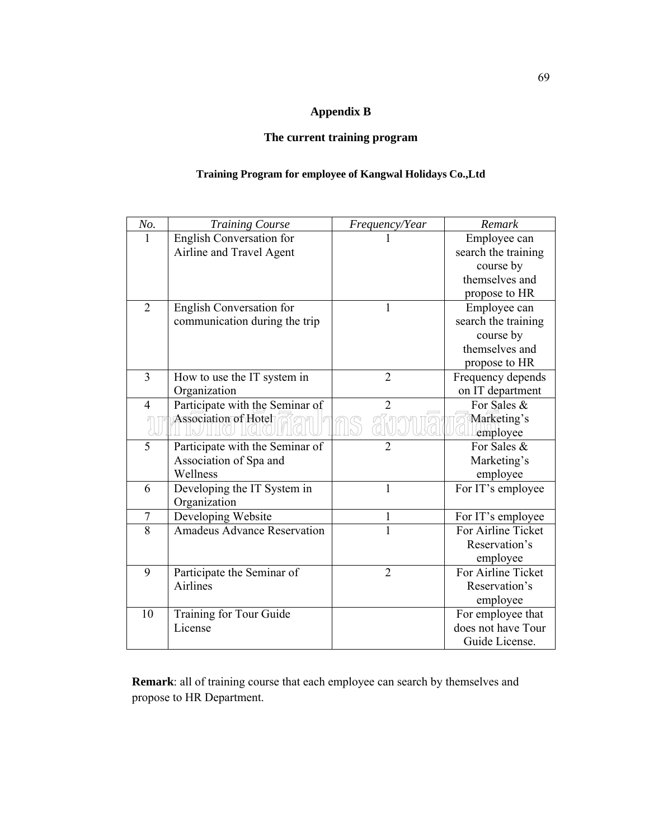#### **Appendix B**

#### **The current training program**

#### **Training Program for employee of Kangwal Holidays Co.,Ltd**

| No.              | <b>Training Course</b>             | Frequency/Year | Remark              |
|------------------|------------------------------------|----------------|---------------------|
| 1                | English Conversation for           |                | Employee can        |
|                  | Airline and Travel Agent           |                | search the training |
|                  |                                    |                | course by           |
|                  |                                    |                | themselves and      |
|                  |                                    |                | propose to HR       |
| $\overline{2}$   | English Conversation for           | 1              | Employee can        |
|                  | communication during the trip      |                | search the training |
|                  |                                    |                | course by           |
|                  |                                    |                | themselves and      |
|                  |                                    |                | propose to HR       |
| 3                | How to use the IT system in        | $\overline{2}$ | Frequency depends   |
|                  | Organization                       |                | on IT department    |
| $\overline{4}$   | Participate with the Seminar of    | $\overline{2}$ | For Sales &         |
|                  | <b>Association of Hotel</b>        |                | Marketing's         |
|                  |                                    |                | employee            |
| 5                | Participate with the Seminar of    | $\overline{2}$ | For Sales &         |
|                  | Association of Spa and             |                | Marketing's         |
|                  | Wellness                           |                | employee            |
| 6                | Developing the IT System in        | $\mathbf{1}$   | For IT's employee   |
|                  | Organization                       |                |                     |
| $\boldsymbol{7}$ | Developing Website                 | $\mathbf{1}$   | For IT's employee   |
| $\overline{8}$   | <b>Amadeus Advance Reservation</b> | $\mathbf{1}$   | For Airline Ticket  |
|                  |                                    |                | Reservation's       |
|                  |                                    |                | employee            |
| 9                | Participate the Seminar of         | $\overline{2}$ | For Airline Ticket  |
|                  | <b>Airlines</b>                    |                | Reservation's       |
|                  |                                    |                | employee            |
| 10               | Training for Tour Guide            |                | For employee that   |
|                  | License                            |                | does not have Tour  |
|                  |                                    |                | Guide License.      |

**Remark**: all of training course that each employee can search by themselves and propose to HR Department.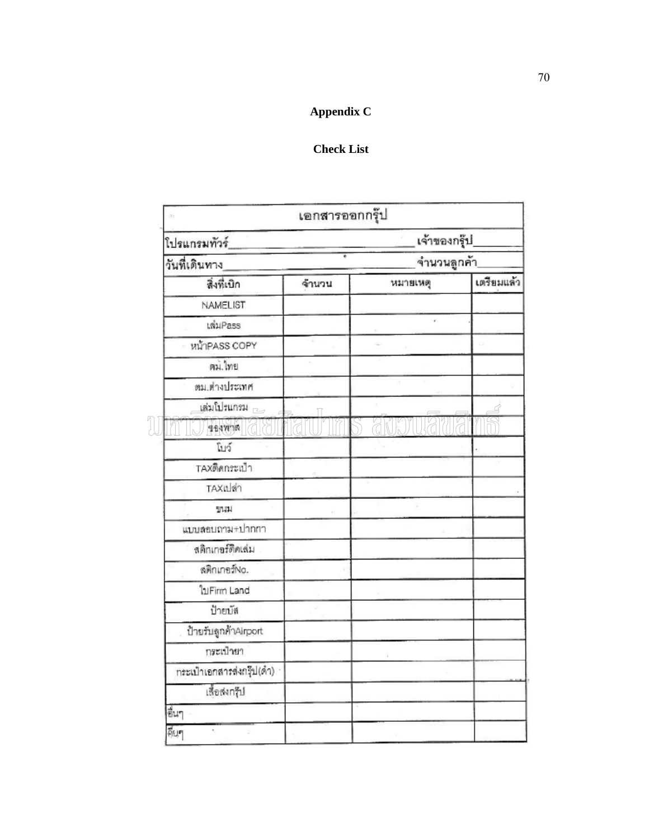### **Appendix C**

#### **Check List**

|                             | เอกสารออกกรุ๊ป |                             |            |
|-----------------------------|----------------|-----------------------------|------------|
| โปรแกรมทัวร์_               |                | เจ้าของกรุ๊ป<br>จำนวนลูกค้า |            |
| วันที่เดินทาง               |                |                             |            |
| สิ่งที่เบิก                 | จ้านวน         | หมายเหตุ                    | เตรียมแล้ว |
| NAMELIST                    |                |                             |            |
| เพิ่มPass                   |                | ×.                          |            |
| หน้าPASS COPY               |                |                             |            |
| ตม.ไทย                      |                |                             |            |
| ตม.ต่างประเทศ               |                |                             |            |
| เสมโปรแกรม                  |                |                             |            |
| <b>Arwrer</b>               |                |                             |            |
| โบว์                        |                |                             |            |
| TAXติดกระเป๋า               |                |                             |            |
| TAXเปล่า                    |                |                             |            |
| บนม                         |                |                             |            |
| แบบลอบถาม+ปากกา             |                |                             |            |
| สติกเกอร์ดิดเล่ม            |                |                             |            |
| สติกเกอร์No.                |                |                             |            |
| ใบFirm Land                 |                |                             |            |
| ป้ายบัส                     |                |                             |            |
| ป้ายรับลูกค้าAirport        |                |                             |            |
| กระเป๋ายา                   |                |                             |            |
| กระเป๋าเอกสารส่งกรุ๊ป(ดำ) - |                |                             |            |
| เลื้อสงกรุ๊ป                |                |                             |            |
| ซี่นๆ                       |                |                             |            |
| 靴                           |                |                             |            |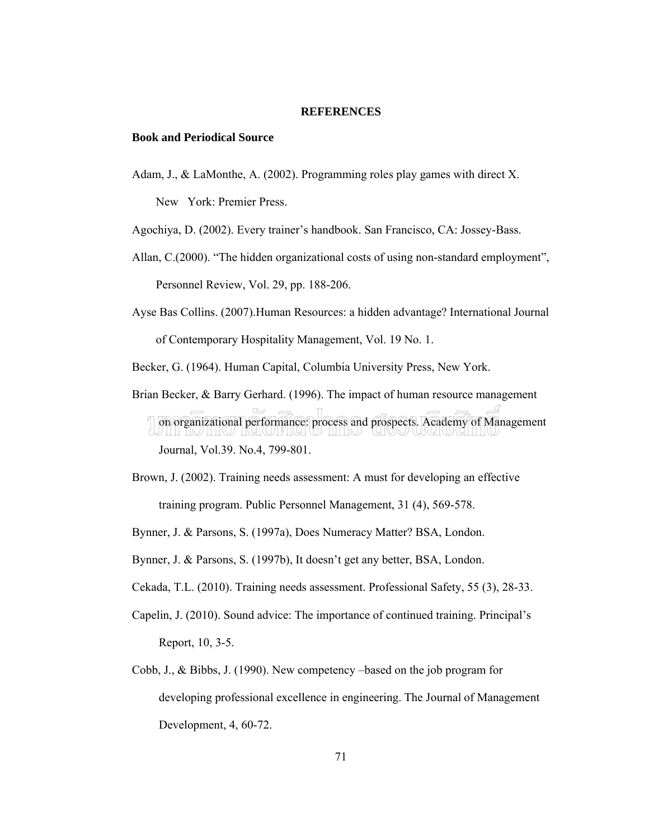#### **REFERENCES**

#### **Book and Periodical Source**

Adam, J., & LaMonthe, A. (2002). Programming roles play games with direct X.

New York: Premier Press.

Agochiya, D. (2002). Every trainer's handbook. San Francisco, CA: Jossey-Bass.

- Allan, C.(2000). "The hidden organizational costs of using non-standard employment", Personnel Review, Vol. 29, pp. 188-206.
- Ayse Bas Collins. (2007).Human Resources: a hidden advantage? International Journal of Contemporary Hospitality Management, Vol. 19 No. 1.

Becker, G. (1964). Human Capital, Columbia University Press, New York.

- Brian Becker, & Barry Gerhard. (1996). The impact of human resource management on organizational performance: process and prospects. Academy of Management Journal, Vol.39. No.4, 799-801.
- Brown, J. (2002). Training needs assessment: A must for developing an effective training program. Public Personnel Management, 31 (4), 569-578.
- Bynner, J. & Parsons, S. (1997a), Does Numeracy Matter? BSA, London.
- Bynner, J. & Parsons, S. (1997b), It doesn't get any better, BSA, London.
- Cekada, T.L. (2010). Training needs assessment. Professional Safety, 55 (3), 28-33.
- Capelin, J. (2010). Sound advice: The importance of continued training. Principal's Report, 10, 3-5.
- Cobb, J., & Bibbs, J. (1990). New competency –based on the job program for developing professional excellence in engineering. The Journal of Management Development, 4, 60-72.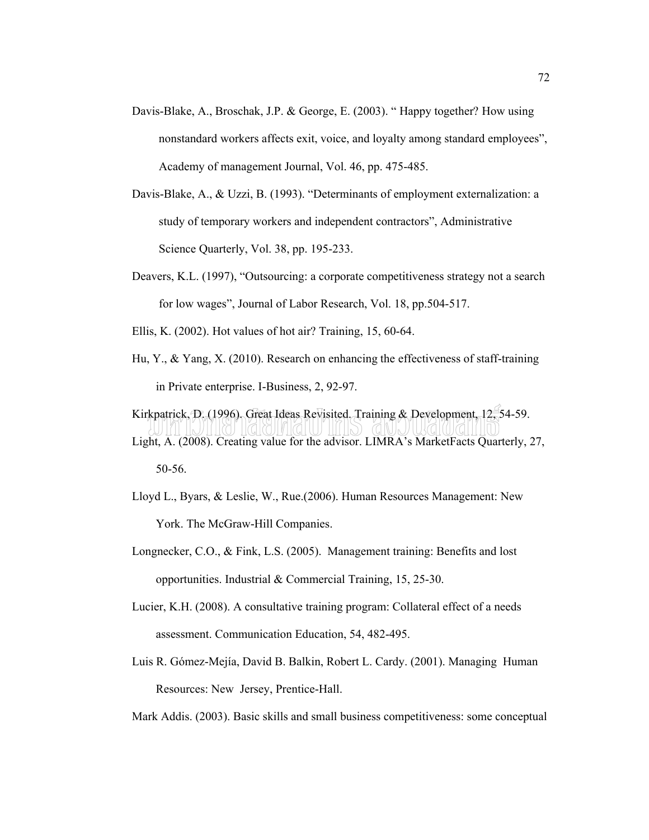- Davis-Blake, A., Broschak, J.P. & George, E. (2003). " Happy together? How using nonstandard workers affects exit, voice, and loyalty among standard employees", Academy of management Journal, Vol. 46, pp. 475-485.
- Davis-Blake, A., & Uzzi, B. (1993). "Determinants of employment externalization: a study of temporary workers and independent contractors", Administrative Science Quarterly, Vol. 38, pp. 195-233.
- Deavers, K.L. (1997), "Outsourcing: a corporate competitiveness strategy not a search for low wages", Journal of Labor Research, Vol. 18, pp.504-517.
- Ellis, K. (2002). Hot values of hot air? Training, 15, 60-64.
- Hu, Y., & Yang, X. (2010). Research on enhancing the effectiveness of staff-training in Private enterprise. I-Business, 2, 92-97.

Kirkpatrick, D. (1996). Great Ideas Revisited. Training & Development, 12, 54-59. Light, A. (2008). Creating value for the advisor. LIMRA's MarketFacts Quarterly, 27, 50-56.

- Lloyd L., Byars, & Leslie, W., Rue.(2006). Human Resources Management: New York. The McGraw-Hill Companies.
	- Longnecker, C.O., & Fink, L.S. (2005). Management training: Benefits and lost opportunities. Industrial & Commercial Training, 15, 25-30.
	- Lucier, K.H. (2008). A consultative training program: Collateral effect of a needs assessment. Communication Education, 54, 482-495.
	- Luis R. Gómez-Mejía, David B. Balkin, Robert L. Cardy. (2001). Managing Human Resources: New Jersey, Prentice-Hall.

Mark Addis. (2003). Basic skills and small business competitiveness: some conceptual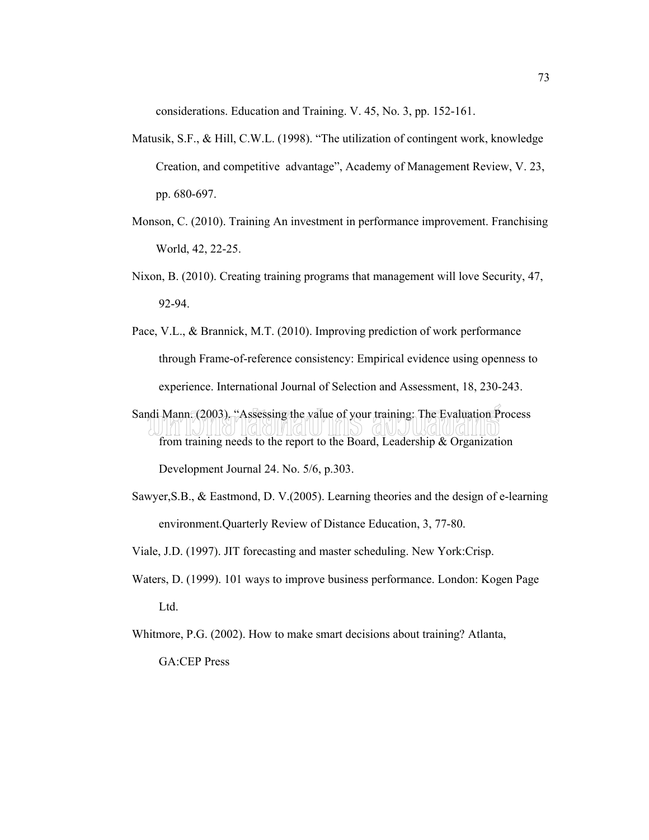considerations. Education and Training. V. 45, No. 3, pp. 152-161.

- Matusik, S.F., & Hill, C.W.L. (1998). "The utilization of contingent work, knowledge Creation, and competitive advantage", Academy of Management Review, V. 23, pp. 680-697.
- Monson, C. (2010). Training An investment in performance improvement. Franchising World, 42, 22-25.
- Nixon, B. (2010). Creating training programs that management will love Security, 47, 92-94.
- Pace, V.L., & Brannick, M.T. (2010). Improving prediction of work performance through Frame-of-reference consistency: Empirical evidence using openness to experience. International Journal of Selection and Assessment, 18, 230-243.
- Sandi Mann. (2003). "Assessing the value of your training: The Evaluation Process from training needs to the report to the Board, Leadership & Organization

Development Journal 24. No. 5/6, p.303.

- Sawyer,S.B., & Eastmond, D. V.(2005). Learning theories and the design of e-learning environment.Quarterly Review of Distance Education, 3, 77-80.
- Viale, J.D. (1997). JIT forecasting and master scheduling. New York:Crisp.
- Waters, D. (1999). 101 ways to improve business performance. London: Kogen Page Ltd.

Whitmore, P.G. (2002). How to make smart decisions about training? Atlanta,

GA:CEP Press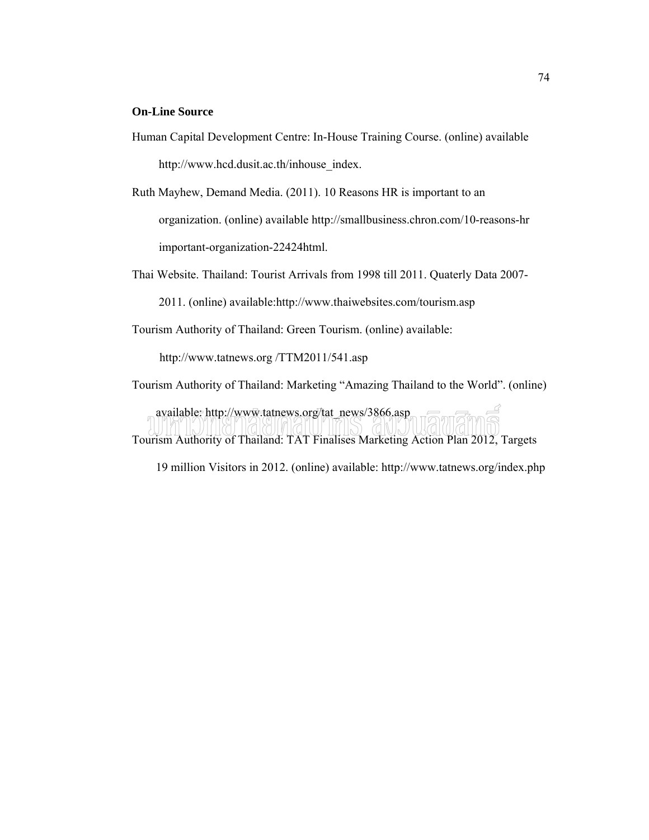#### **On-Line Source**

Human Capital Development Centre: In-House Training Course. (online) available http://www.hcd.dusit.ac.th/inhouse\_index.

Ruth Mayhew, Demand Media. (2011). 10 Reasons HR is important to an organization. (online) available http://smallbusiness.chron.com/10-reasons-hr important-organization-22424html.

Thai Website. Thailand: Tourist Arrivals from 1998 till 2011. Quaterly Data 2007-

2011. (online) available:http://www.thaiwebsites.com/tourism.asp

Tourism Authority of Thailand: Green Tourism. (online) available:

http://www.tatnews.org /TTM2011/541.asp

Tourism Authority of Thailand: Marketing "Amazing Thailand to the World". (online)

 available: http://www.tatnews.org/tat\_news/3866.asp Tourism Authority of Thailand: TAT Finalises Marketing Action Plan 2012, Targets

19 million Visitors in 2012. (online) available: http://www.tatnews.org/index.php